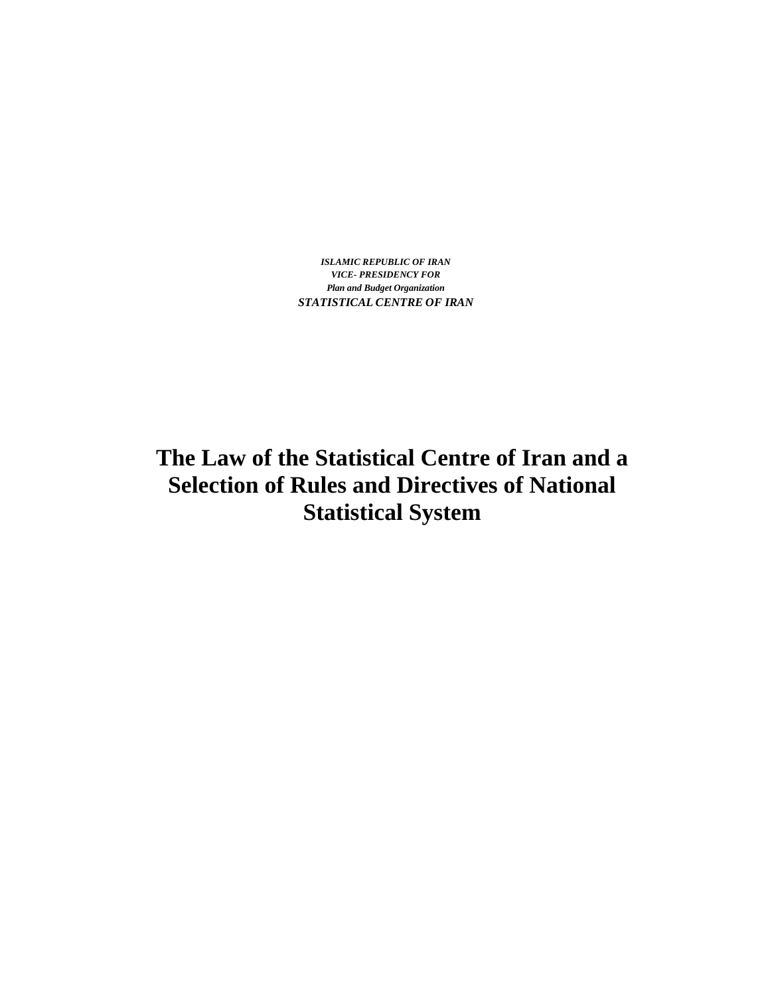*ISLAMIC REPUBLIC OF IRAN VICE- PRESIDENCY FOR Plan and Budget Organization STATISTICAL CENTRE OF IRAN*

**The Law of the Statistical Centre of Iran and a Selection of Rules and Directives of National Statistical System**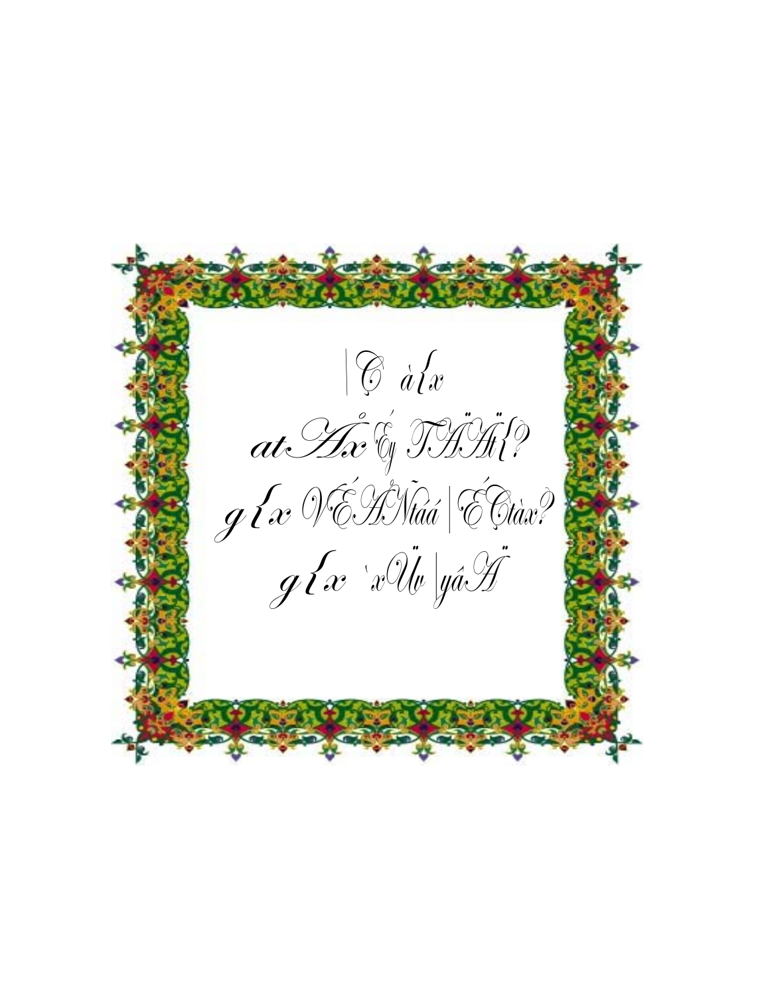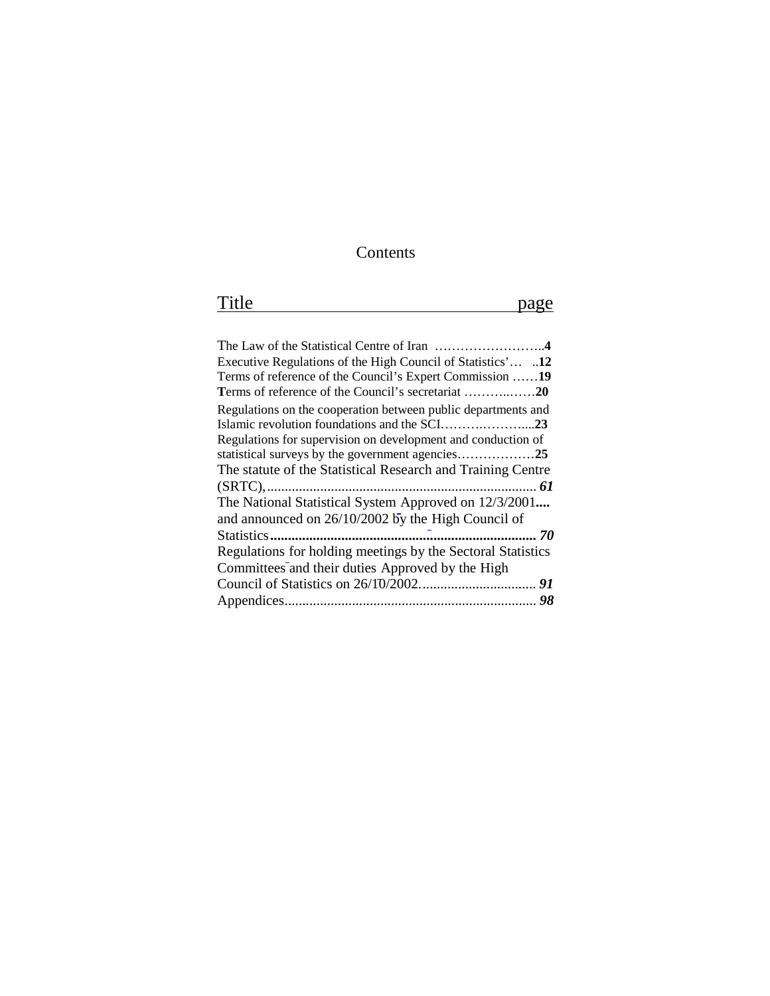# Contents

| $\mathbf{m}$ |                               |
|--------------|-------------------------------|
| T TITE       | $\mathbf{a} \cdot \mathbf{a}$ |
|              |                               |

| Executive Regulations of the High Council of Statistics' 12   |
|---------------------------------------------------------------|
| Terms of reference of the Council's Expert Commission 19      |
| Terms of reference of the Council's secretariat 20            |
| Regulations on the cooperation between public departments and |
|                                                               |
| Regulations for supervision on development and conduction of  |
|                                                               |
| The statute of the Statistical Research and Training Centre   |
|                                                               |
| The National Statistical System Approved on 12/3/2001         |
| and announced on 26/10/2002 by the High Council of            |
|                                                               |
| Regulations for holding meetings by the Sectoral Statistics   |
| Committees and their duties Approved by the High              |
|                                                               |
|                                                               |
|                                                               |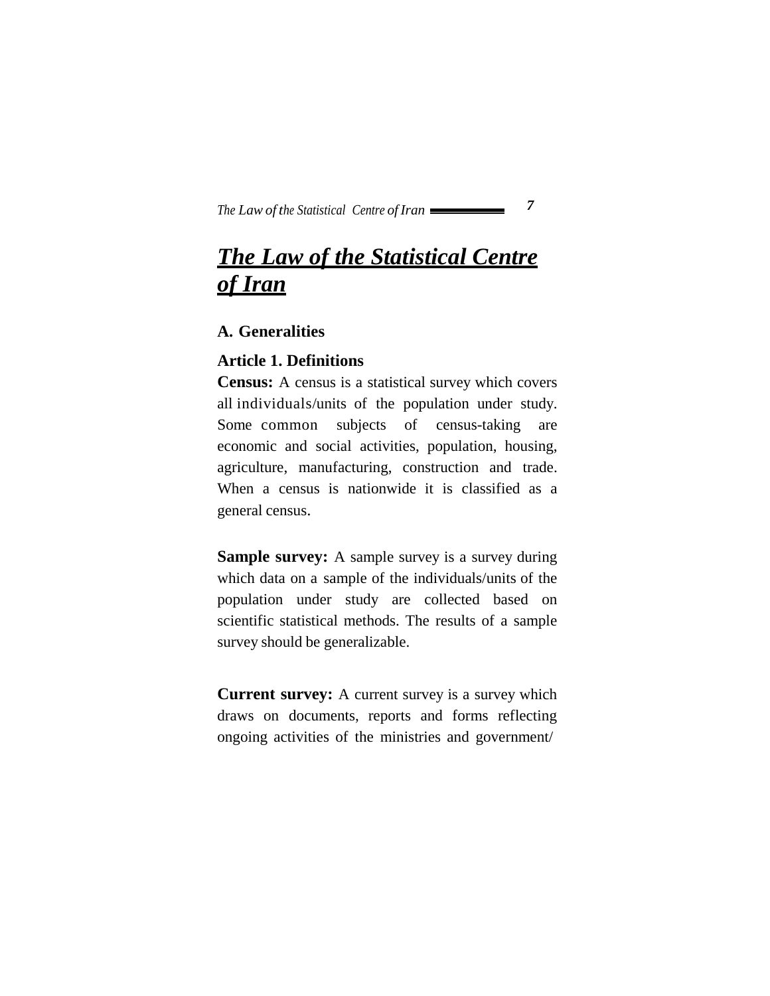# *The Law of the Statistical Centre of Iran*

#### **A. Generalities**

#### **Article 1. Definitions**

**Census:** A census is a statistical survey which covers all individuals/units of the population under study. Some common subjects of census-taking are economic and social activities, population, housing, agriculture, manufacturing, construction and trade. When a census is nationwide it is classified as a general census.

**Sample survey:** A sample survey is a survey during which data on a sample of the individuals/units of the population under study are collected based on scientific statistical methods. The results of a sample survey should be generalizable.

**Current survey:** A current survey is a survey which draws on documents, reports and forms reflecting ongoing activities of the ministries and government/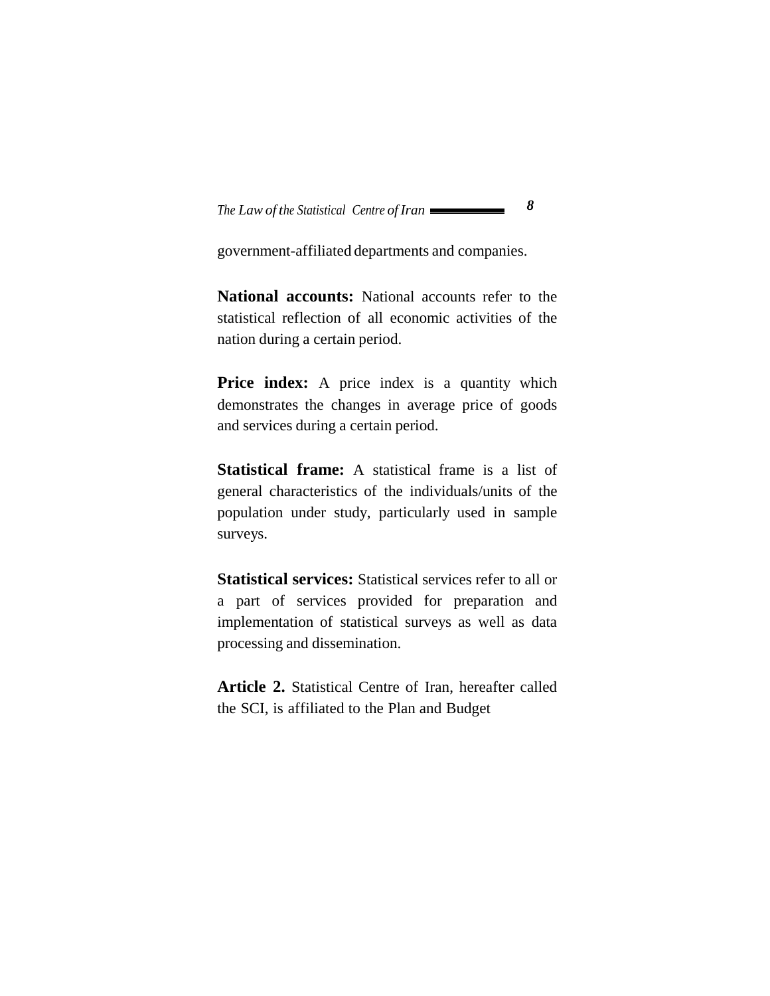government-affiliated departments and companies.

**National accounts:** National accounts refer to the statistical reflection of all economic activities of the nation during a certain period.

**Price index:** A price index is a quantity which demonstrates the changes in average price of goods and services during a certain period.

**Statistical frame:** A statistical frame is a list of general characteristics of the individuals/units of the population under study, particularly used in sample surveys.

**Statistical services:** Statistical services refer to all or a part of services provided for preparation and implementation of statistical surveys as well as data processing and dissemination.

**Article 2.** Statistical Centre of Iran, hereafter called the SCI, is affiliated to the Plan and Budget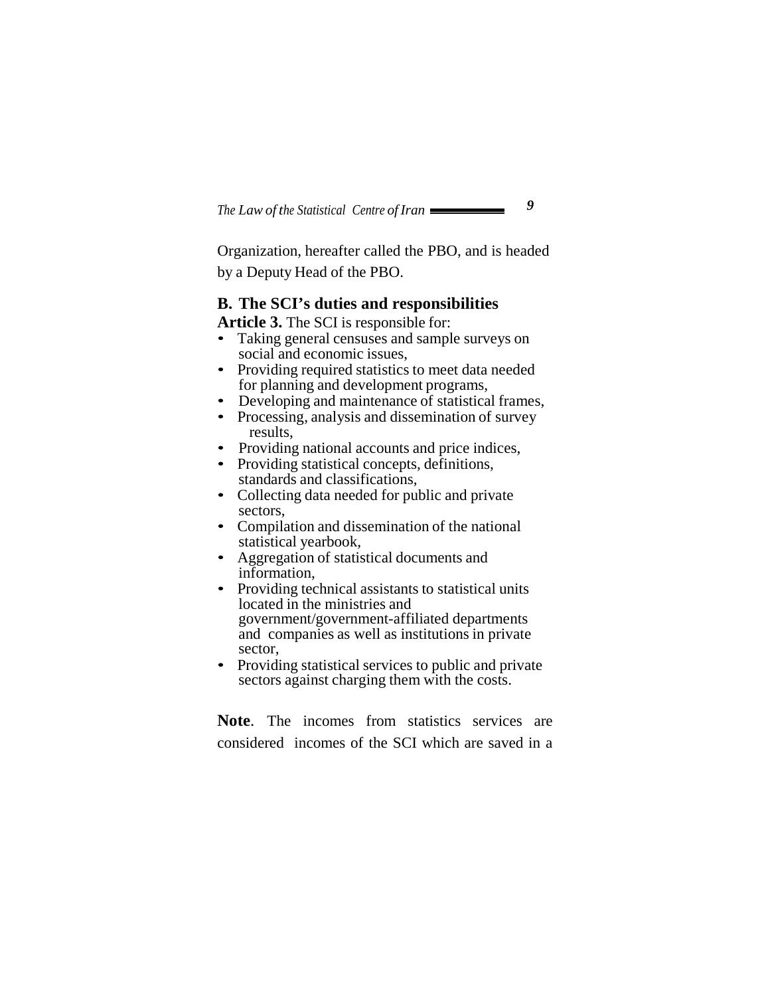Organization, hereafter called the PBO, and is headed by a Deputy Head of the PBO.

#### **B. The SCI's duties and responsibilities**

**Article 3.** The SCI is responsible for:

- Taking general censuses and sample surveys on social and economic issues,
- Providing required statistics to meet data needed for planning and development programs,
- Developing and maintenance of statistical frames,
- Processing, analysis and dissemination of survey results,
- Providing national accounts and price indices,
- Providing statistical concepts, definitions, standards and classifications,
- Collecting data needed for public and private sectors,
- Compilation and dissemination of the national statistical yearbook,
- Aggregation of statistical documents and information,
- Providing technical assistants to statistical units located in the ministries and government/government-affiliated departments and companies as well as institutions in private sector,
- Providing statistical services to public and private sectors against charging them with the costs.

**Note**. The incomes from statistics services are considered incomes of the SCI which are saved in a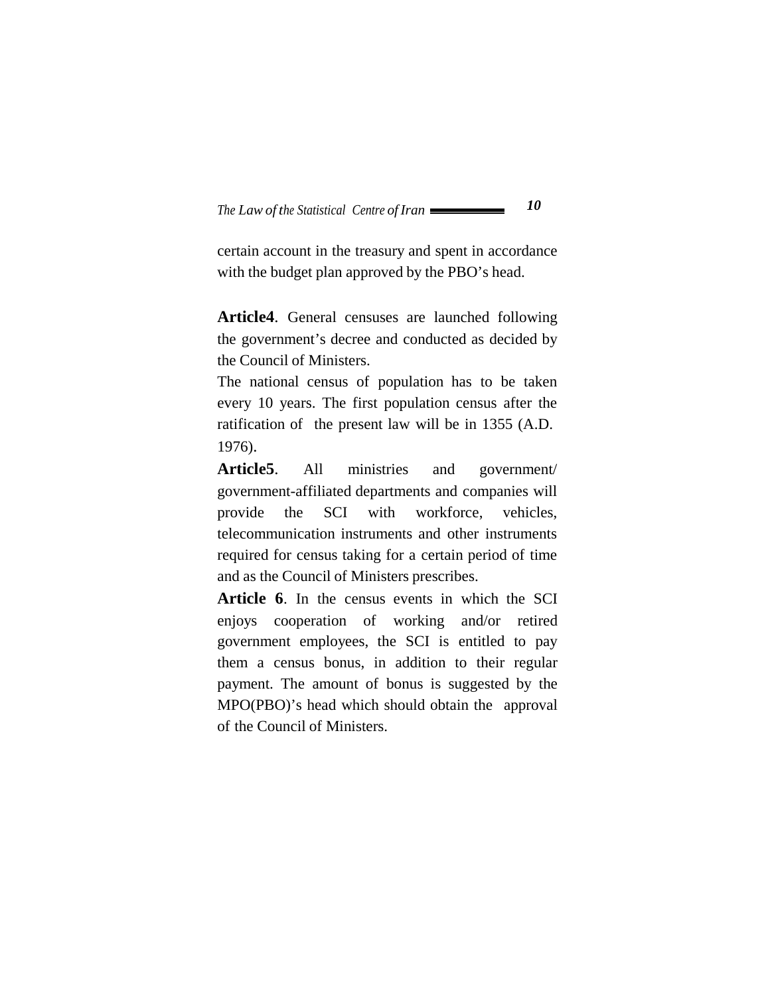certain account in the treasury and spent in accordance with the budget plan approved by the PBO's head.

**Article4**. General censuses are launched following the government's decree and conducted as decided by the Council of Ministers.

The national census of population has to be taken every 10 years. The first population census after the ratification of the present law will be in 1355 (A.D. 1976).

**Article5**. All ministries and government/ government-affiliated departments and companies will provide the SCI with workforce, vehicles, telecommunication instruments and other instruments required for census taking for a certain period of time and as the Council of Ministers prescribes.

**Article 6**. In the census events in which the SCI enjoys cooperation of working and/or retired government employees, the SCI is entitled to pay them a census bonus, in addition to their regular payment. The amount of bonus is suggested by the MPO(PBO)'s head which should obtain the approval of the Council of Ministers.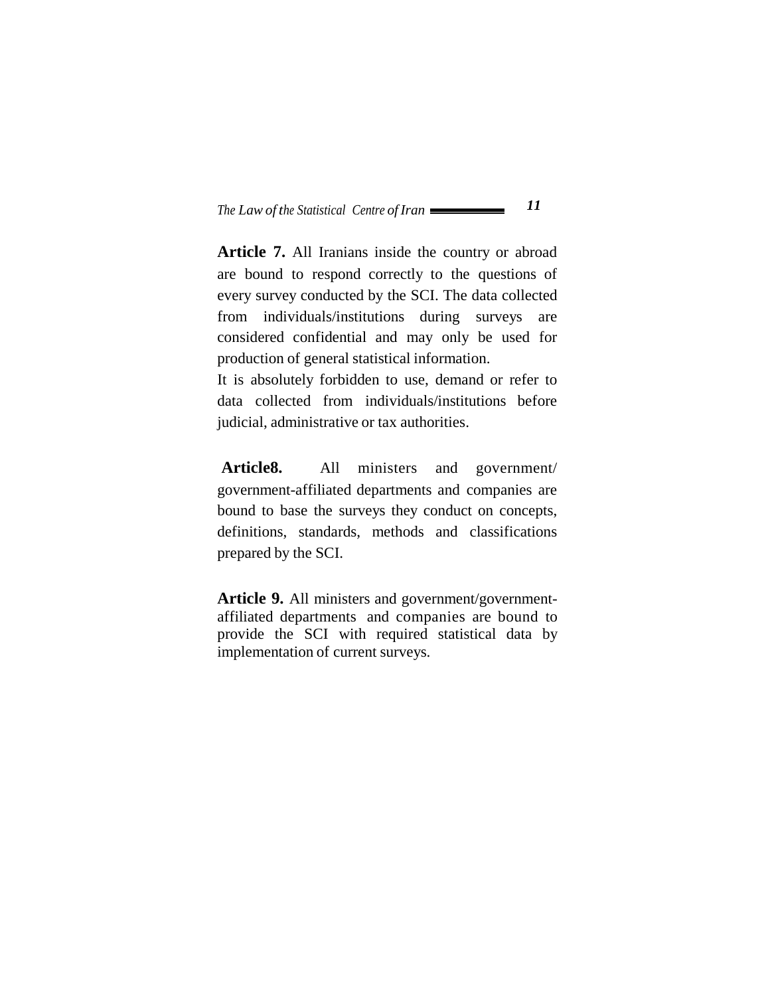**Article 7.** All Iranians inside the country or abroad are bound to respond correctly to the questions of every survey conducted by the SCI. The data collected from individuals/institutions during surveys are considered confidential and may only be used for production of general statistical information.

It is absolutely forbidden to use, demand or refer to data collected from individuals/institutions before judicial, administrative or tax authorities.

**Article8.** All ministers and government/ government-affiliated departments and companies are bound to base the surveys they conduct on concepts, definitions, standards, methods and classifications prepared by the SCI.

**Article 9.** All ministers and government/governmentaffiliated departments and companies are bound to provide the SCI with required statistical data by implementation of current surveys.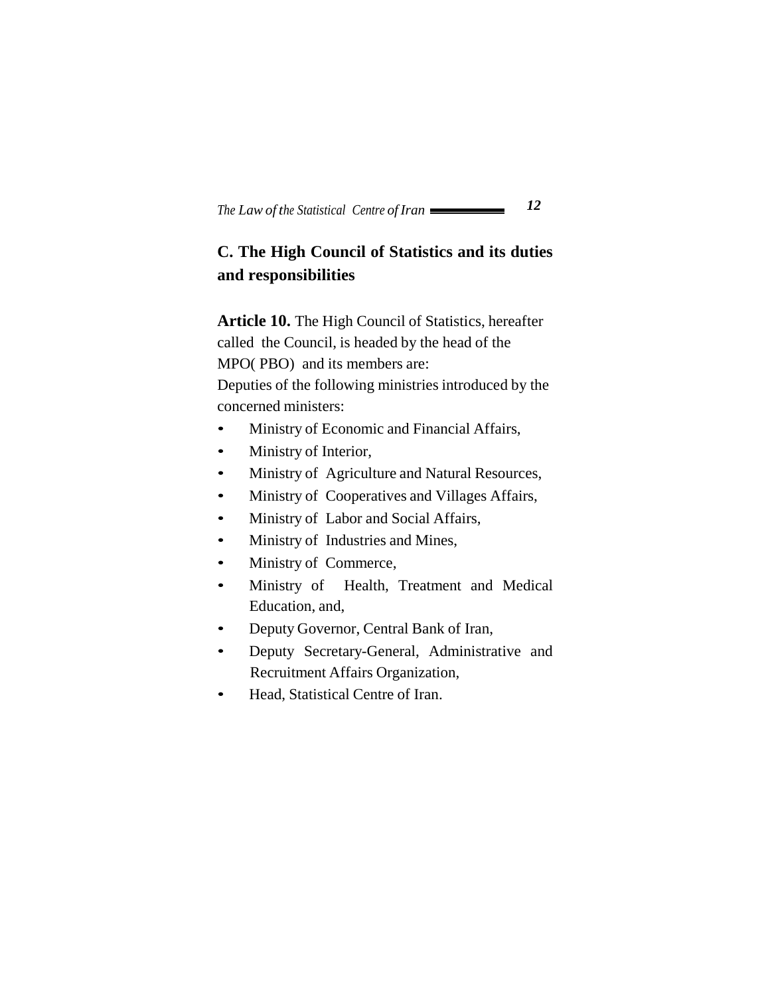# **C. The High Council of Statistics and its duties and responsibilities**

**Article 10.** The High Council of Statistics, hereafter called the Council, is headed by the head of the MPO( PBO) and its members are:

Deputies of the following ministries introduced by the concerned ministers:

- Ministry of Economic and Financial Affairs,
- Ministry of Interior,
- Ministry of Agriculture and Natural Resources,
- Ministry of Cooperatives and Villages Affairs,
- Ministry of Labor and Social Affairs,
- Ministry of Industries and Mines,
- Ministry of Commerce,
- Ministry of Health, Treatment and Medical Education, and,
- Deputy Governor, Central Bank of Iran,
- Deputy Secretary-General, Administrative and Recruitment Affairs Organization,
- Head, Statistical Centre of Iran.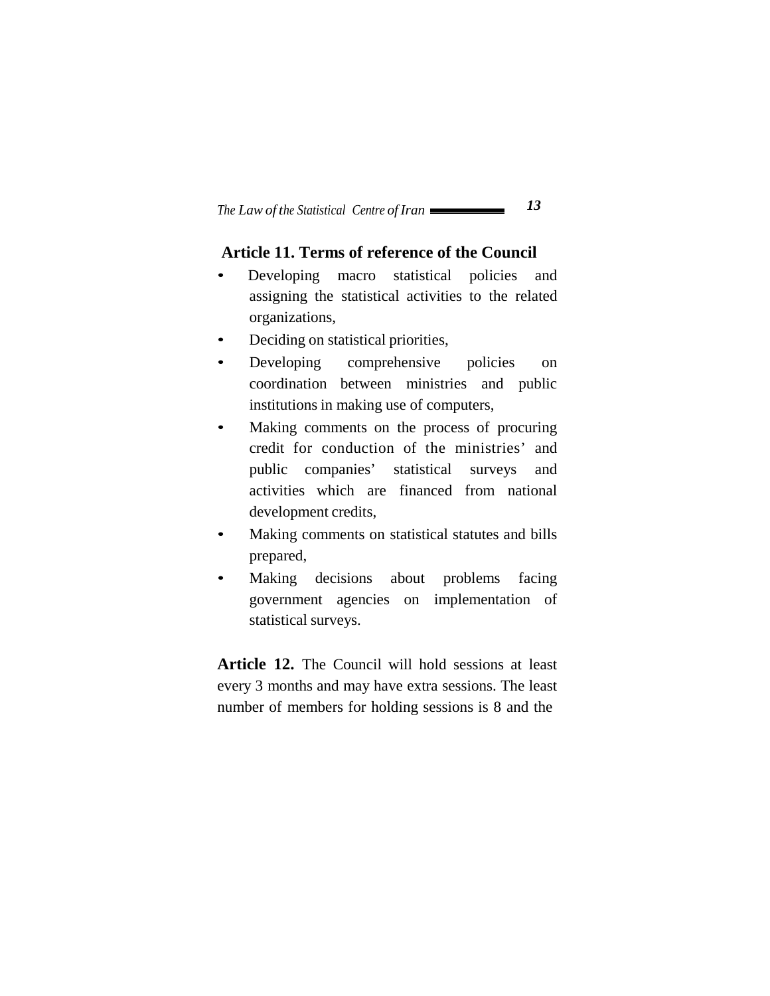### **Article 11. Terms of reference of the Council**

- Developing macro statistical policies and assigning the statistical activities to the related organizations,
- Deciding on statistical priorities,
- Developing comprehensive policies on coordination between ministries and public institutions in making use of computers,
- Making comments on the process of procuring credit for conduction of the ministries' and public companies' statistical surveys and activities which are financed from national development credits,
- Making comments on statistical statutes and bills prepared,
- Making decisions about problems facing government agencies on implementation of statistical surveys.

**Article 12.** The Council will hold sessions at least every 3 months and may have extra sessions. The least number of members for holding sessions is 8 and the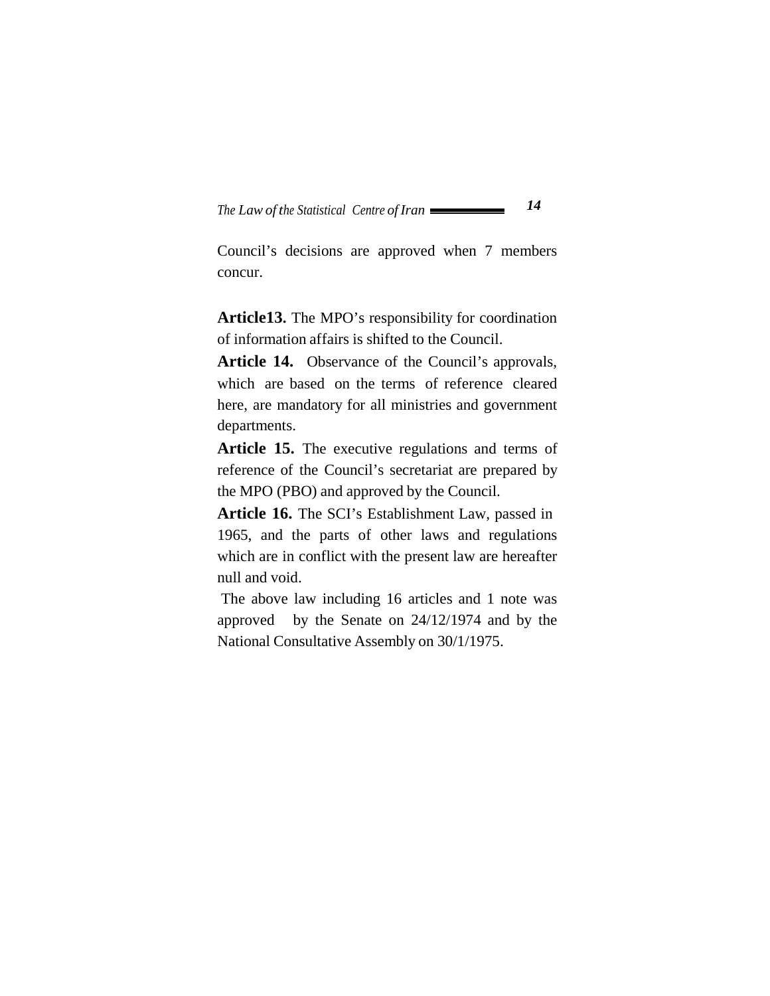Council's decisions are approved when 7 members concur.

**Article13.** The MPO's responsibility for coordination of information affairs is shifted to the Council.

**Article 14.** Observance of the Council's approvals, which are based on the terms of reference cleared here, are mandatory for all ministries and government departments.

**Article 15.** The executive regulations and terms of reference of the Council's secretariat are prepared by the MPO (PBO) and approved by the Council.

**Article 16.** The SCI's Establishment Law, passed in 1965, and the parts of other laws and regulations which are in conflict with the present law are hereafter null and void.

The above law including 16 articles and 1 note was approved by the Senate on 24/12/1974 and by the National Consultative Assembly on 30/1/1975.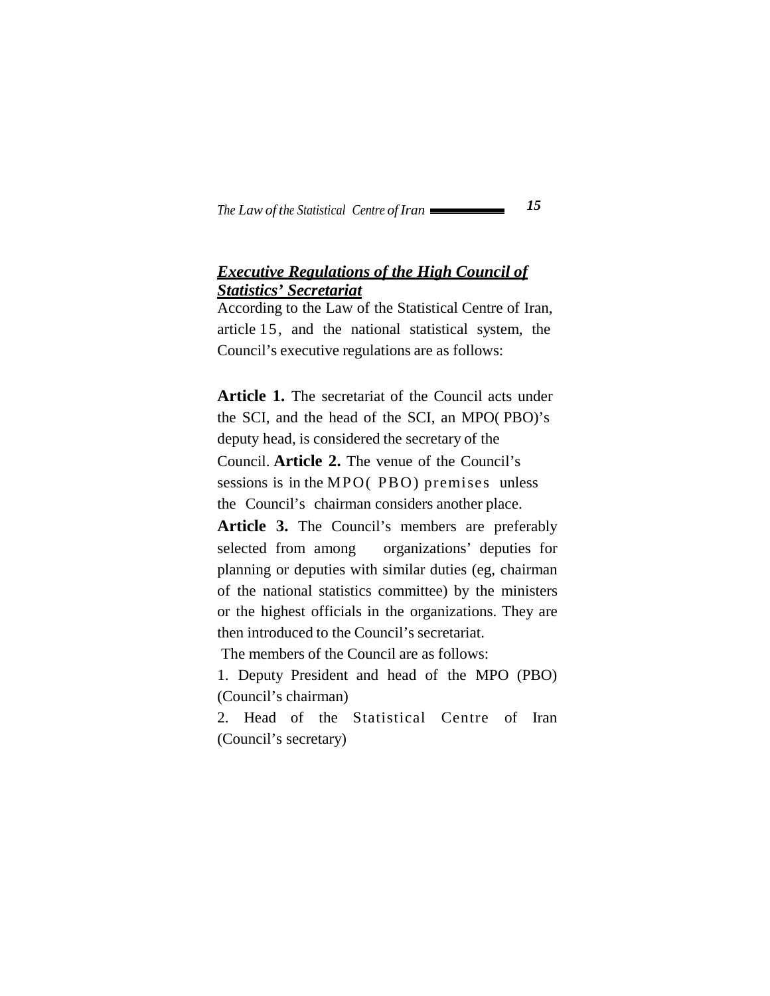### *Executive Regulations of the High Council of Statistics' Secretariat*

According to the Law of the Statistical Centre of Iran, article 15, and the national statistical system, the Council's executive regulations are as follows:

**Article 1.** The secretariat of the Council acts under the SCI, and the head of the SCI, an MPO( PBO)'s deputy head, is considered the secretary of the Council. **Article 2.** The venue of the Council's sessions is in the MPO( PBO) premises unless the Council's chairman considers another place.

**Article 3.** The Council's members are preferably selected from among organizations' deputies for planning or deputies with similar duties (eg, chairman of the national statistics committee) by the ministers or the highest officials in the organizations. They are then introduced to the Council's secretariat.

The members of the Council are as follows:

1. Deputy President and head of the MPO (PBO) (Council's chairman)

2. Head of the Statistical Centre of Iran (Council's secretary)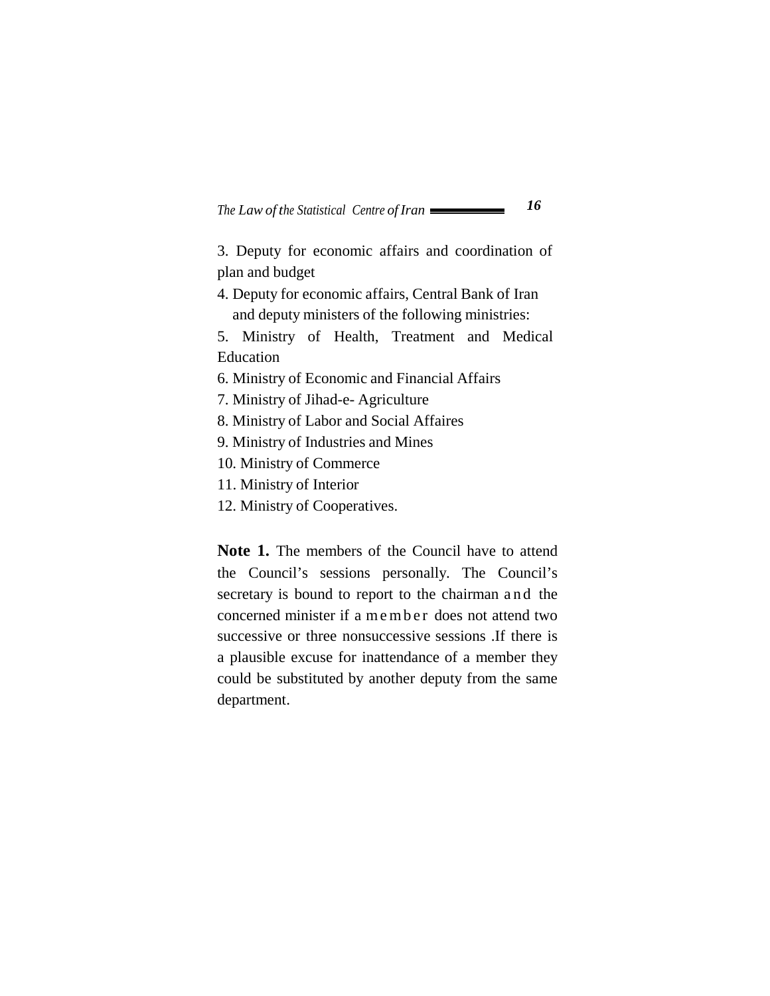3. Deputy for economic affairs and coordination of plan and budget

4. Deputy for economic affairs, Central Bank of Iran and deputy ministers of the following ministries:

5. Ministry of Health, Treatment and Medical Education

- 6. Ministry of Economic and Financial Affairs
- 7. Ministry of Jihad-e- Agriculture
- 8. Ministry of Labor and Social Affaires
- 9. Ministry of Industries and Mines
- 10. Ministry of Commerce
- 11. Ministry of Interior
- 12. Ministry of Cooperatives.

**Note 1.** The members of the Council have to attend the Council's sessions personally. The Council's secretary is bound to report to the chairman and the concerned minister if a member does not attend two successive or three nonsuccessive sessions .If there is a plausible excuse for inattendance of a member they could be substituted by another deputy from the same department.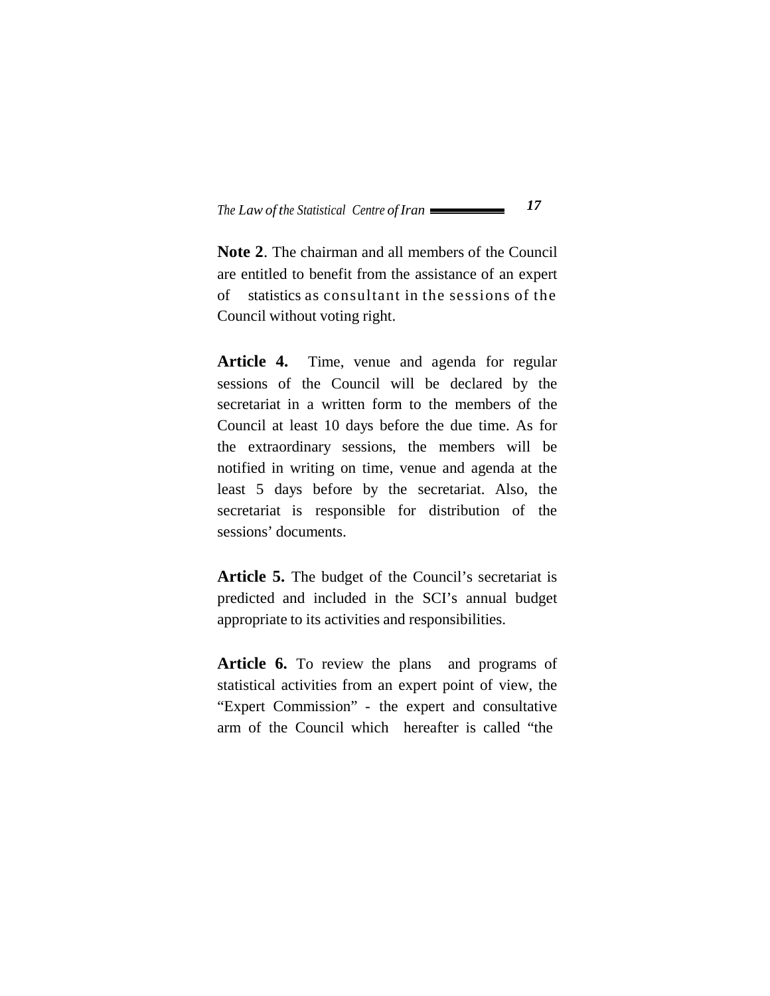**Note 2**. The chairman and all members of the Council are entitled to benefit from the assistance of an expert of statistics as consultant in the sessions of the Council without voting right.

**Article 4.** Time, venue and agenda for regular sessions of the Council will be declared by the secretariat in a written form to the members of the Council at least 10 days before the due time. As for the extraordinary sessions, the members will be notified in writing on time, venue and agenda at the least 5 days before by the secretariat. Also, the secretariat is responsible for distribution of the sessions' documents.

**Article 5.** The budget of the Council's secretariat is predicted and included in the SCI's annual budget appropriate to its activities and responsibilities.

Article 6. To review the plans and programs of statistical activities from an expert point of view, the "Expert Commission" - the expert and consultative arm of the Council which hereafter is called "the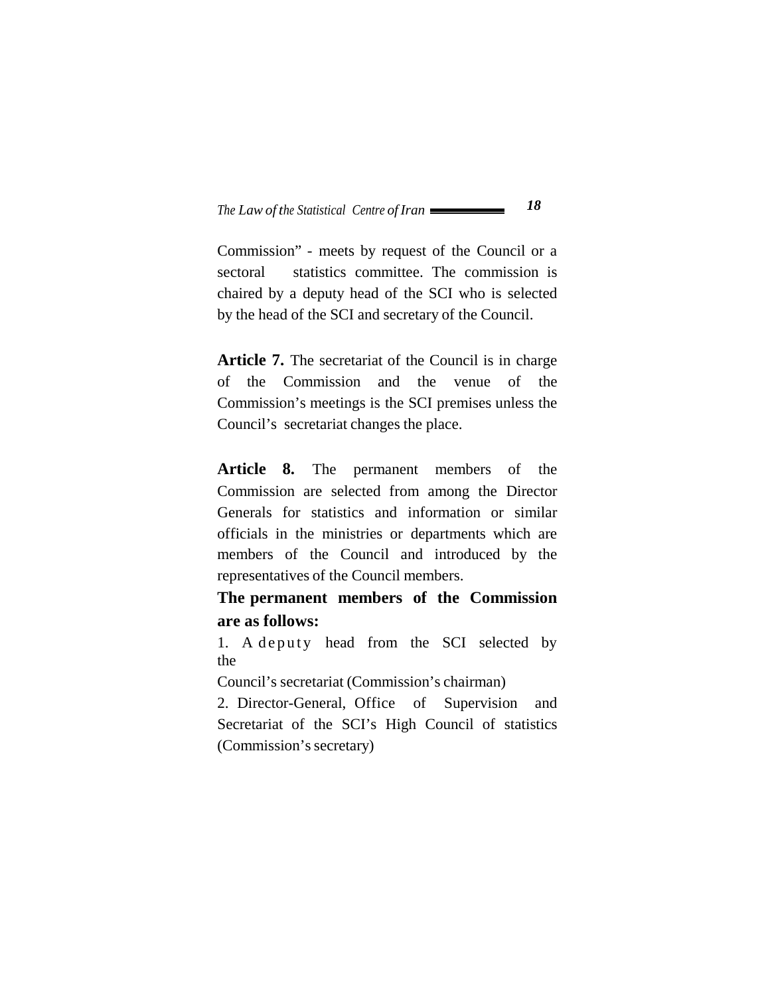Commission" - meets by request of the Council or a sectoral statistics committee. The commission is chaired by a deputy head of the SCI who is selected by the head of the SCI and secretary of the Council.

**Article 7.** The secretariat of the Council is in charge of the Commission and the venue of the Commission's meetings is the SCI premises unless the Council's secretariat changes the place.

**Article 8.** The permanent members of the Commission are selected from among the Director Generals for statistics and information or similar officials in the ministries or departments which are members of the Council and introduced by the representatives of the Council members.

**The permanent members of the Commission are as follows:**

1. A deputy head from the SCI selected by the

Council's secretariat (Commission's chairman)

2. Director-General, Office of Supervision and Secretariat of the SCI's High Council of statistics (Commission's secretary)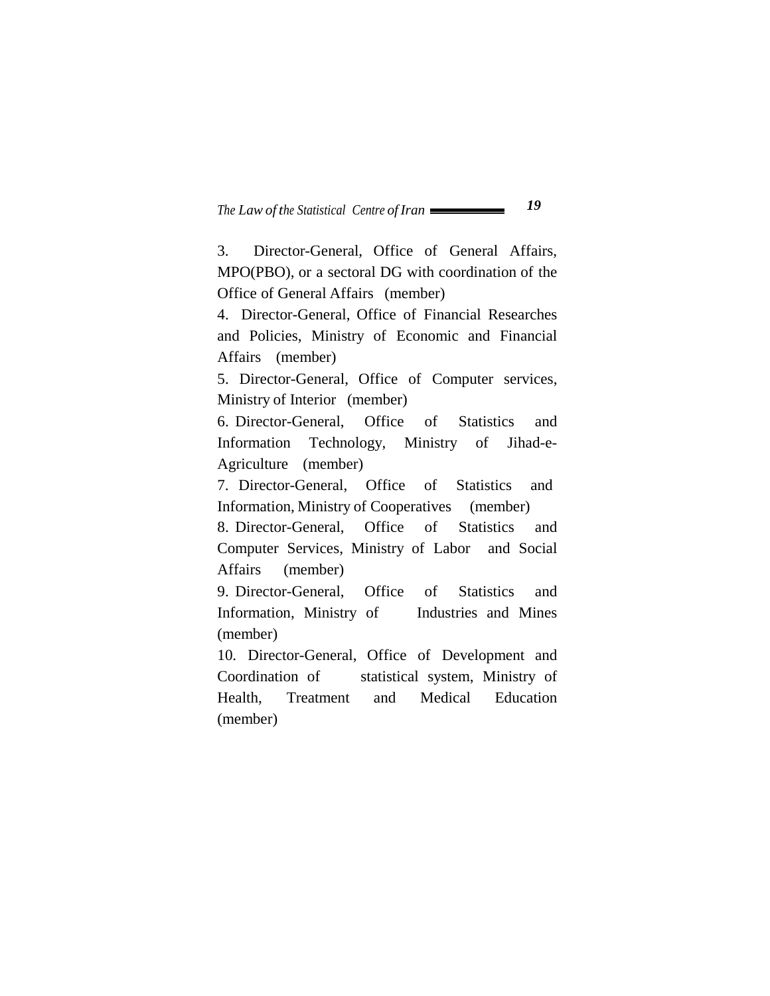3. Director-General, Office of General Affairs, MPO(PBO), or a sectoral DG with coordination of the Office of General Affairs (member)

4. Director-General, Office of Financial Researches and Policies, Ministry of Economic and Financial Affairs (member)

5. Director-General, Office of Computer services, Ministry of Interior (member)

6. Director-General, Office of Statistics and Information Technology, Ministry of Jihad-e-Agriculture (member)

7. Director-General, Office of Statistics and Information, Ministry of Cooperatives (member)

8. Director-General, Office of Statistics and Computer Services, Ministry of Labor and Social Affairs (member)

9. Director-General, Office of Statistics and Information, Ministry of Industries and Mines (member)

10. Director-General, Office of Development and Coordination of statistical system, Ministry of Health, Treatment and Medical Education (member)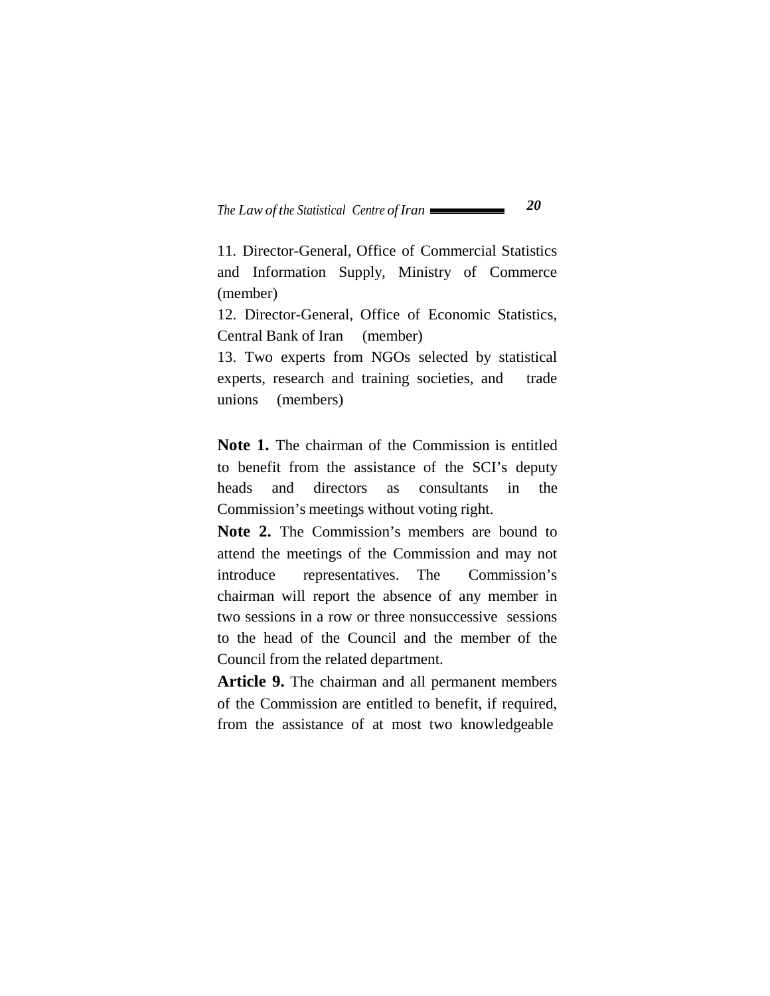11. Director-General, Office of Commercial Statistics and Information Supply, Ministry of Commerce (member)

12. Director-General, Office of Economic Statistics, Central Bank of Iran (member)

13. Two experts from NGOs selected by statistical experts, research and training societies, and trade unions (members)

**Note 1.** The chairman of the Commission is entitled to benefit from the assistance of the SCI's deputy heads and directors as consultants in the Commission's meetings without voting right.

**Note 2.** The Commission's members are bound to attend the meetings of the Commission and may not introduce representatives. The Commission's chairman will report the absence of any member in two sessions in a row or three nonsuccessive sessions to the head of the Council and the member of the Council from the related department.

**Article 9.** The chairman and all permanent members of the Commission are entitled to benefit, if required, from the assistance of at most two knowledgeable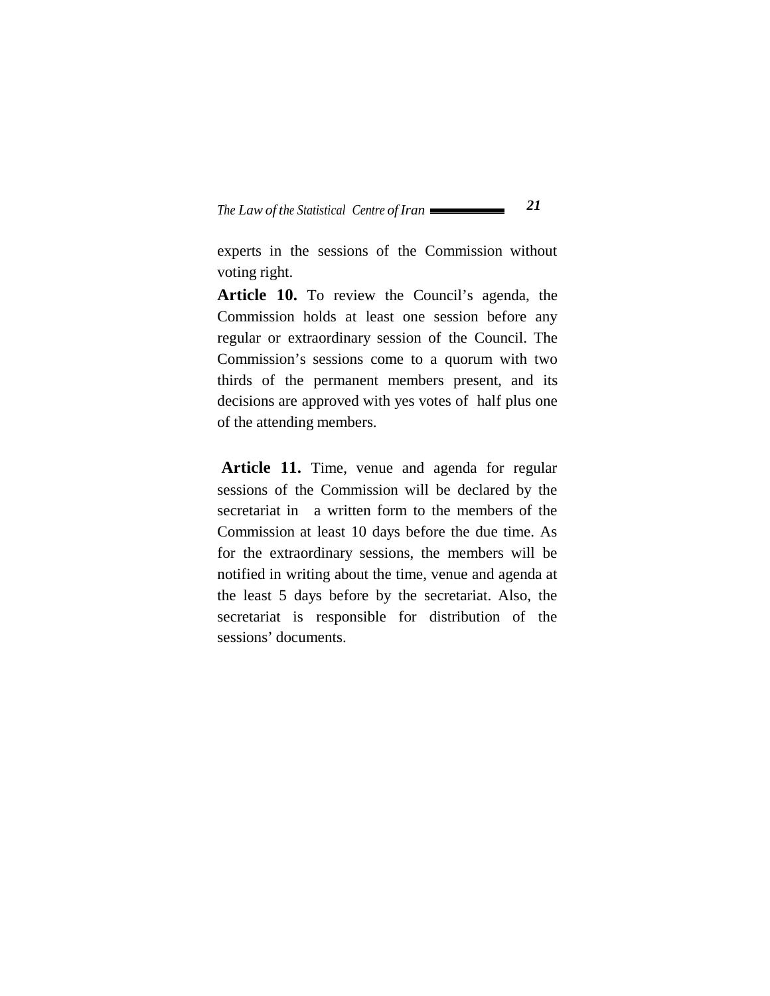experts in the sessions of the Commission without voting right.

**Article 10.** To review the Council's agenda, the Commission holds at least one session before any regular or extraordinary session of the Council. The Commission's sessions come to a quorum with two thirds of the permanent members present, and its decisions are approved with yes votes of half plus one of the attending members.

**Article 11.** Time, venue and agenda for regular sessions of the Commission will be declared by the secretariat in a written form to the members of the Commission at least 10 days before the due time. As for the extraordinary sessions, the members will be notified in writing about the time, venue and agenda at the least 5 days before by the secretariat. Also, the secretariat is responsible for distribution of the sessions' documents.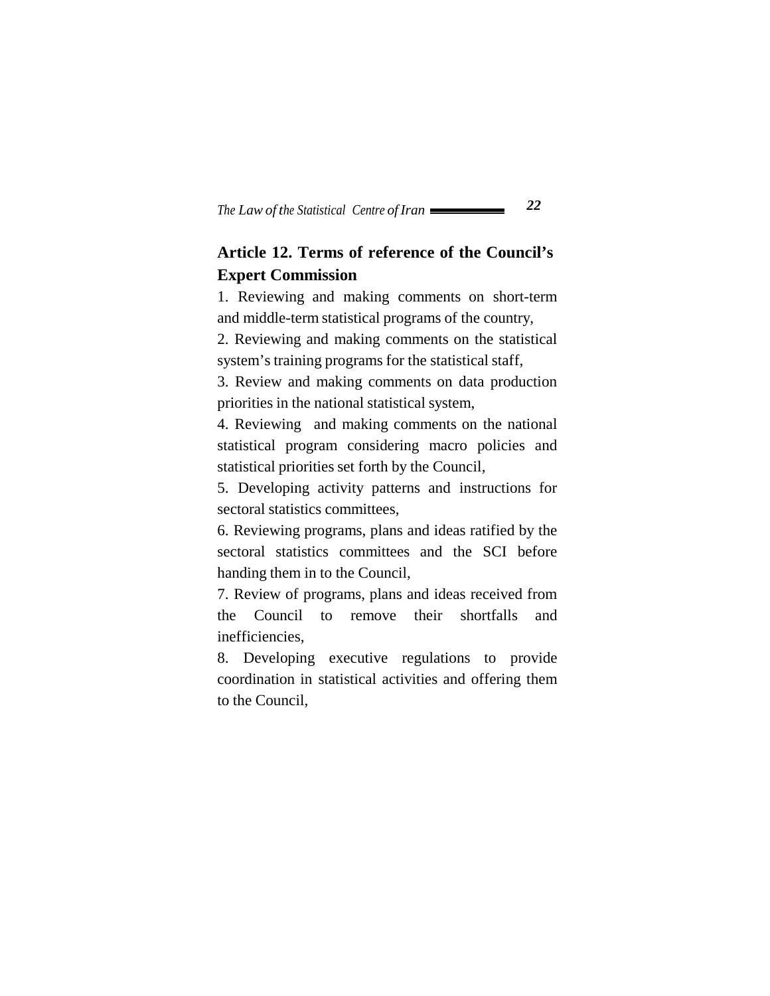# **Article 12. Terms of reference of the Council's Expert Commission**

1. Reviewing and making comments on short-term and middle-term statistical programs of the country,

2. Reviewing and making comments on the statistical system's training programs for the statistical staff,

3. Review and making comments on data production priorities in the national statistical system,

4. Reviewing and making comments on the national statistical program considering macro policies and statistical priorities set forth by the Council,

5. Developing activity patterns and instructions for sectoral statistics committees,

6. Reviewing programs, plans and ideas ratified by the sectoral statistics committees and the SCI before handing them in to the Council,

7. Review of programs, plans and ideas received from the Council to remove their shortfalls and inefficiencies,

8. Developing executive regulations to provide coordination in statistical activities and offering them to the Council,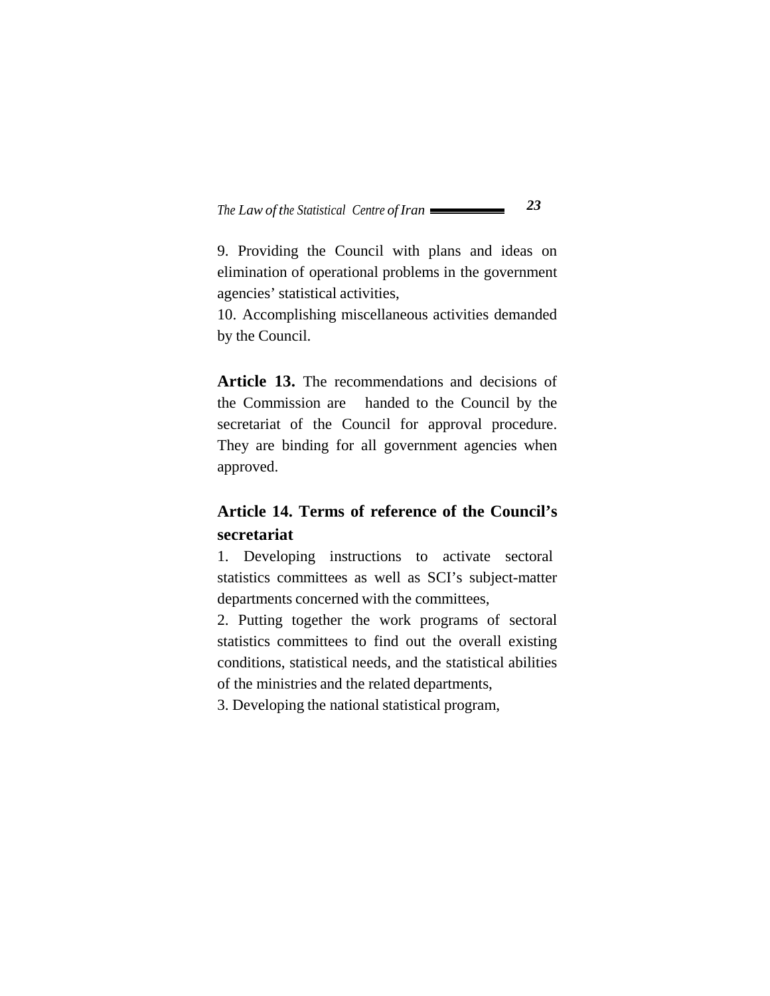9. Providing the Council with plans and ideas on elimination of operational problems in the government agencies' statistical activities,

10. Accomplishing miscellaneous activities demanded by the Council.

**Article 13.** The recommendations and decisions of the Commission are handed to the Council by the secretariat of the Council for approval procedure. They are binding for all government agencies when approved.

# **Article 14. Terms of reference of the Council's secretariat**

1. Developing instructions to activate sectoral statistics committees as well as SCI's subject-matter departments concerned with the committees,

2. Putting together the work programs of sectoral statistics committees to find out the overall existing conditions, statistical needs, and the statistical abilities of the ministries and the related departments,

3. Developing the national statistical program,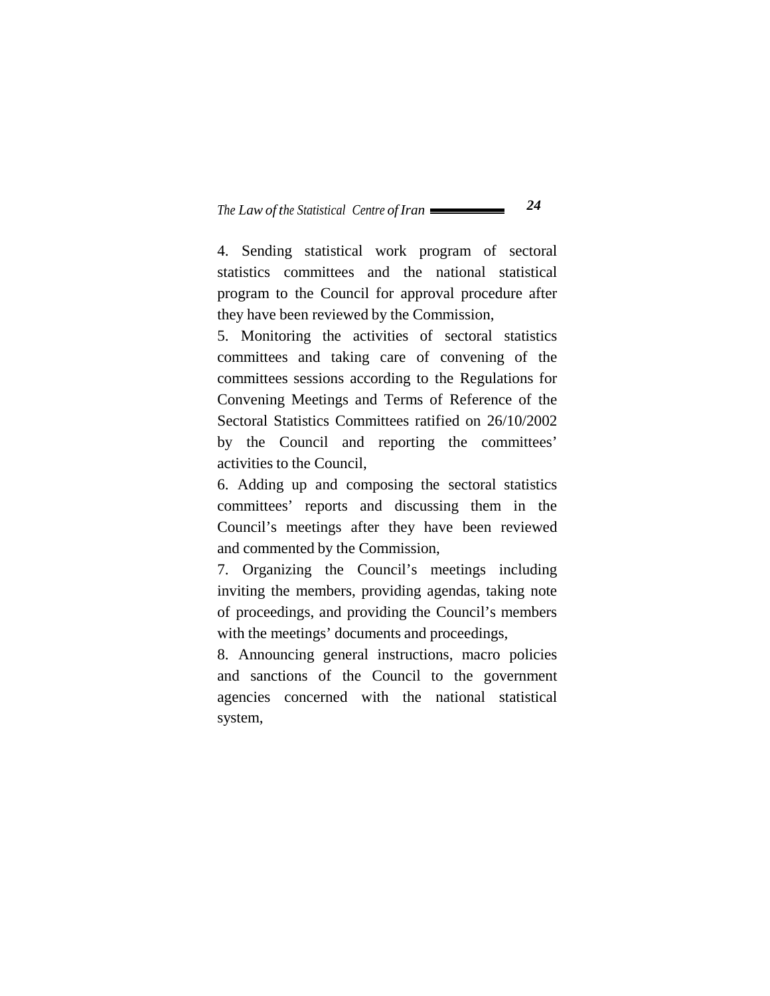4. Sending statistical work program of sectoral statistics committees and the national statistical program to the Council for approval procedure after they have been reviewed by the Commission,

5. Monitoring the activities of sectoral statistics committees and taking care of convening of the committees sessions according to the Regulations for Convening Meetings and Terms of Reference of the Sectoral Statistics Committees ratified on 26/10/2002 by the Council and reporting the committees' activities to the Council,

6. Adding up and composing the sectoral statistics committees' reports and discussing them in the Council's meetings after they have been reviewed and commented by the Commission,

7. Organizing the Council's meetings including inviting the members, providing agendas, taking note of proceedings, and providing the Council's members with the meetings' documents and proceedings,

8. Announcing general instructions, macro policies and sanctions of the Council to the government agencies concerned with the national statistical system,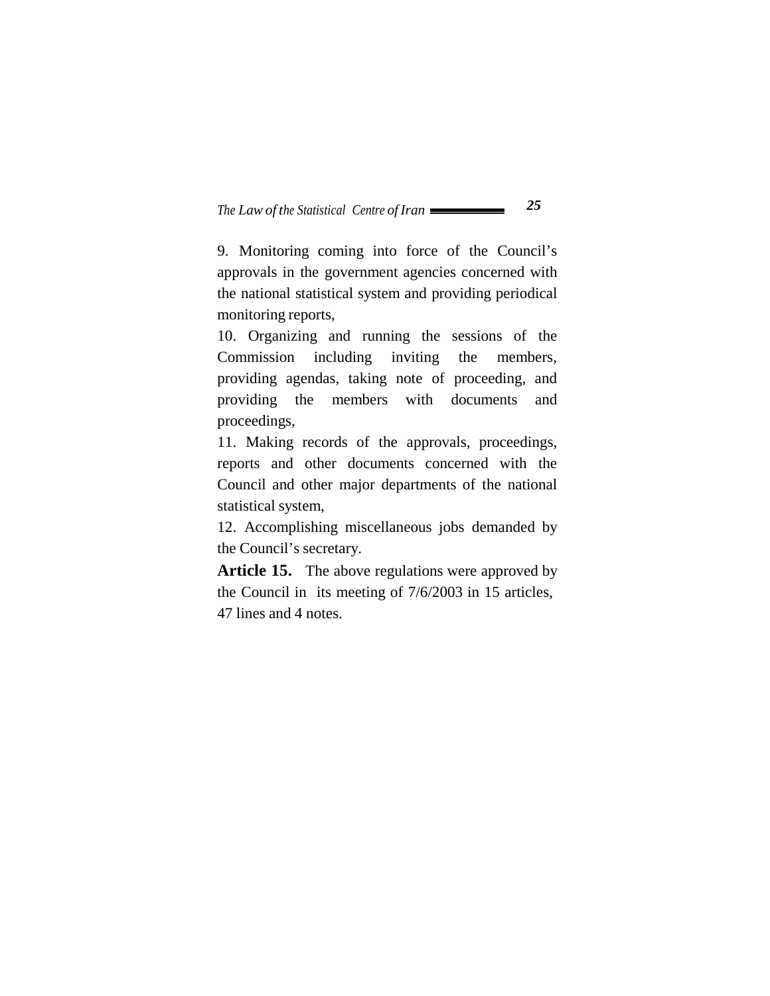9. Monitoring coming into force of the Council's approvals in the government agencies concerned with the national statistical system and providing periodical monitoring reports,

10. Organizing and running the sessions of the Commission including inviting the members, providing agendas, taking note of proceeding, and providing the members with documents and proceedings,

11. Making records of the approvals, proceedings, reports and other documents concerned with the Council and other major departments of the national statistical system,

12. Accomplishing miscellaneous jobs demanded by the Council's secretary.

Article 15. The above regulations were approved by the Council in its meeting of 7/6/2003 in 15 articles, 47 lines and 4 notes.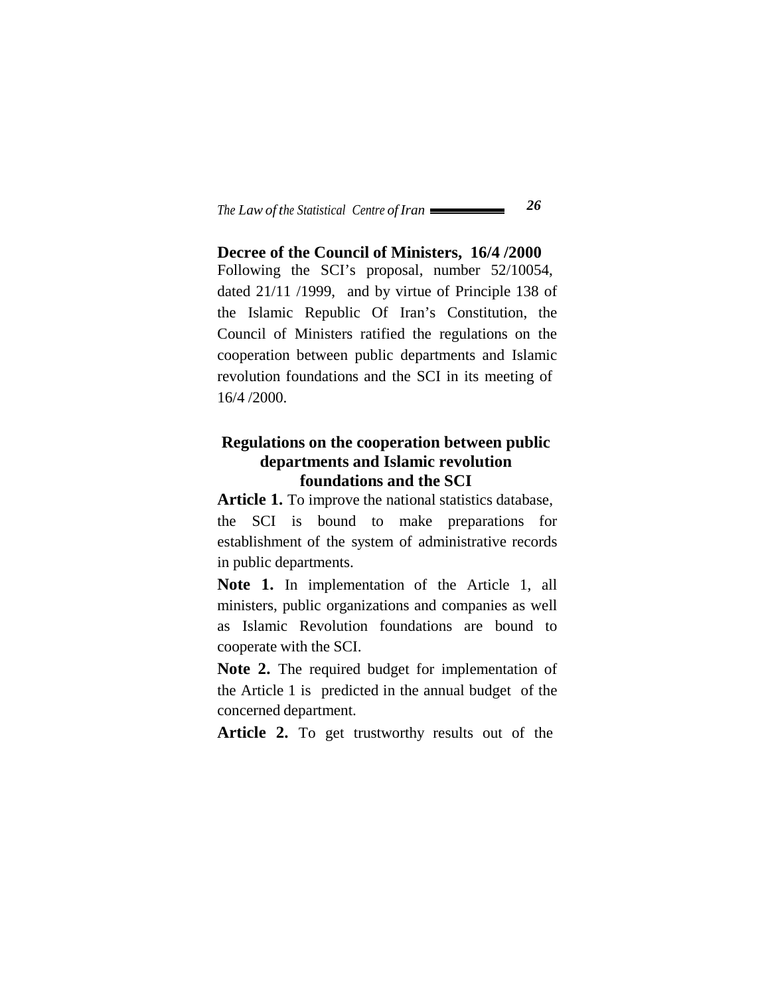**Decree of the Council of Ministers, 16/4 /2000** Following the SCI's proposal, number 52/10054, dated 21/11 /1999, and by virtue of Principle 138 of the Islamic Republic Of Iran's Constitution, the Council of Ministers ratified the regulations on the cooperation between public departments and Islamic revolution foundations and the SCI in its meeting of 16/4 /2000.

### **Regulations on the cooperation between public departments and Islamic revolution foundations and the SCI**

Article 1. To improve the national statistics database, the SCI is bound to make preparations for establishment of the system of administrative records in public departments.

**Note 1.** In implementation of the Article 1, all ministers, public organizations and companies as well as Islamic Revolution foundations are bound to cooperate with the SCI.

**Note 2.** The required budget for implementation of the Article 1 is predicted in the annual budget of the concerned department.

Article 2. To get trustworthy results out of the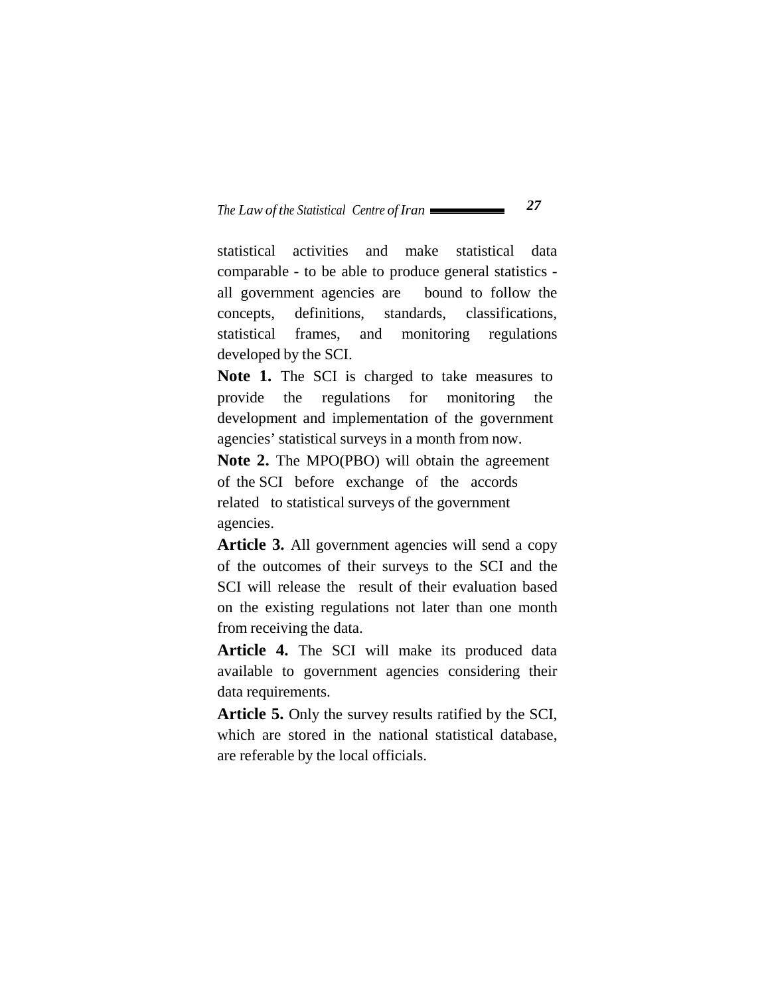statistical activities and make statistical data comparable - to be able to produce general statistics all government agencies are bound to follow the concepts, definitions, standards, classifications, statistical frames, and monitoring regulations developed by the SCI.

**Note 1.** The SCI is charged to take measures to provide the regulations for monitoring the development and implementation of the government agencies' statistical surveys in a month from now.

**Note 2.** The MPO(PBO) will obtain the agreement of the SCI before exchange of the accords related to statistical surveys of the government agencies.

**Article 3.** All government agencies will send a copy of the outcomes of their surveys to the SCI and the SCI will release the result of their evaluation based on the existing regulations not later than one month from receiving the data.

**Article 4.** The SCI will make its produced data available to government agencies considering their data requirements.

**Article 5.** Only the survey results ratified by the SCI, which are stored in the national statistical database, are referable by the local officials.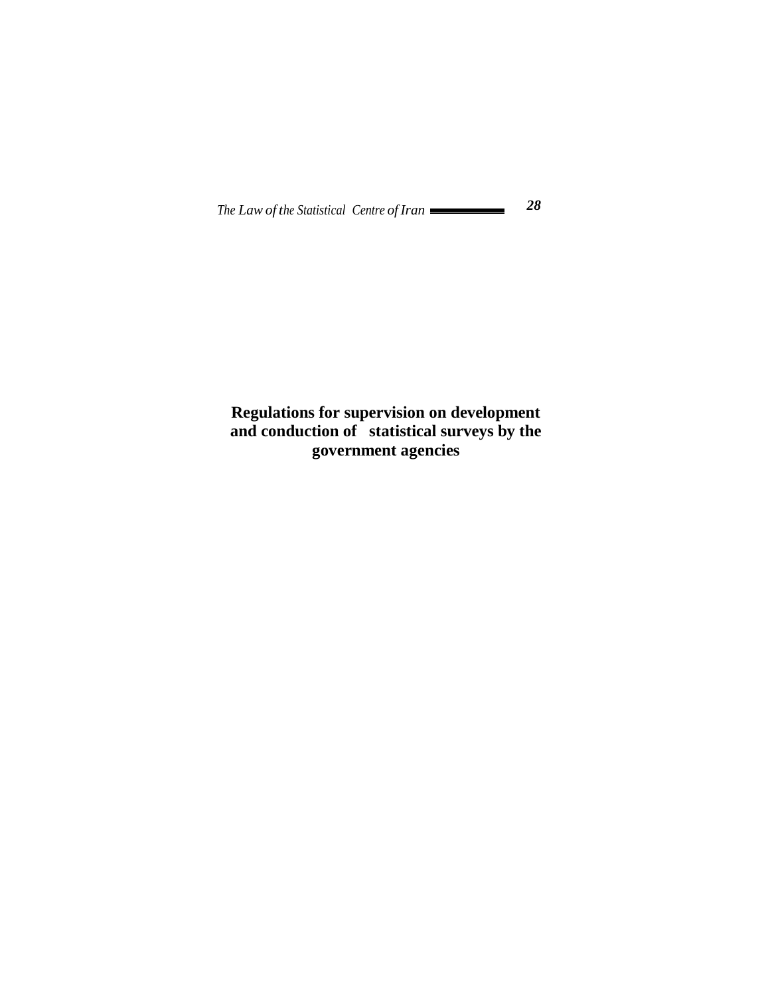# **Regulations for supervision on development and conduction of statistical surveys by the government agencies**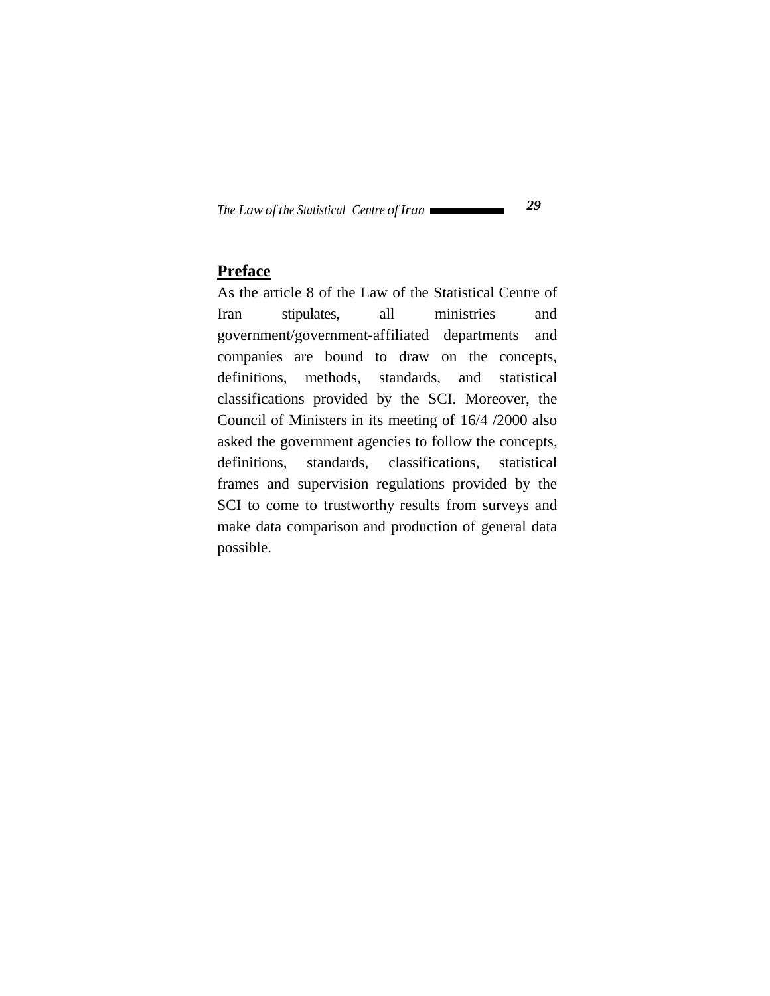#### **Preface**

As the article 8 of the Law of the Statistical Centre of Iran stipulates, all ministries and government/government-affiliated departments and companies are bound to draw on the concepts, definitions, methods, standards, and statistical classifications provided by the SCI. Moreover, the Council of Ministers in its meeting of 16/4 /2000 also asked the government agencies to follow the concepts, definitions, standards, classifications, statistical frames and supervision regulations provided by the SCI to come to trustworthy results from surveys and make data comparison and production of general data possible.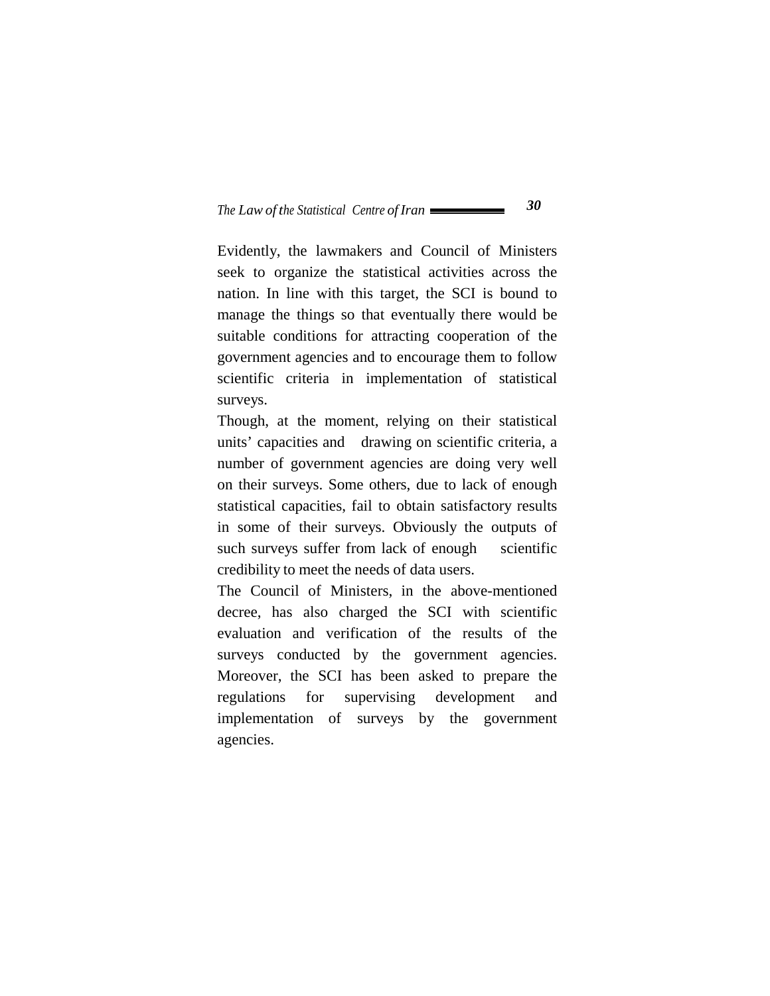Evidently, the lawmakers and Council of Ministers seek to organize the statistical activities across the nation. In line with this target, the SCI is bound to manage the things so that eventually there would be suitable conditions for attracting cooperation of the government agencies and to encourage them to follow scientific criteria in implementation of statistical surveys.

Though, at the moment, relying on their statistical units' capacities and drawing on scientific criteria, a number of government agencies are doing very well on their surveys. Some others, due to lack of enough statistical capacities, fail to obtain satisfactory results in some of their surveys. Obviously the outputs of such surveys suffer from lack of enough scientific credibility to meet the needs of data users.

The Council of Ministers, in the above-mentioned decree, has also charged the SCI with scientific evaluation and verification of the results of the surveys conducted by the government agencies. Moreover, the SCI has been asked to prepare the regulations for supervising development and implementation of surveys by the government agencies.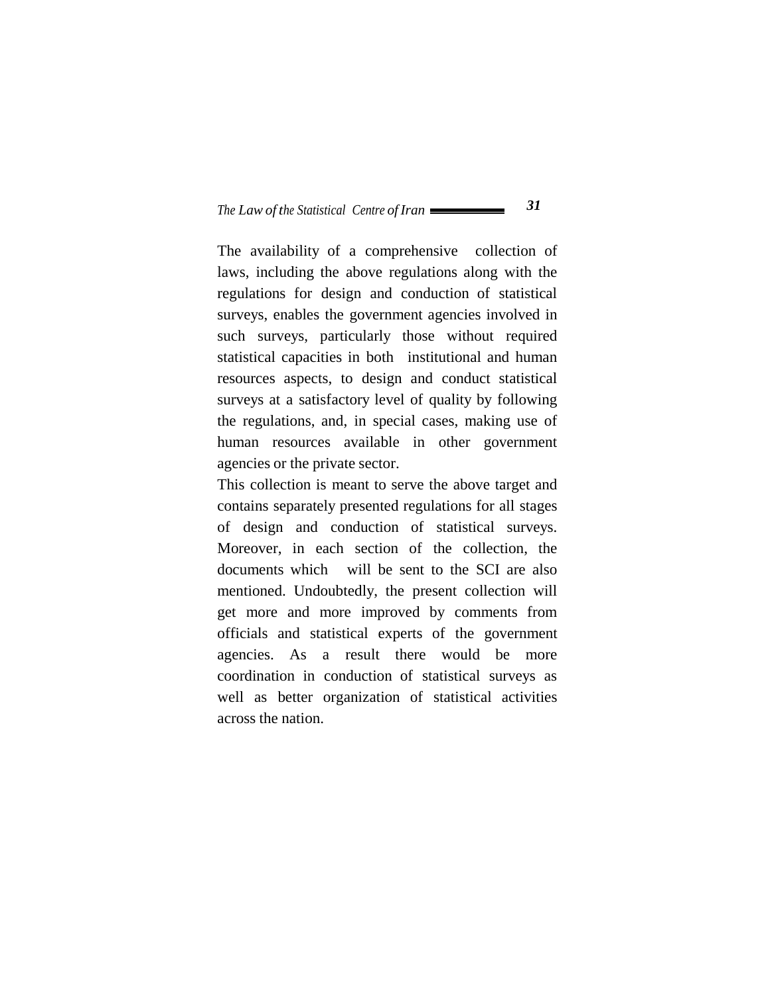The availability of a comprehensive collection of laws, including the above regulations along with the regulations for design and conduction of statistical surveys, enables the government agencies involved in such surveys, particularly those without required statistical capacities in both institutional and human resources aspects, to design and conduct statistical surveys at a satisfactory level of quality by following the regulations, and, in special cases, making use of human resources available in other government agencies or the private sector.

This collection is meant to serve the above target and contains separately presented regulations for all stages of design and conduction of statistical surveys. Moreover, in each section of the collection, the documents which will be sent to the SCI are also mentioned. Undoubtedly, the present collection will get more and more improved by comments from officials and statistical experts of the government agencies. As a result there would be more coordination in conduction of statistical surveys as well as better organization of statistical activities across the nation.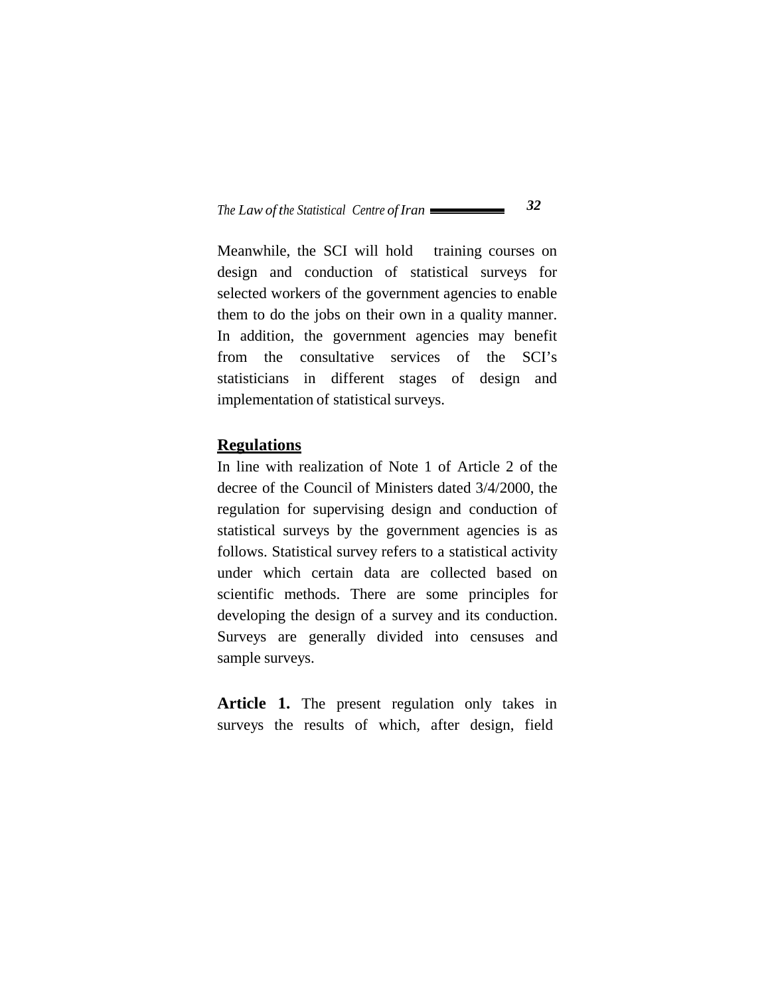Meanwhile, the SCI will hold training courses on design and conduction of statistical surveys for selected workers of the government agencies to enable them to do the jobs on their own in a quality manner. In addition, the government agencies may benefit from the consultative services of the SCI's statisticians in different stages of design and implementation of statistical surveys.

#### **Regulations**

In line with realization of Note 1 of Article 2 of the decree of the Council of Ministers dated 3/4/2000, the regulation for supervising design and conduction of statistical surveys by the government agencies is as follows. Statistical survey refers to a statistical activity under which certain data are collected based on scientific methods. There are some principles for developing the design of a survey and its conduction. Surveys are generally divided into censuses and sample surveys.

**Article 1.** The present regulation only takes in surveys the results of which, after design, field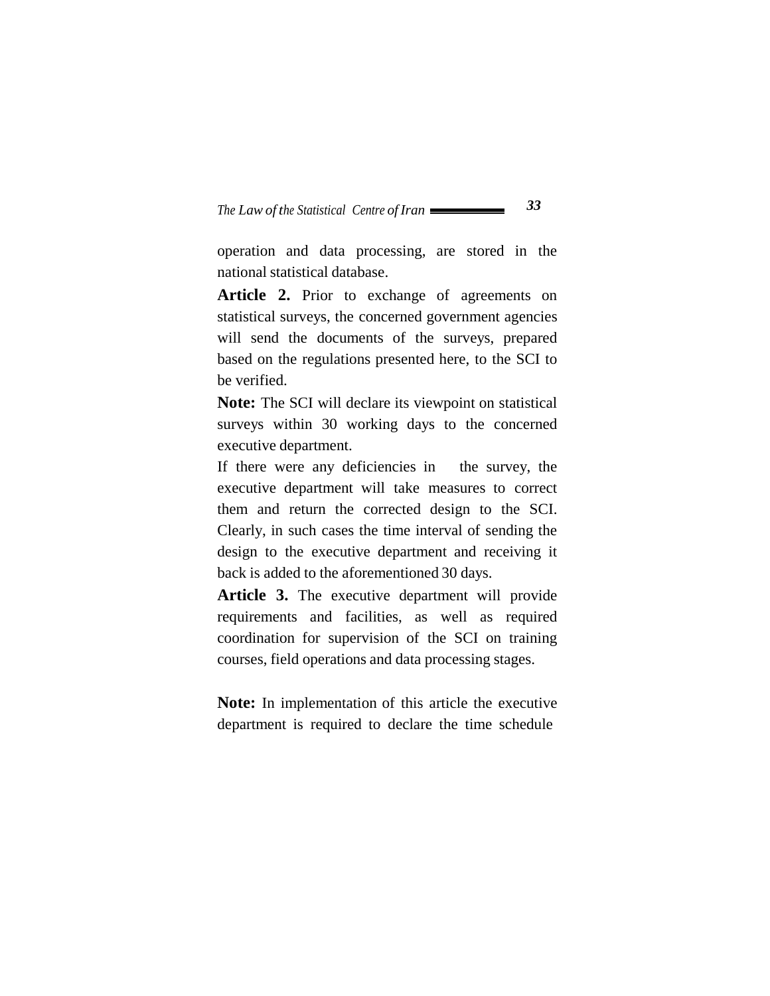operation and data processing, are stored in the national statistical database.

Article 2. Prior to exchange of agreements on statistical surveys, the concerned government agencies will send the documents of the surveys, prepared based on the regulations presented here, to the SCI to be verified.

**Note:** The SCI will declare its viewpoint on statistical surveys within 30 working days to the concerned executive department.

If there were any deficiencies in the survey, the executive department will take measures to correct them and return the corrected design to the SCI. Clearly, in such cases the time interval of sending the design to the executive department and receiving it back is added to the aforementioned 30 days.

Article 3. The executive department will provide requirements and facilities, as well as required coordination for supervision of the SCI on training courses, field operations and data processing stages.

**Note:** In implementation of this article the executive department is required to declare the time schedule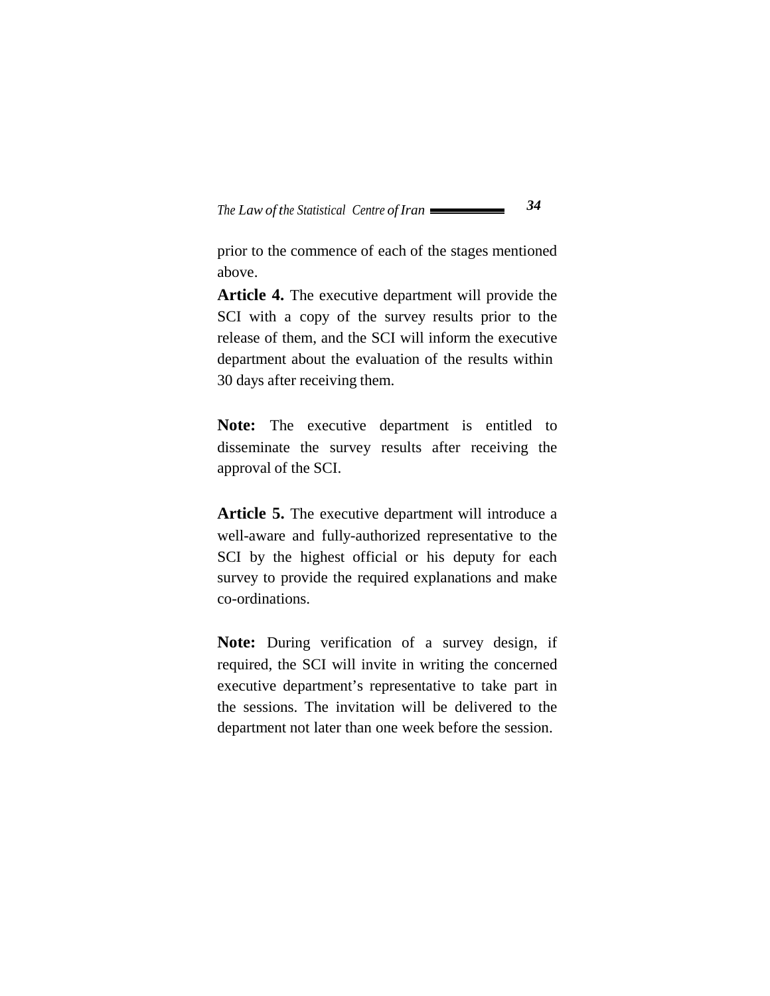prior to the commence of each of the stages mentioned above.

**Article 4.** The executive department will provide the SCI with a copy of the survey results prior to the release of them, and the SCI will inform the executive department about the evaluation of the results within 30 days after receiving them.

**Note:** The executive department is entitled to disseminate the survey results after receiving the approval of the SCI.

**Article 5.** The executive department will introduce a well-aware and fully-authorized representative to the SCI by the highest official or his deputy for each survey to provide the required explanations and make co-ordinations.

**Note:** During verification of a survey design, if required, the SCI will invite in writing the concerned executive department's representative to take part in the sessions. The invitation will be delivered to the department not later than one week before the session.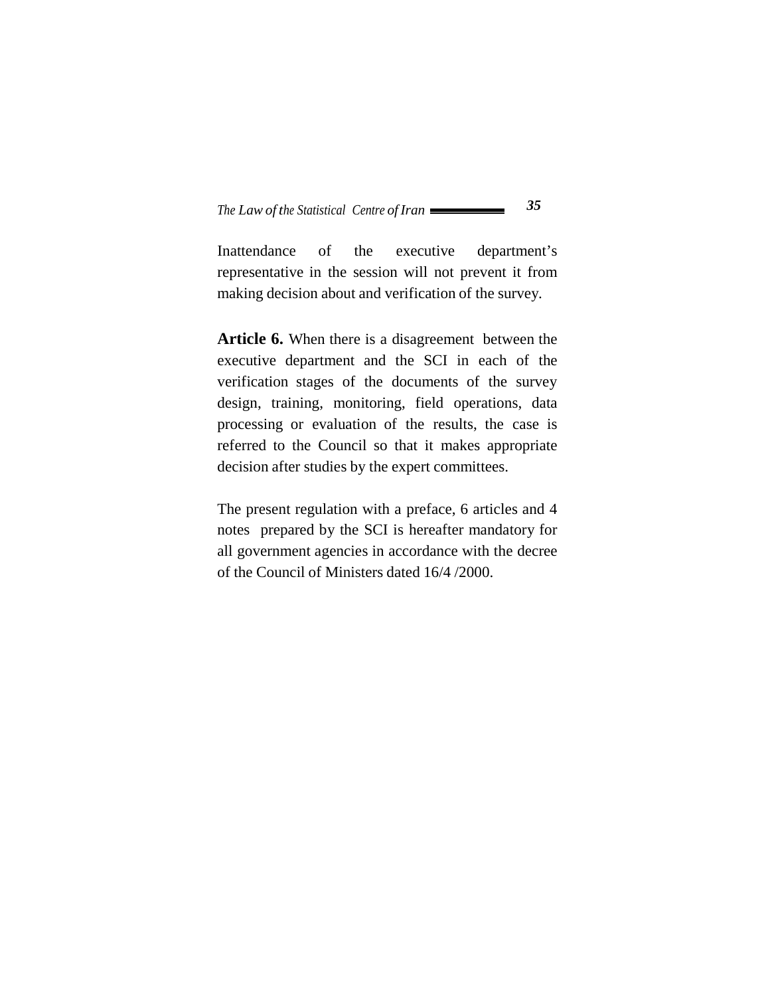Inattendance of the executive department's representative in the session will not prevent it from making decision about and verification of the survey.

**Article 6.** When there is a disagreement between the executive department and the SCI in each of the verification stages of the documents of the survey design, training, monitoring, field operations, data processing or evaluation of the results, the case is referred to the Council so that it makes appropriate decision after studies by the expert committees.

The present regulation with a preface, 6 articles and 4 notes prepared by the SCI is hereafter mandatory for all government agencies in accordance with the decree of the Council of Ministers dated 16/4 /2000.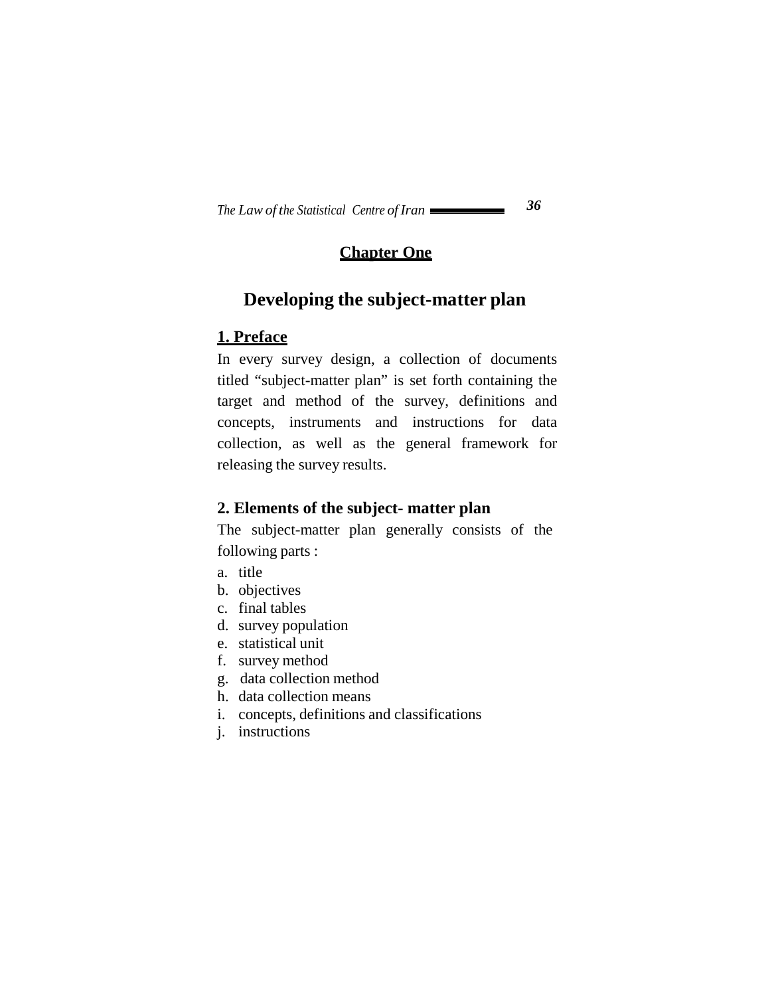### **Chapter One**

# **Developing the subject-matter plan**

#### **1. Preface**

In every survey design, a collection of documents titled "subject-matter plan" is set forth containing the target and method of the survey, definitions and concepts, instruments and instructions for data collection, as well as the general framework for releasing the survey results.

### **2. Elements of the subject- matter plan**

The subject-matter plan generally consists of the following parts :

- a. title
- b. objectives
- c. final tables
- d. survey population
- e. statistical unit
- f. survey method
- g. data collection method
- h. data collection means
- i. concepts, definitions and classifications
- j. instructions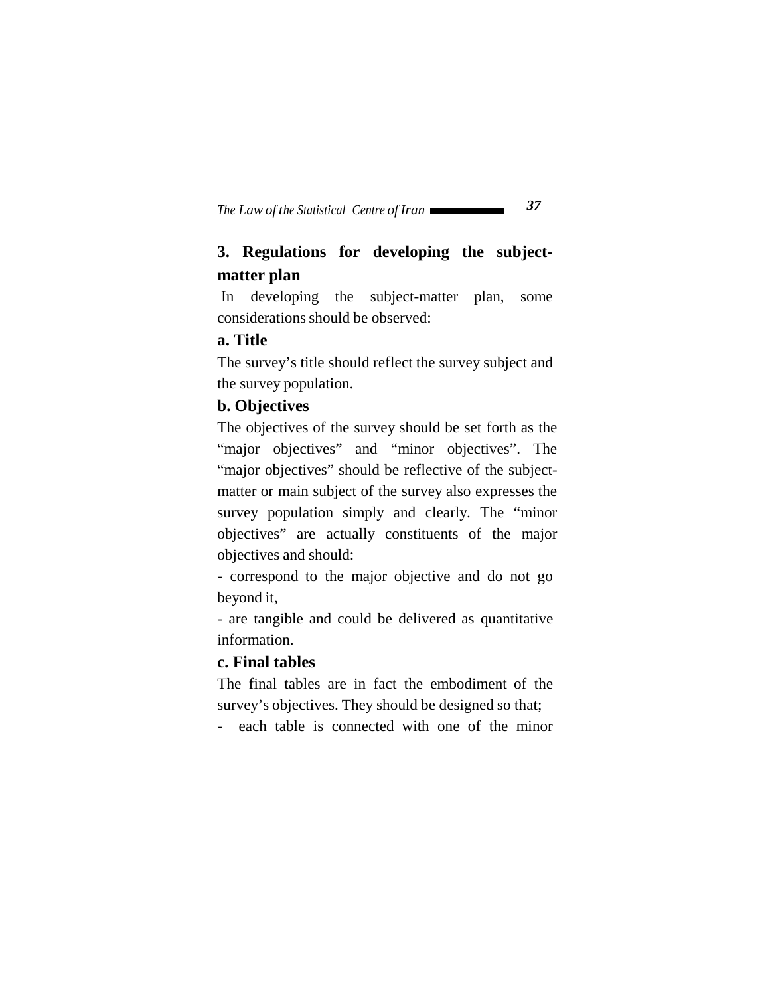# **3. Regulations for developing the subjectmatter plan**

In developing the subject-matter plan, some considerations should be observed:

#### **a. Title**

The survey's title should reflect the survey subject and the survey population.

#### **b. Objectives**

The objectives of the survey should be set forth as the "major objectives" and "minor objectives". The "major objectives" should be reflective of the subjectmatter or main subject of the survey also expresses the survey population simply and clearly. The "minor objectives" are actually constituents of the major objectives and should:

- correspond to the major objective and do not go beyond it,

- are tangible and could be delivered as quantitative information.

#### **c. Final tables**

The final tables are in fact the embodiment of the survey's objectives. They should be designed so that;

- each table is connected with one of the minor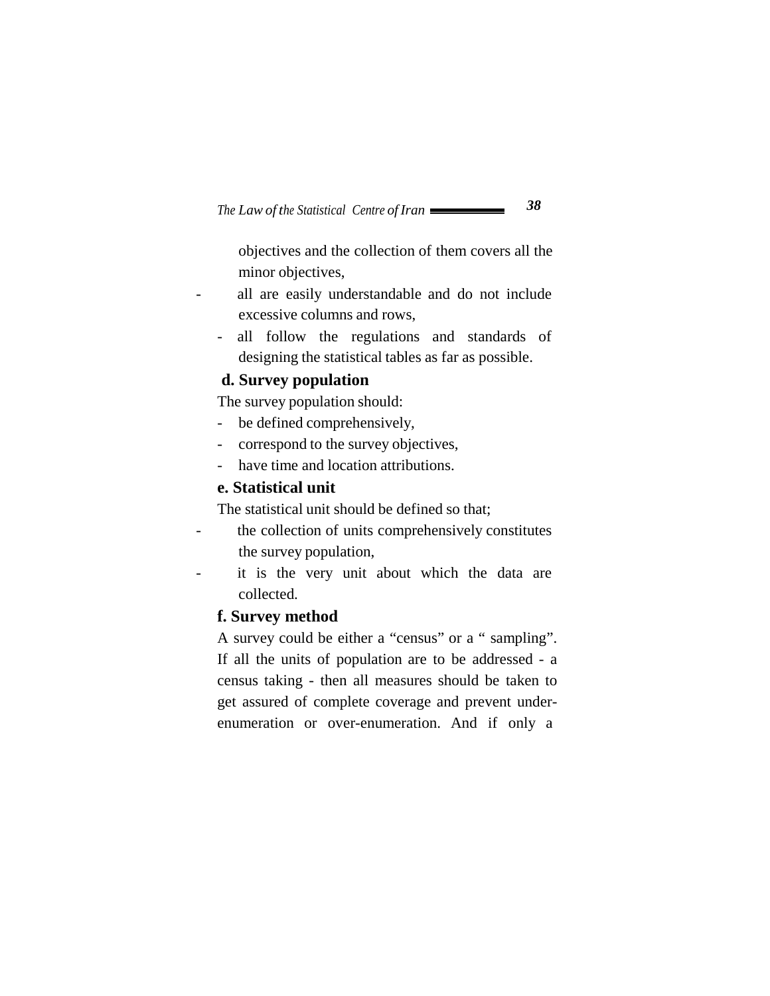objectives and the collection of them covers all the minor objectives,

- all are easily understandable and do not include excessive columns and rows,
	- all follow the regulations and standards of designing the statistical tables as far as possible.

#### **d. Survey population**

The survey population should:

- be defined comprehensively,
- correspond to the survey objectives,
- have time and location attributions.

#### **e. Statistical unit**

The statistical unit should be defined so that;

- the collection of units comprehensively constitutes the survey population,
- it is the very unit about which the data are collected.

#### **f. Survey method**

A survey could be either a "census" or a " sampling". If all the units of population are to be addressed - a census taking - then all measures should be taken to get assured of complete coverage and prevent underenumeration or over-enumeration. And if only a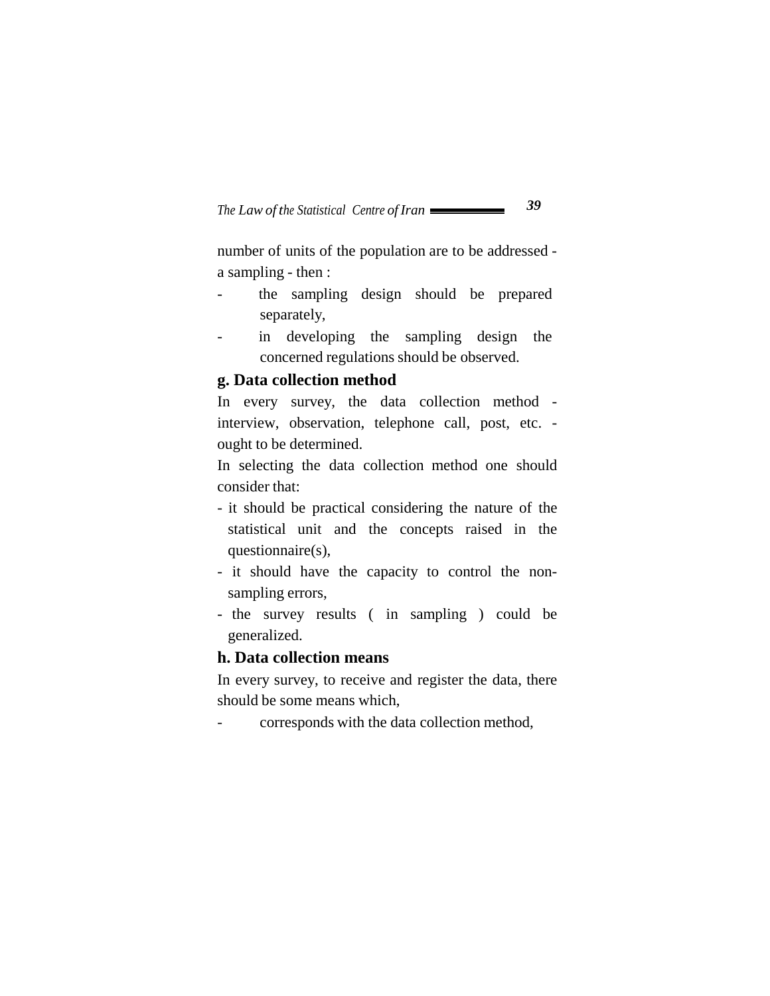number of units of the population are to be addressed a sampling - then :

- the sampling design should be prepared separately,
- in developing the sampling design the concerned regulations should be observed.

#### **g. Data collection method**

In every survey, the data collection method interview, observation, telephone call, post, etc. ought to be determined.

In selecting the data collection method one should consider that:

- it should be practical considering the nature of the statistical unit and the concepts raised in the questionnaire(s),
- it should have the capacity to control the nonsampling errors,
- the survey results ( in sampling ) could be generalized.

#### **h. Data collection means**

In every survey, to receive and register the data, there should be some means which,

- corresponds with the data collection method,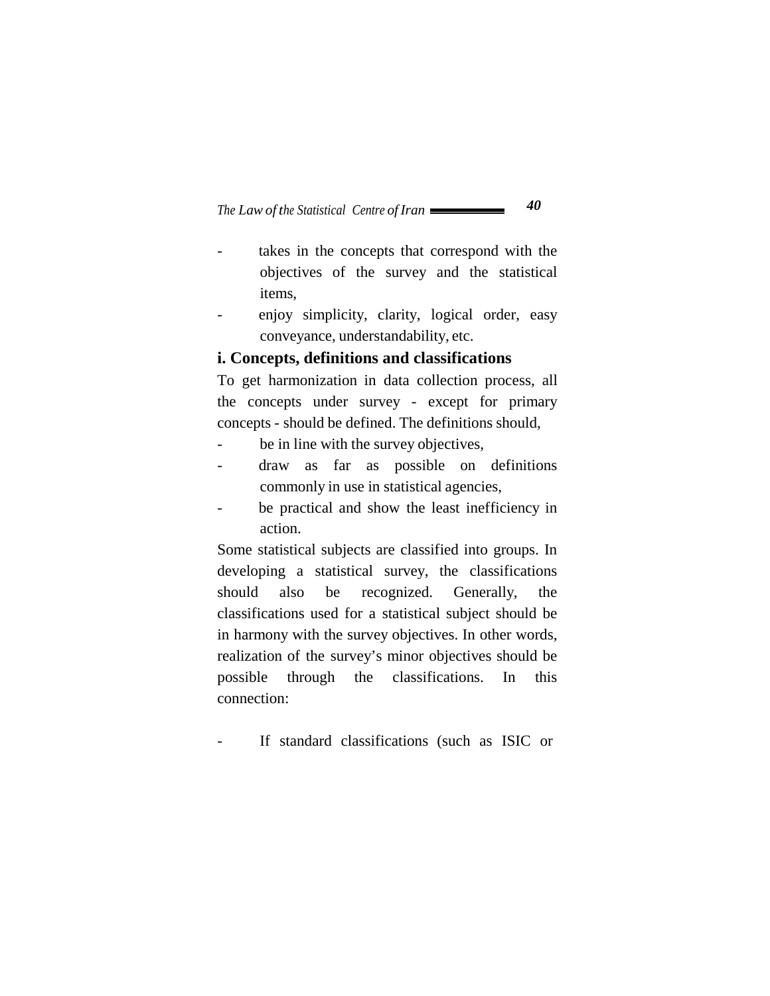- takes in the concepts that correspond with the objectives of the survey and the statistical items,
- enjoy simplicity, clarity, logical order, easy conveyance, understandability, etc.

#### **i. Concepts, definitions and classifications**

To get harmonization in data collection process, all the concepts under survey - except for primary concepts - should be defined. The definitions should,

- be in line with the survey objectives,
- draw as far as possible on definitions commonly in use in statistical agencies,
- be practical and show the least inefficiency in action.

Some statistical subjects are classified into groups. In developing a statistical survey, the classifications should also be recognized. Generally, the classifications used for a statistical subject should be in harmony with the survey objectives. In other words, realization of the survey's minor objectives should be possible through the classifications. In this connection:

If standard classifications (such as ISIC or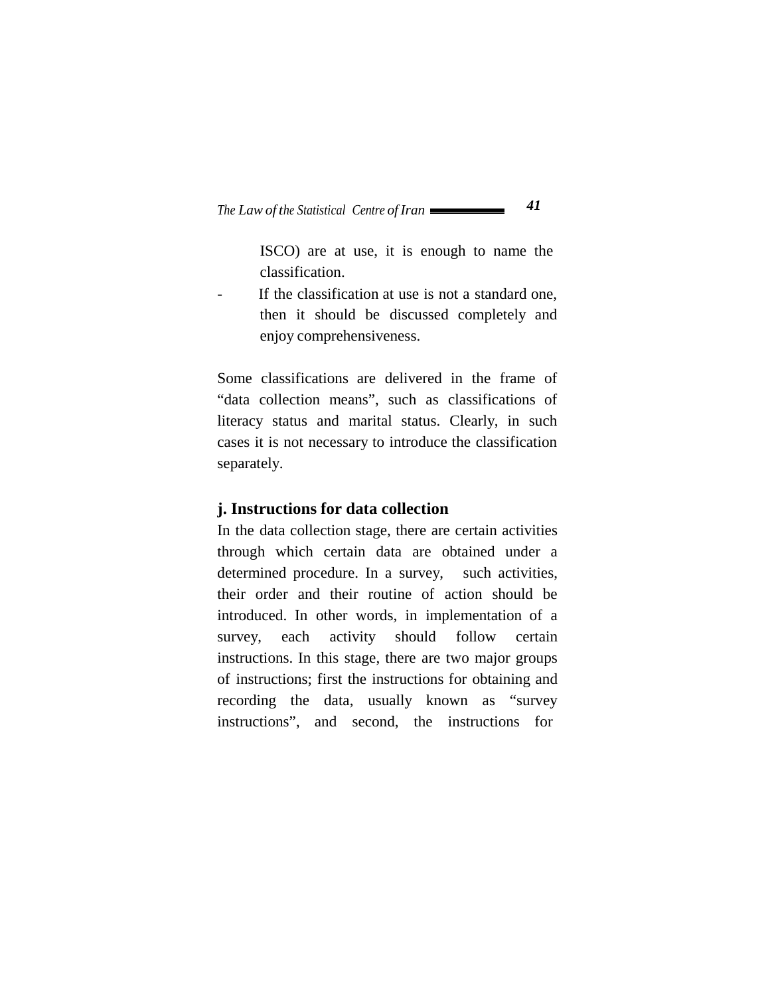ISCO) are at use, it is enough to name the classification.

- If the classification at use is not a standard one, then it should be discussed completely and enjoy comprehensiveness.

Some classifications are delivered in the frame of "data collection means", such as classifications of literacy status and marital status. Clearly, in such cases it is not necessary to introduce the classification separately.

#### **j. Instructions for data collection**

In the data collection stage, there are certain activities through which certain data are obtained under a determined procedure. In a survey, such activities, their order and their routine of action should be introduced. In other words, in implementation of a survey, each activity should follow certain instructions. In this stage, there are two major groups of instructions; first the instructions for obtaining and recording the data, usually known as "survey instructions", and second, the instructions for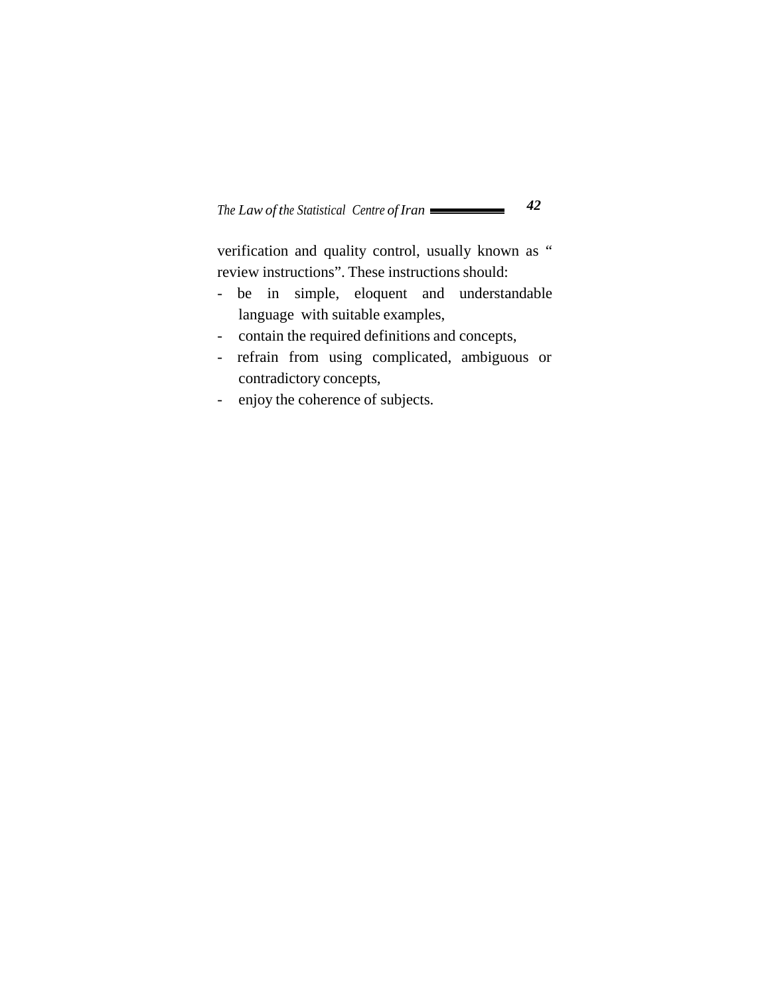verification and quality control, usually known as " review instructions". These instructions should:

- be in simple, eloquent and understandable language with suitable examples,
- contain the required definitions and concepts,
- refrain from using complicated, ambiguous or contradictory concepts,
- enjoy the coherence of subjects.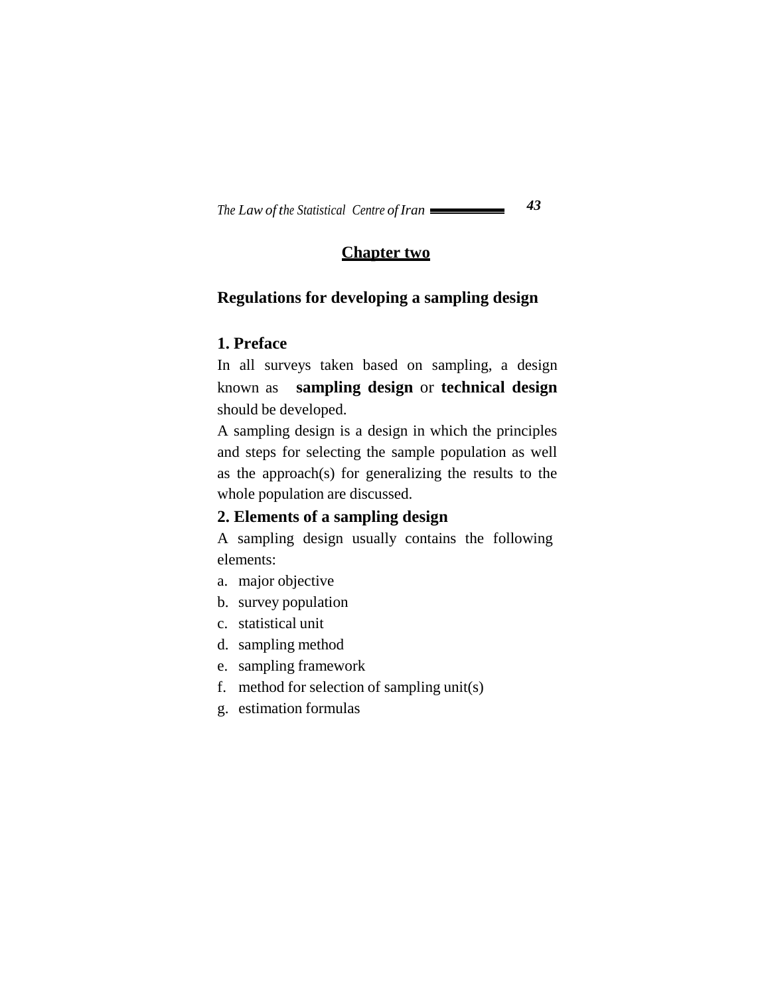## **Chapter two**

## **Regulations for developing a sampling design**

#### **1. Preface**

In all surveys taken based on sampling, a design known as **sampling design** or **technical design**  should be developed.

A sampling design is a design in which the principles and steps for selecting the sample population as well as the approach(s) for generalizing the results to the whole population are discussed.

## **2. Elements of a sampling design**

A sampling design usually contains the following elements:

- a. major objective
- b. survey population
- c. statistical unit
- d. sampling method
- e. sampling framework
- f. method for selection of sampling unit(s)
- g. estimation formulas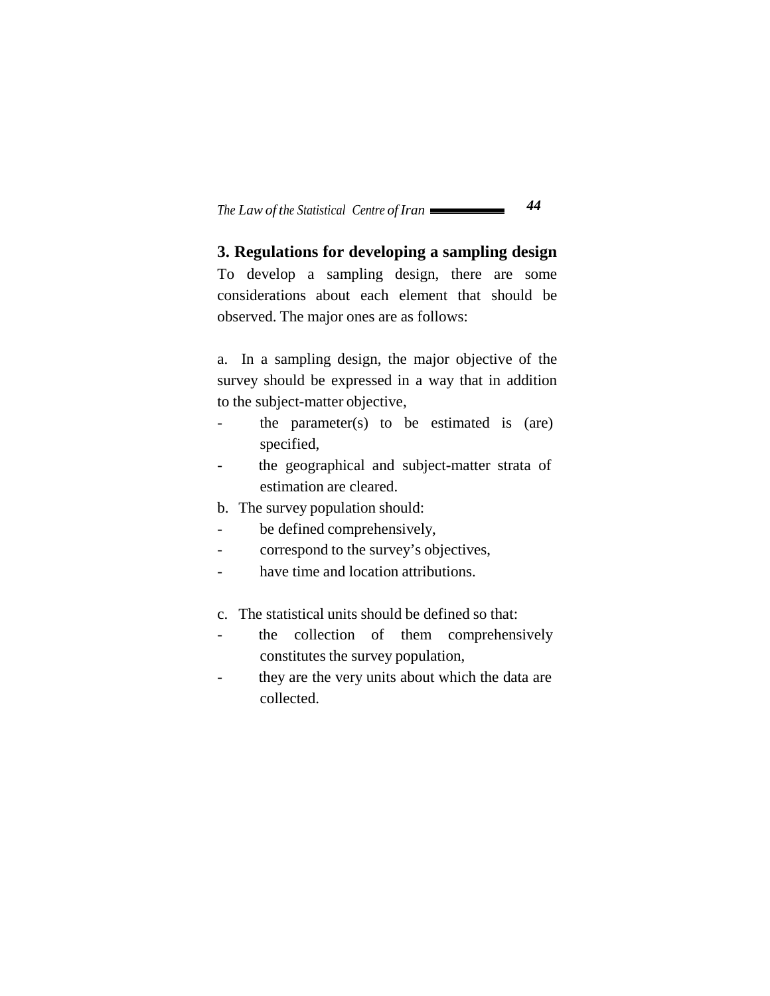**3. Regulations for developing a sampling design**  To develop a sampling design, there are some considerations about each element that should be observed. The major ones are as follows:

a. In a sampling design, the major objective of the survey should be expressed in a way that in addition to the subject-matter objective,

- the parameter(s) to be estimated is  $(are)$ specified,
- the geographical and subject-matter strata of estimation are cleared.
- b. The survey population should:
- be defined comprehensively,
- correspond to the survey's objectives,
- have time and location attributions.
- c. The statistical units should be defined so that:
- the collection of them comprehensively constitutes the survey population,
- they are the very units about which the data are collected.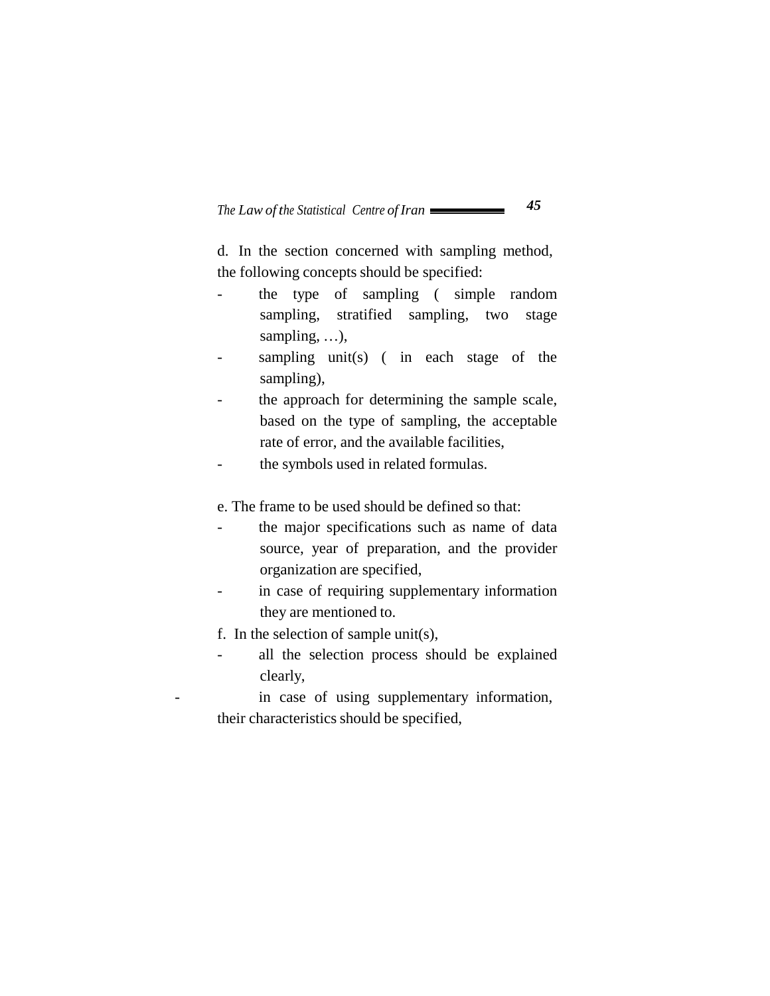d. In the section concerned with sampling method, the following concepts should be specified:

- the type of sampling ( simple random sampling, stratified sampling, two stage sampling, …),
- sampling unit(s) (in each stage of the sampling),
- the approach for determining the sample scale, based on the type of sampling, the acceptable rate of error, and the available facilities,
- the symbols used in related formulas.

e. The frame to be used should be defined so that:

- the major specifications such as name of data source, year of preparation, and the provider organization are specified,
- in case of requiring supplementary information they are mentioned to.
- f. In the selection of sample unit(s),
- all the selection process should be explained clearly,

in case of using supplementary information, their characteristics should be specified,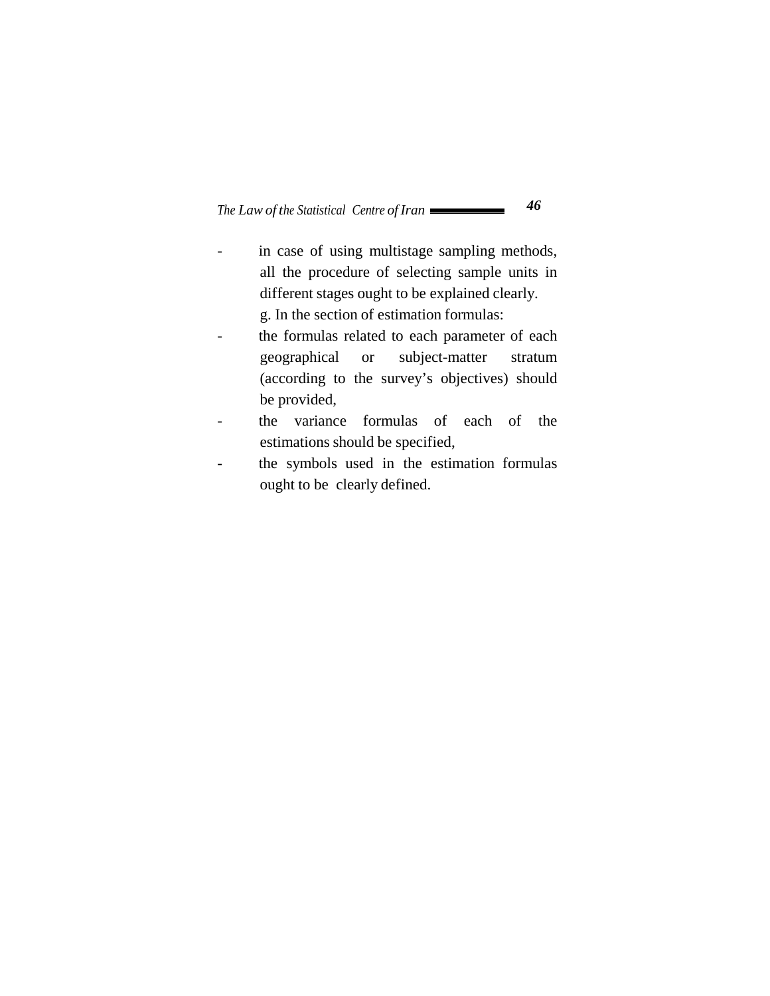- in case of using multistage sampling methods, all the procedure of selecting sample units in different stages ought to be explained clearly. g. In the section of estimation formulas:
- the formulas related to each parameter of each geographical or subject-matter stratum (according to the survey's objectives) should be provided,
- the variance formulas of each of the estimations should be specified,
- the symbols used in the estimation formulas ought to be clearly defined.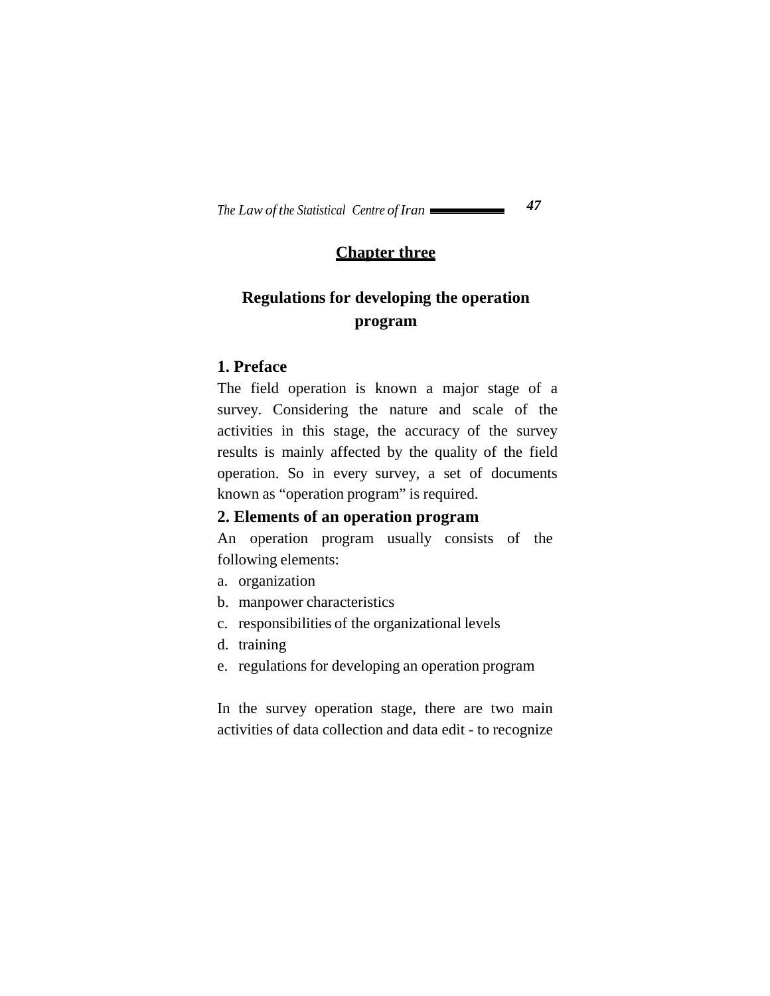## **Chapter three**

# **Regulations for developing the operation program**

## **1. Preface**

The field operation is known a major stage of a survey. Considering the nature and scale of the activities in this stage, the accuracy of the survey results is mainly affected by the quality of the field operation. So in every survey, a set of documents known as "operation program" is required.

## **2. Elements of an operation program**

An operation program usually consists of the following elements:

- a. organization
- b. manpower characteristics
- c. responsibilities of the organizational levels
- d. training
- e. regulations for developing an operation program

In the survey operation stage, there are two main activities of data collection and data edit - to recognize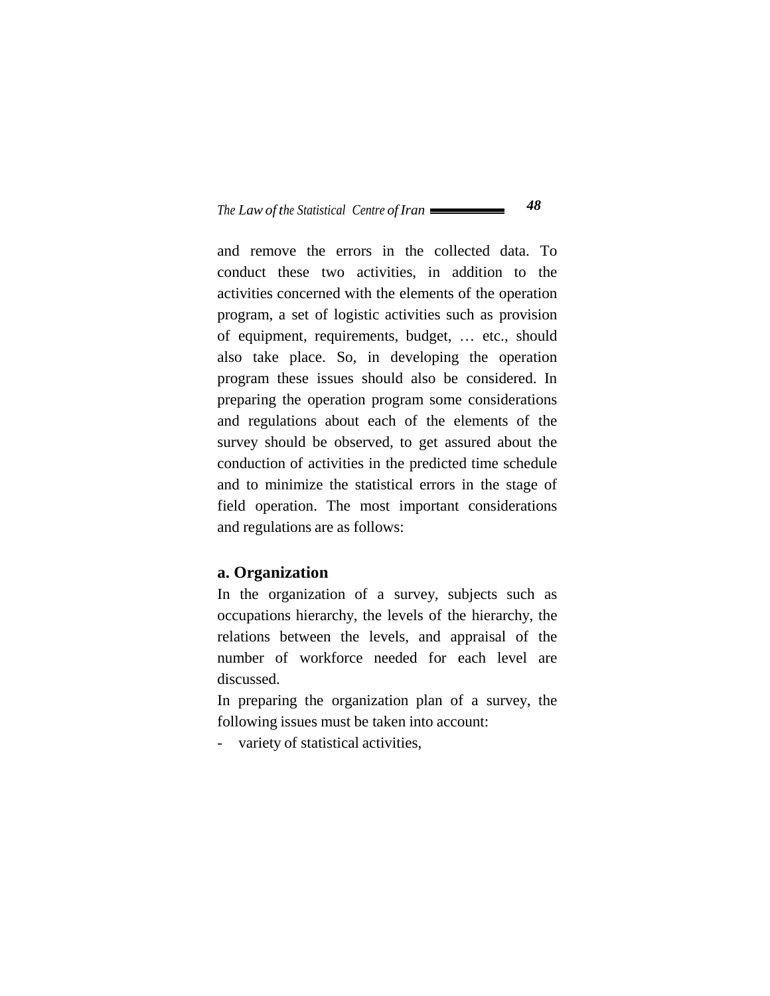and remove the errors in the collected data. To conduct these two activities, in addition to the activities concerned with the elements of the operation program, a set of logistic activities such as provision of equipment, requirements, budget, … etc., should also take place. So, in developing the operation program these issues should also be considered. In preparing the operation program some considerations and regulations about each of the elements of the survey should be observed, to get assured about the conduction of activities in the predicted time schedule and to minimize the statistical errors in the stage of field operation. The most important considerations and regulations are as follows:

#### **a. Organization**

In the organization of a survey, subjects such as occupations hierarchy, the levels of the hierarchy, the relations between the levels, and appraisal of the number of workforce needed for each level are discussed.

In preparing the organization plan of a survey, the following issues must be taken into account:

- variety of statistical activities,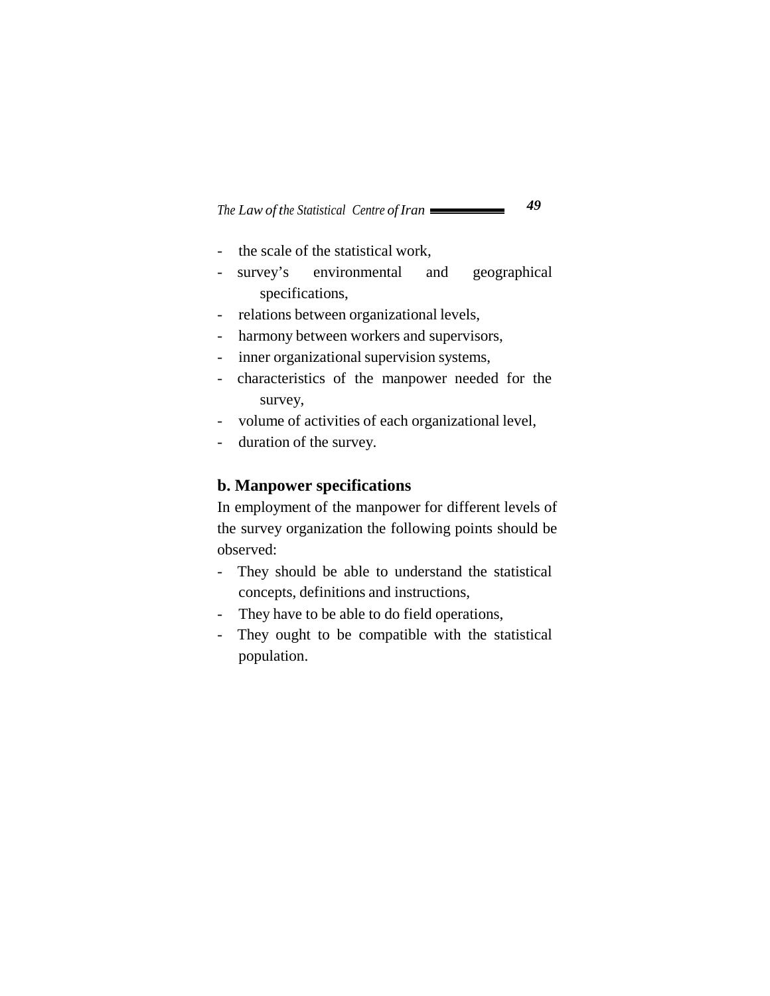- the scale of the statistical work,
- survey's environmental and geographical specifications,
- relations between organizational levels,
- harmony between workers and supervisors,
- inner organizational supervision systems,
- characteristics of the manpower needed for the survey,
- volume of activities of each organizational level,
- duration of the survey.

#### **b. Manpower specifications**

In employment of the manpower for different levels of the survey organization the following points should be observed:

- They should be able to understand the statistical concepts, definitions and instructions,
- They have to be able to do field operations,
- They ought to be compatible with the statistical population.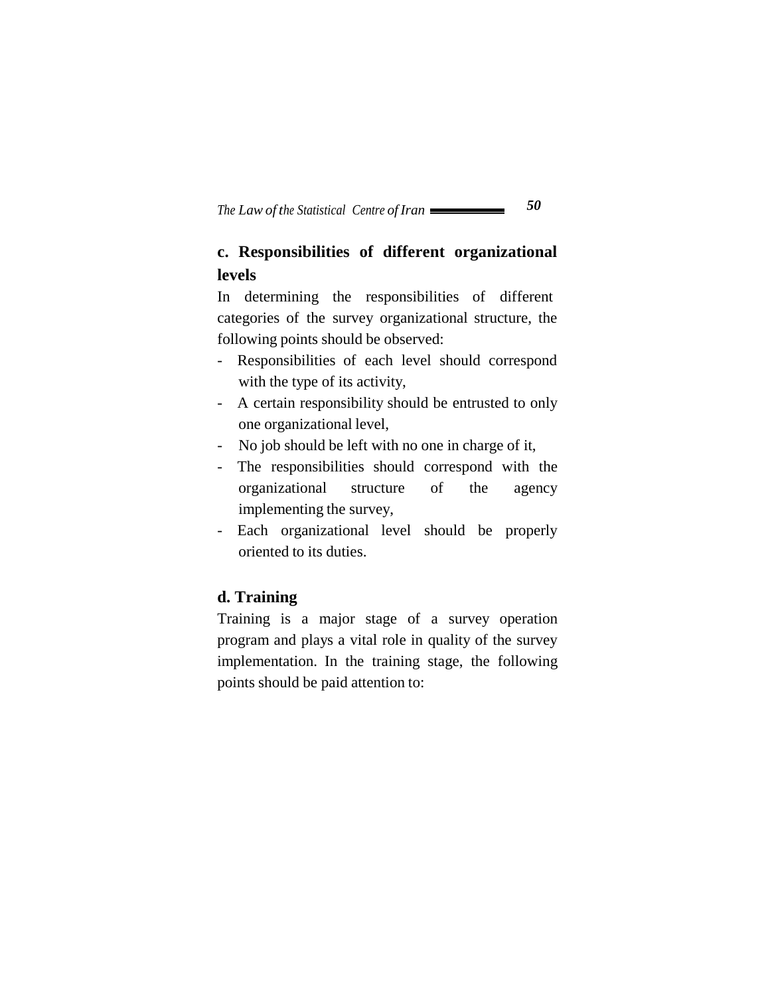# **c. Responsibilities of different organizational levels**

In determining the responsibilities of different categories of the survey organizational structure, the following points should be observed:

- Responsibilities of each level should correspond with the type of its activity,
- A certain responsibility should be entrusted to only one organizational level,
- No job should be left with no one in charge of it,
- The responsibilities should correspond with the organizational structure of the agency implementing the survey,
- Each organizational level should be properly oriented to its duties.

## **d. Training**

Training is a major stage of a survey operation program and plays a vital role in quality of the survey implementation. In the training stage, the following points should be paid attention to: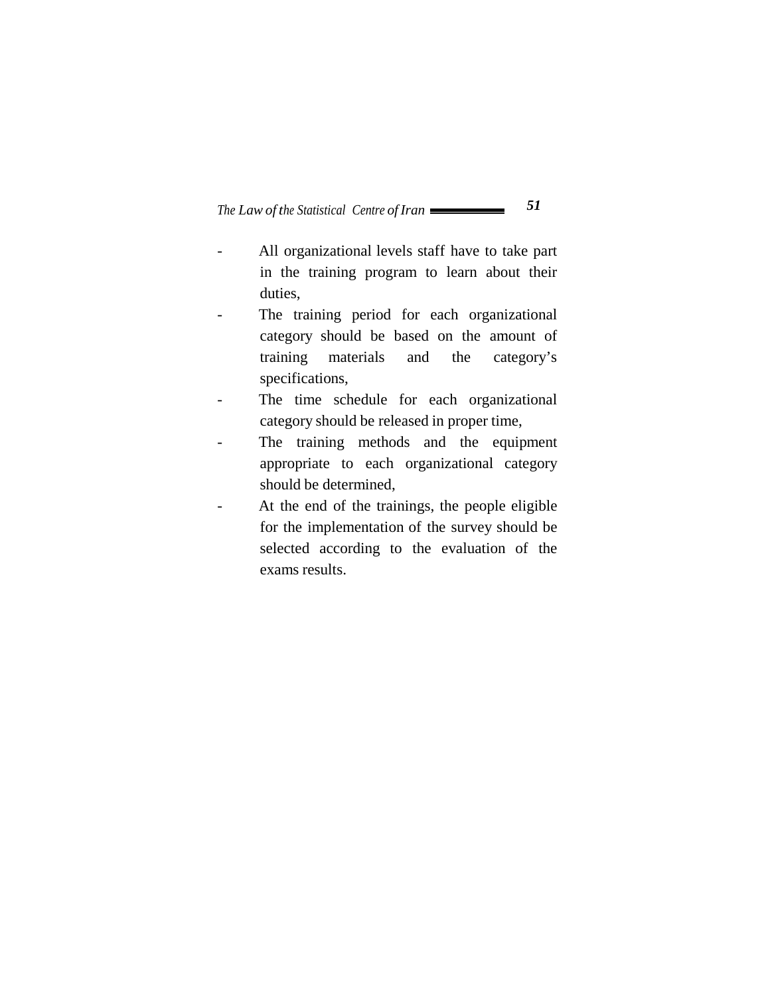- All organizational levels staff have to take part in the training program to learn about their duties,
- The training period for each organizational category should be based on the amount of training materials and the category's specifications,
- The time schedule for each organizational category should be released in proper time,
- The training methods and the equipment appropriate to each organizational category should be determined,
- At the end of the trainings, the people eligible for the implementation of the survey should be selected according to the evaluation of the exams results.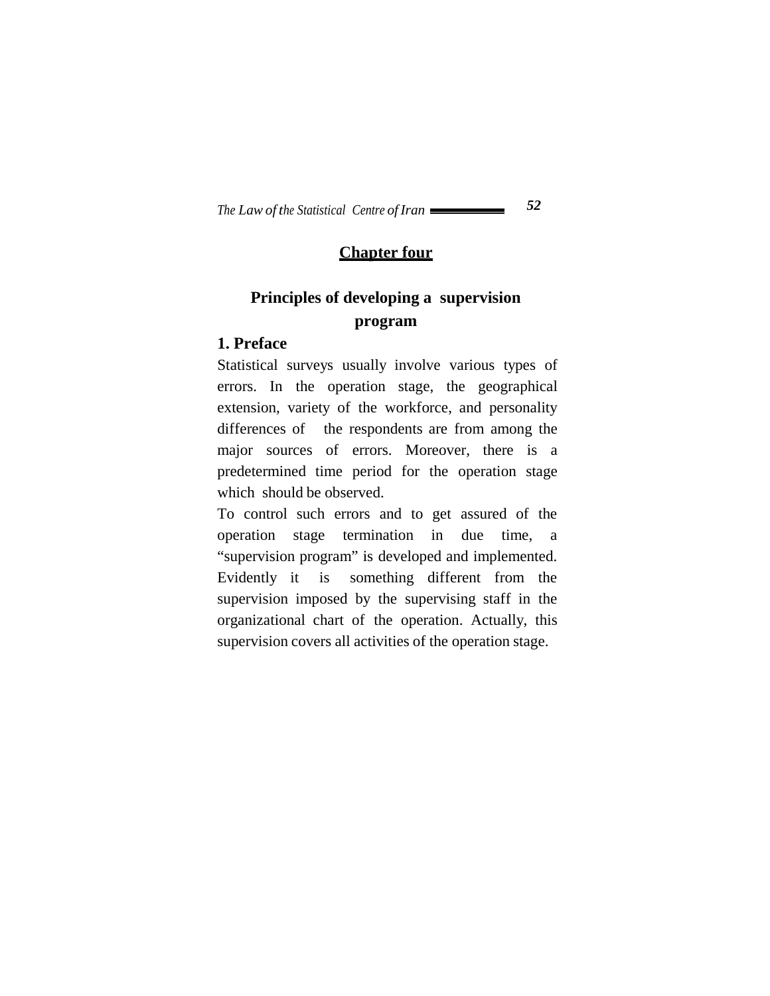## **Chapter four**

# **Principles of developing a supervision program**

#### **1. Preface**

Statistical surveys usually involve various types of errors. In the operation stage, the geographical extension, variety of the workforce, and personality differences of the respondents are from among the major sources of errors. Moreover, there is a predetermined time period for the operation stage which should be observed.

To control such errors and to get assured of the operation stage termination in due time, a "supervision program" is developed and implemented. Evidently it is something different from the supervision imposed by the supervising staff in the organizational chart of the operation. Actually, this supervision covers all activities of the operation stage.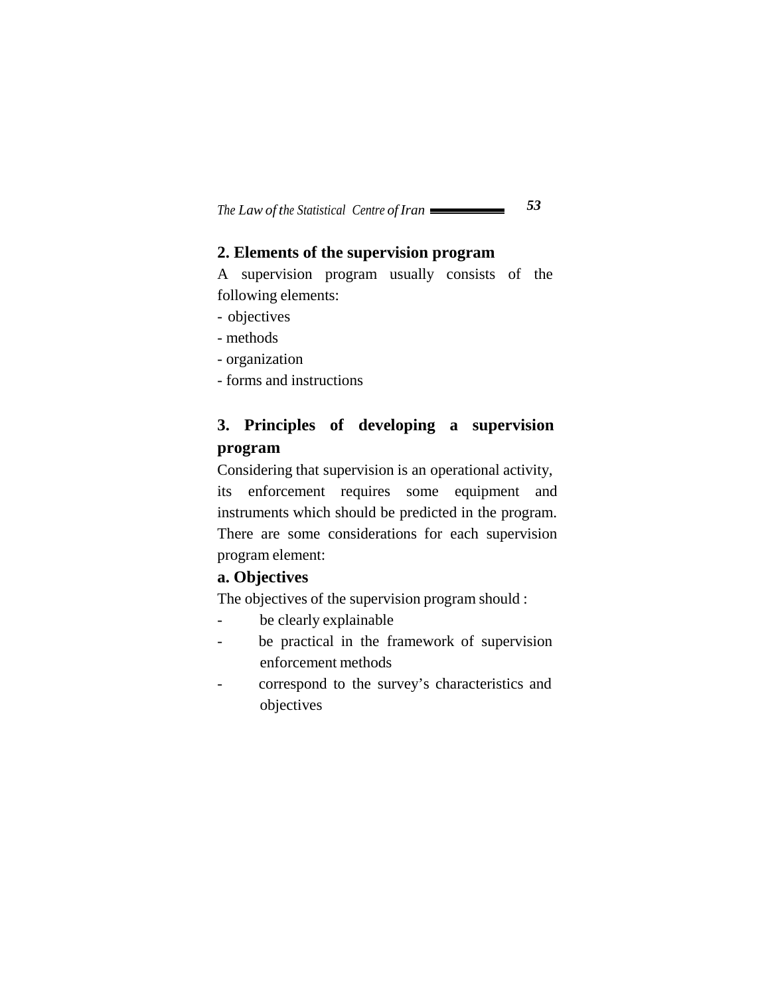## **2. Elements of the supervision program**

A supervision program usually consists of the following elements:

- objectives
- methods
- organization
- forms and instructions

# **3. Principles of developing a supervision program**

Considering that supervision is an operational activity, its enforcement requires some equipment and instruments which should be predicted in the program. There are some considerations for each supervision program element:

## **a. Objectives**

The objectives of the supervision program should :

- be clearly explainable
- be practical in the framework of supervision enforcement methods
- correspond to the survey's characteristics and objectives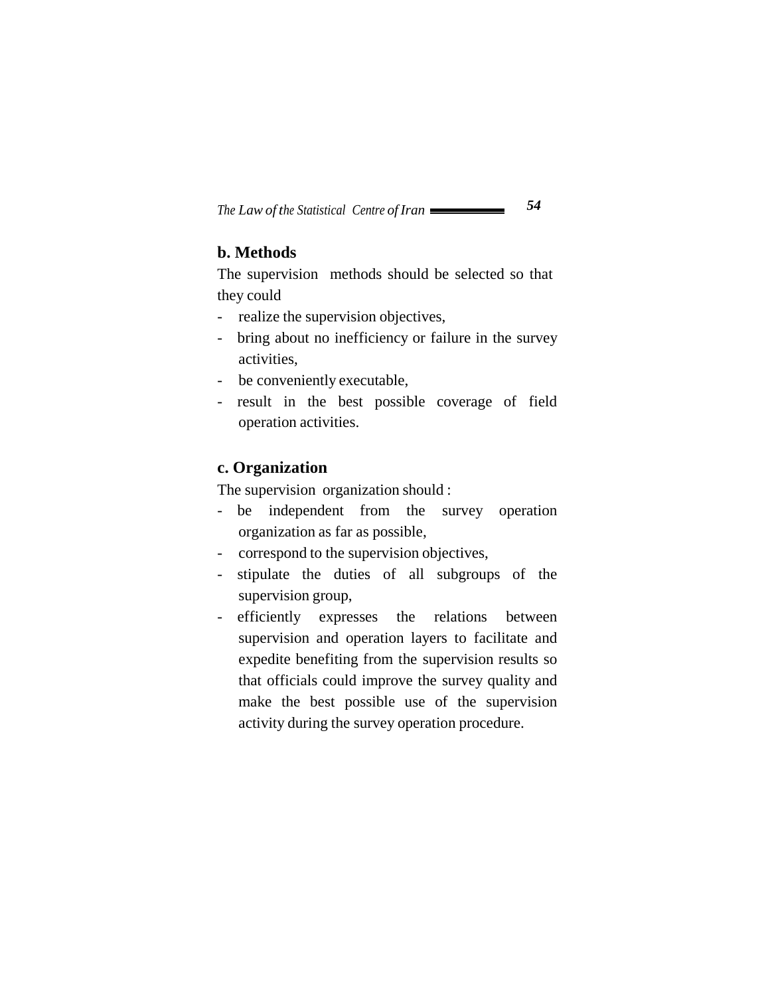## **b. Methods**

The supervision methods should be selected so that they could

- realize the supervision objectives,
- bring about no inefficiency or failure in the survey activities,
- be conveniently executable,
- result in the best possible coverage of field operation activities.

#### **c. Organization**

The supervision organization should :

- be independent from the survey operation organization as far as possible,
- correspond to the supervision objectives,
- stipulate the duties of all subgroups of the supervision group,
- efficiently expresses the relations between supervision and operation layers to facilitate and expedite benefiting from the supervision results so that officials could improve the survey quality and make the best possible use of the supervision activity during the survey operation procedure.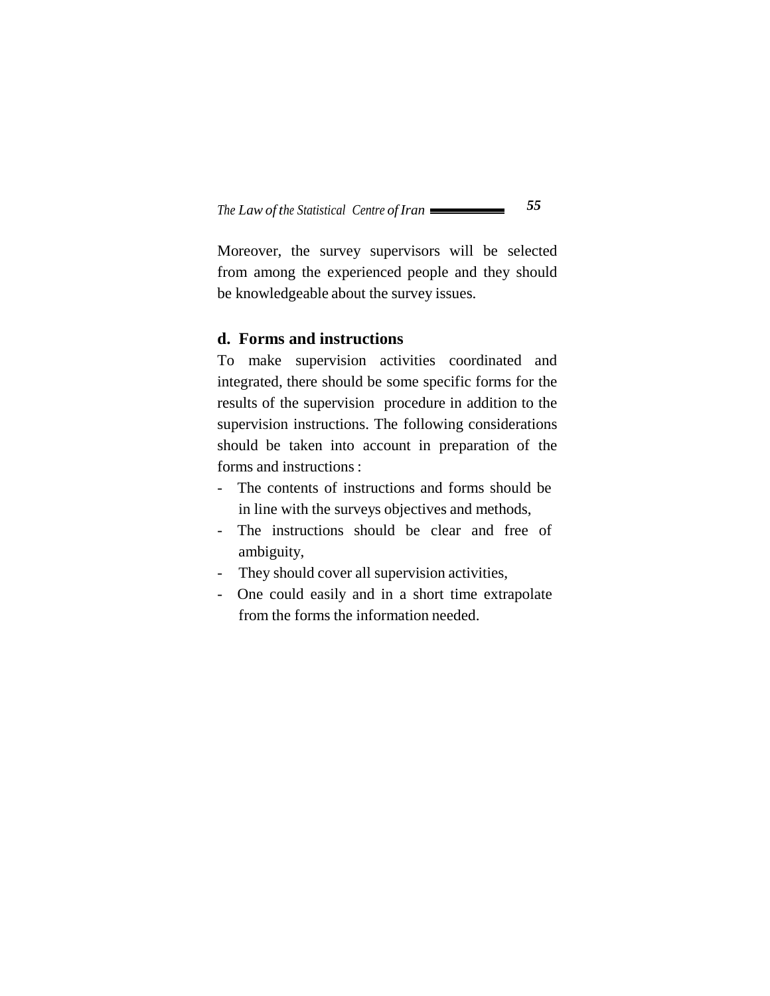Moreover, the survey supervisors will be selected from among the experienced people and they should be knowledgeable about the survey issues.

#### **d. Forms and instructions**

To make supervision activities coordinated and integrated, there should be some specific forms for the results of the supervision procedure in addition to the supervision instructions. The following considerations should be taken into account in preparation of the forms and instructions :

- The contents of instructions and forms should be in line with the surveys objectives and methods,
- The instructions should be clear and free of ambiguity,
- They should cover all supervision activities,
- One could easily and in a short time extrapolate from the forms the information needed.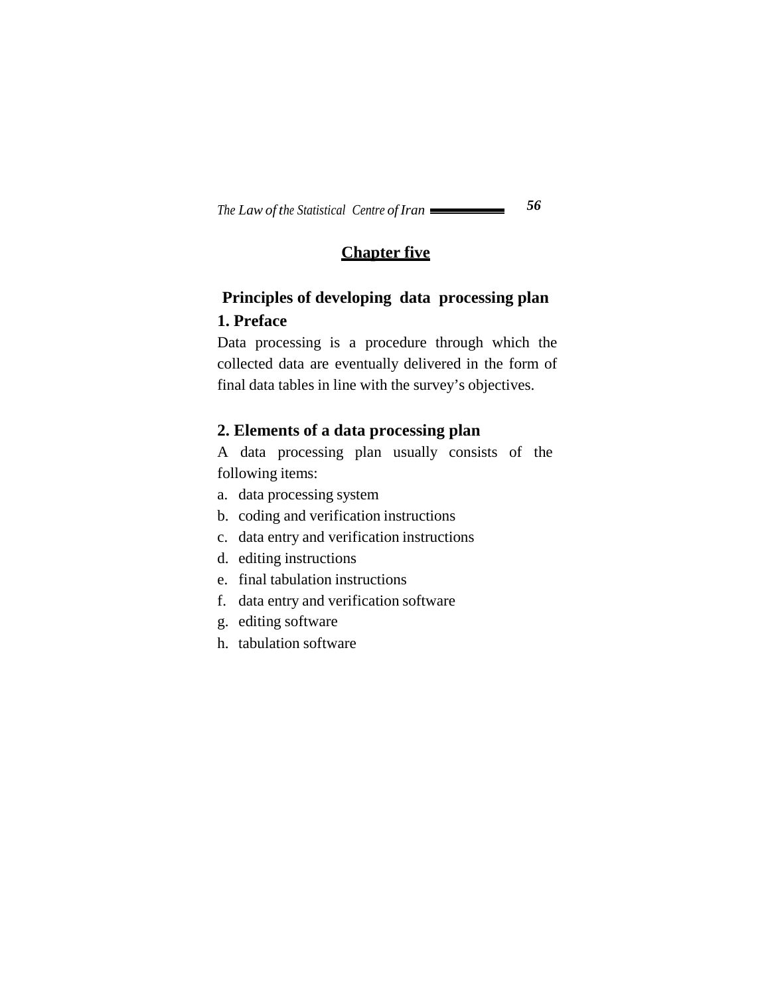# **Chapter five**

# **Principles of developing data processing plan 1. Preface**

Data processing is a procedure through which the collected data are eventually delivered in the form of final data tables in line with the survey's objectives.

## **2. Elements of a data processing plan**

A data processing plan usually consists of the following items:

- a. data processing system
- b. coding and verification instructions
- c. data entry and verification instructions
- d. editing instructions
- e. final tabulation instructions
- f. data entry and verification software
- g. editing software
- h. tabulation software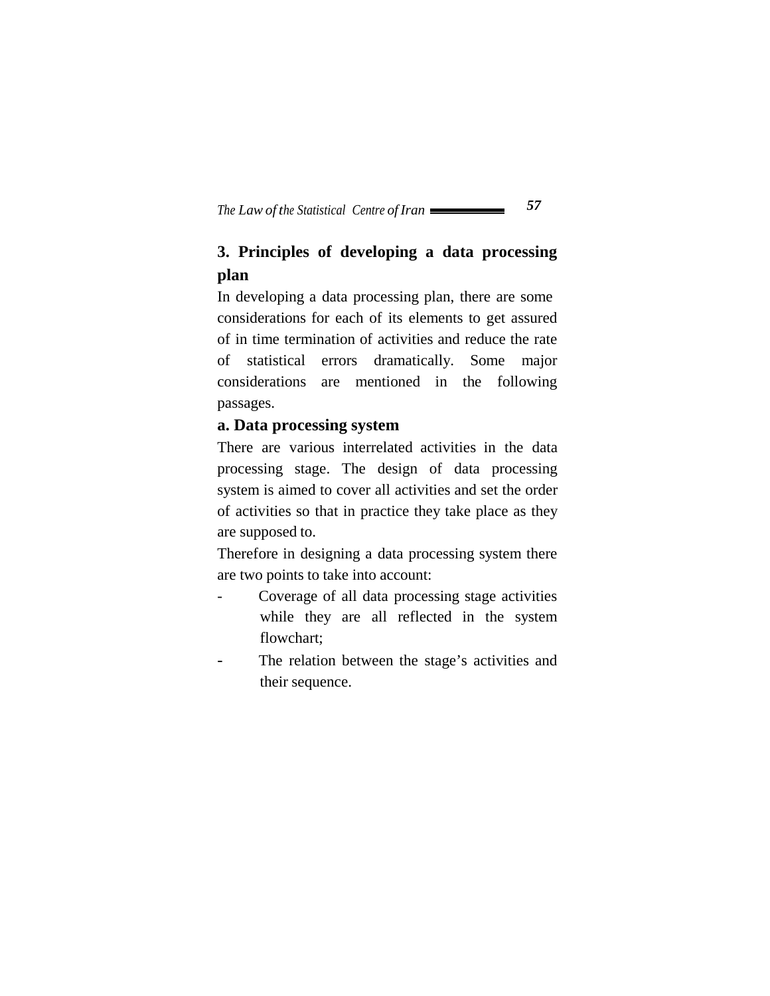# **3. Principles of developing a data processing plan**

In developing a data processing plan, there are some considerations for each of its elements to get assured of in time termination of activities and reduce the rate of statistical errors dramatically. Some major considerations are mentioned in the following passages.

## **a. Data processing system**

There are various interrelated activities in the data processing stage. The design of data processing system is aimed to cover all activities and set the order of activities so that in practice they take place as they are supposed to.

Therefore in designing a data processing system there are two points to take into account:

- Coverage of all data processing stage activities while they are all reflected in the system flowchart;
- The relation between the stage's activities and their sequence.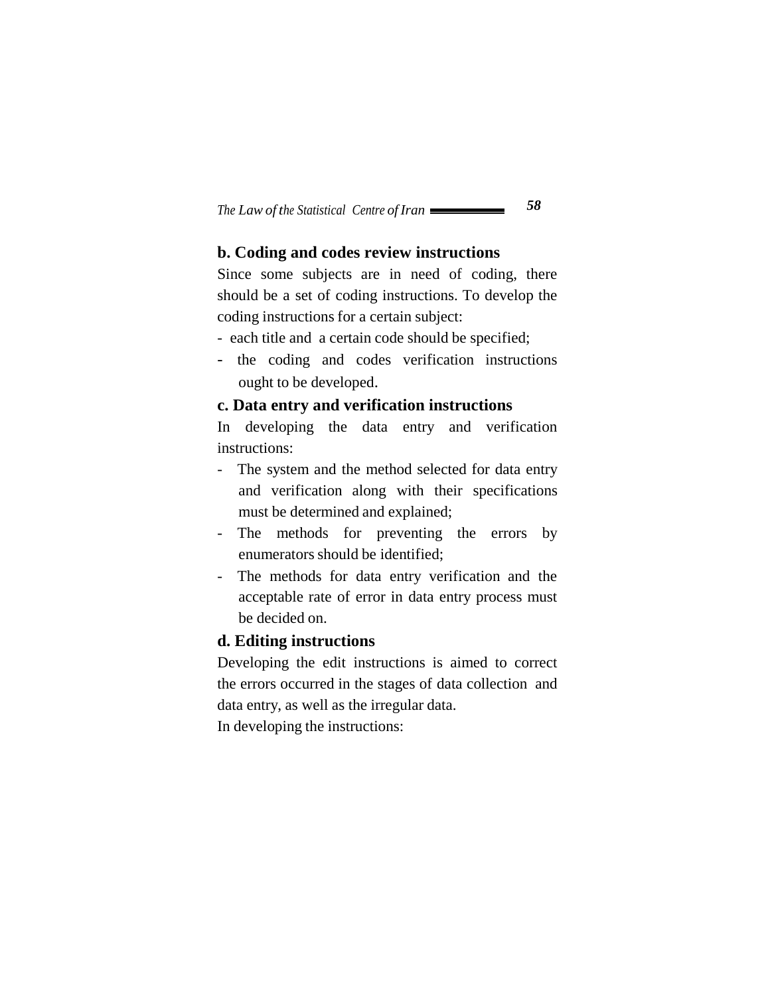## **b. Coding and codes review instructions**

Since some subjects are in need of coding, there should be a set of coding instructions. To develop the coding instructions for a certain subject:

- each title and a certain code should be specified;
- the coding and codes verification instructions ought to be developed.

#### **c. Data entry and verification instructions**

In developing the data entry and verification instructions:

- The system and the method selected for data entry and verification along with their specifications must be determined and explained;
- The methods for preventing the errors by enumerators should be identified;
- The methods for data entry verification and the acceptable rate of error in data entry process must be decided on.

#### **d. Editing instructions**

Developing the edit instructions is aimed to correct the errors occurred in the stages of data collection and data entry, as well as the irregular data. In developing the instructions: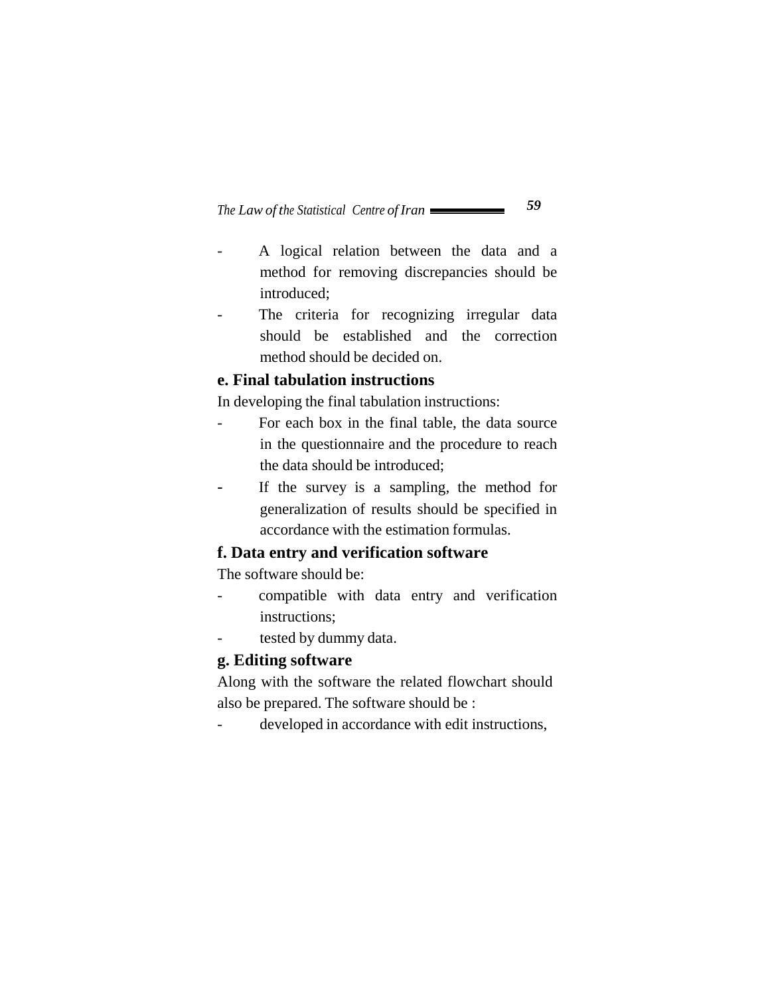- A logical relation between the data and a method for removing discrepancies should be introduced;
- The criteria for recognizing irregular data should be established and the correction method should be decided on.

## **e. Final tabulation instructions**

In developing the final tabulation instructions:

- For each box in the final table, the data source in the questionnaire and the procedure to reach the data should be introduced;
- If the survey is a sampling, the method for generalization of results should be specified in accordance with the estimation formulas.

### **f. Data entry and verification software**

The software should be:

- compatible with data entry and verification instructions;
- tested by dummy data.

## **g. Editing software**

Along with the software the related flowchart should also be prepared. The software should be :

- developed in accordance with edit instructions,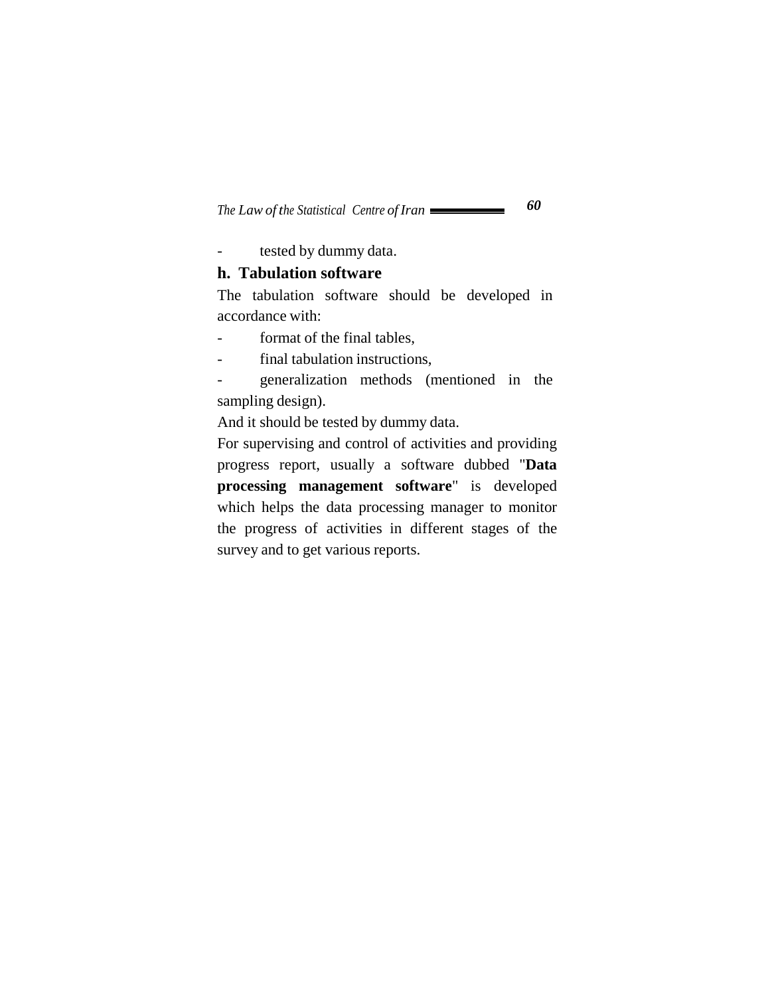- tested by dummy data.

#### **h. Tabulation software**

The tabulation software should be developed in accordance with:

- format of the final tables,
- final tabulation instructions,

- generalization methods (mentioned in the sampling design).

And it should be tested by dummy data.

For supervising and control of activities and providing progress report, usually a software dubbed "**Data processing management software**" is developed which helps the data processing manager to monitor the progress of activities in different stages of the survey and to get various reports.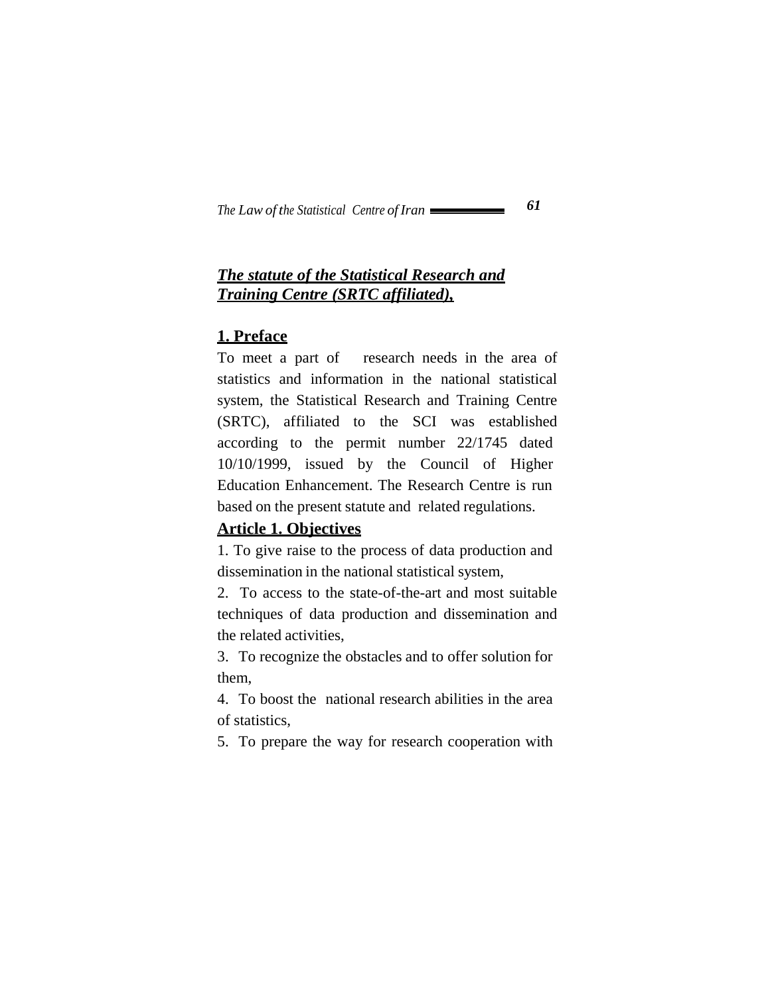## *The statute of the Statistical Research and Training Centre (SRTC affiliated),*

## **1. Preface**

To meet a part of research needs in the area of statistics and information in the national statistical system, the Statistical Research and Training Centre (SRTC), affiliated to the SCI was established according to the permit number 22/1745 dated 10/10/1999, issued by the Council of Higher Education Enhancement. The Research Centre is run based on the present statute and related regulations.

## **Article 1. Objectives**

1. To give raise to the process of data production and dissemination in the national statistical system,

2. To access to the state-of-the-art and most suitable techniques of data production and dissemination and the related activities,

3. To recognize the obstacles and to offer solution for them,

4. To boost the national research abilities in the area of statistics,

5. To prepare the way for research cooperation with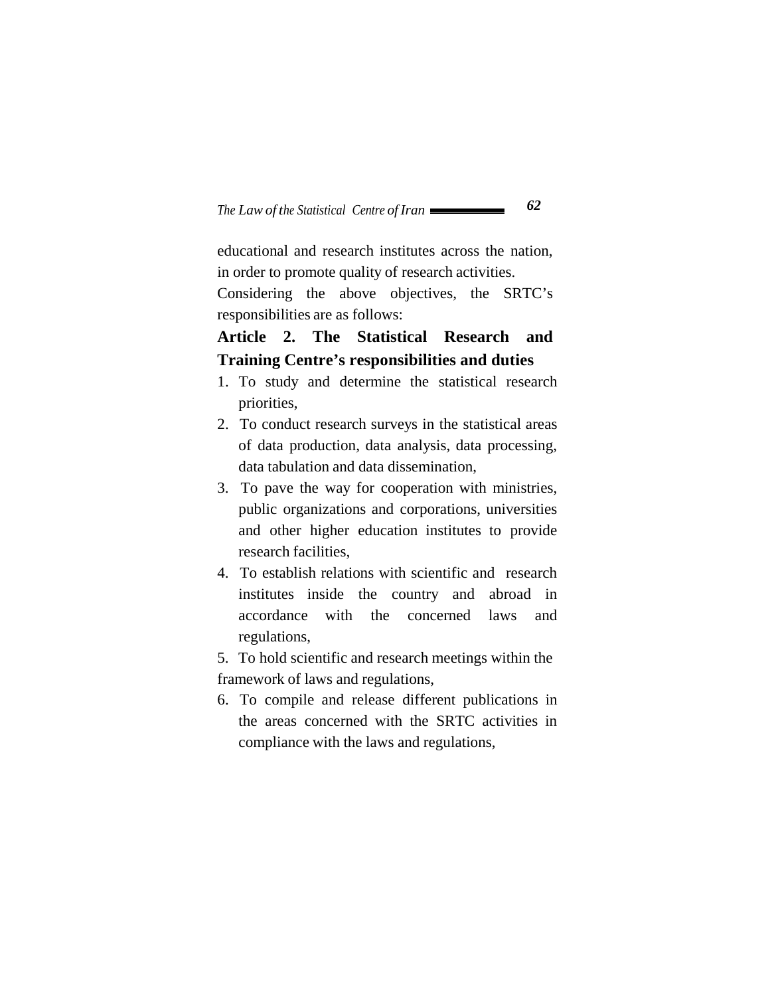educational and research institutes across the nation, in order to promote quality of research activities.

Considering the above objectives, the SRTC's responsibilities are as follows:

# **Article 2. The Statistical Research and Training Centre's responsibilities and duties**

- 1. To study and determine the statistical research priorities,
- 2. To conduct research surveys in the statistical areas of data production, data analysis, data processing, data tabulation and data dissemination,
- 3. To pave the way for cooperation with ministries, public organizations and corporations, universities and other higher education institutes to provide research facilities,
- 4. To establish relations with scientific and research institutes inside the country and abroad in accordance with the concerned laws and regulations,

5. To hold scientific and research meetings within the framework of laws and regulations,

6. To compile and release different publications in the areas concerned with the SRTC activities in compliance with the laws and regulations,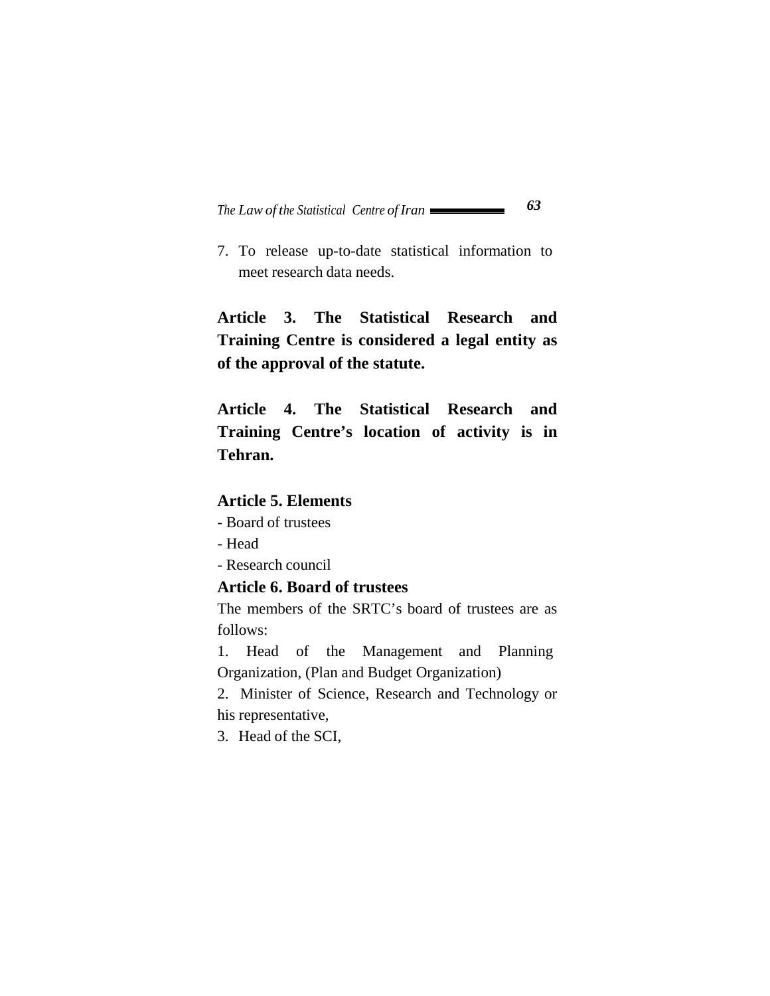7. To release up-to-date statistical information to meet research data needs.

**Article 3. The Statistical Research and Training Centre is considered a legal entity as of the approval of the statute.**

**Article 4. The Statistical Research and Training Centre's location of activity is in Tehran.**

## **Article 5. Elements**

- Board of trustees
- Head
- Research council

#### **Article 6. Board of trustees**

The members of the SRTC's board of trustees are as follows:

1. Head of the Management and Planning Organization, (Plan and Budget Organization)

2. Minister of Science, Research and Technology or his representative,

3. Head of the SCI,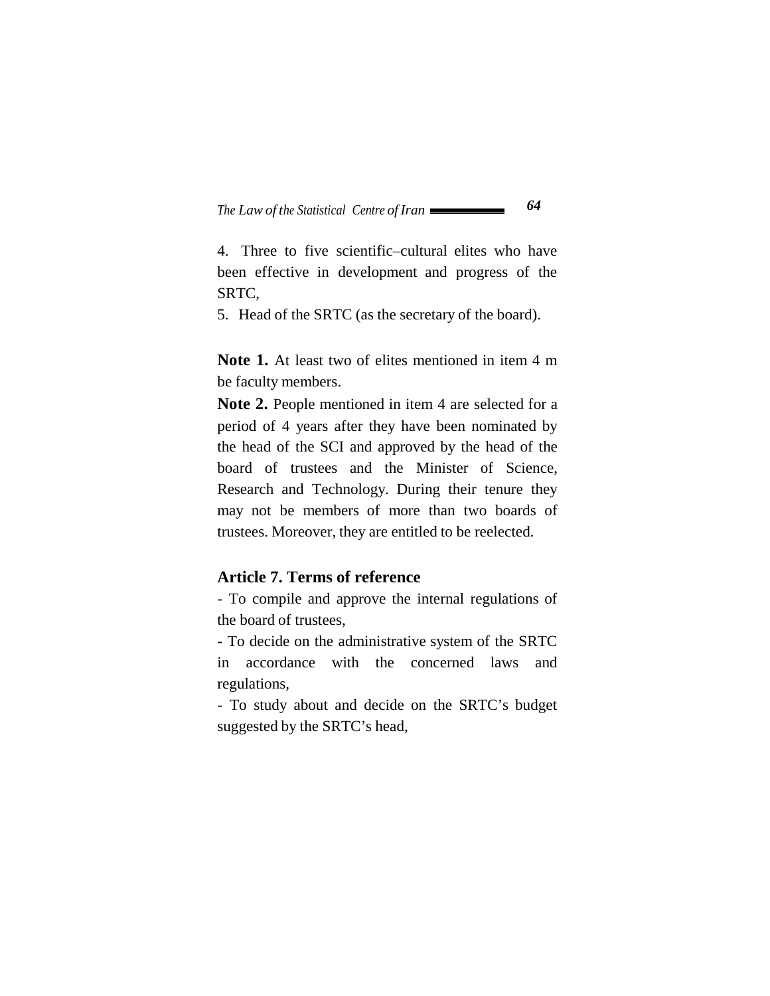4. Three to five scientific–cultural elites who have been effective in development and progress of the SRTC,

5. Head of the SRTC (as the secretary of the board).

**Note 1.** At least two of elites mentioned in item 4 m be faculty members.

**Note 2.** People mentioned in item 4 are selected for a period of 4 years after they have been nominated by the head of the SCI and approved by the head of the board of trustees and the Minister of Science, Research and Technology. During their tenure they may not be members of more than two boards of trustees. Moreover, they are entitled to be reelected.

#### **Article 7. Terms of reference**

- To compile and approve the internal regulations of the board of trustees,

- To decide on the administrative system of the SRTC in accordance with the concerned laws and regulations,

- To study about and decide on the SRTC's budget suggested by the SRTC's head,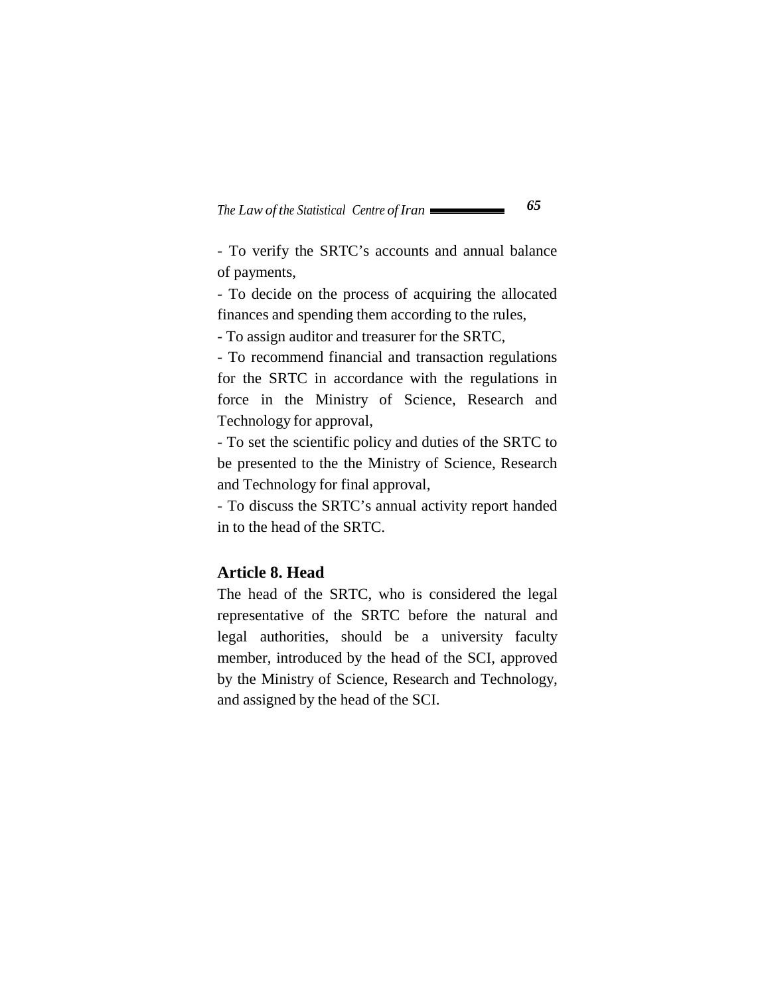- To verify the SRTC's accounts and annual balance of payments,

- To decide on the process of acquiring the allocated finances and spending them according to the rules,

- To assign auditor and treasurer for the SRTC,

- To recommend financial and transaction regulations for the SRTC in accordance with the regulations in force in the Ministry of Science, Research and Technology for approval,

- To set the scientific policy and duties of the SRTC to be presented to the the Ministry of Science, Research and Technology for final approval,

- To discuss the SRTC's annual activity report handed in to the head of the SRTC.

### **Article 8. Head**

The head of the SRTC, who is considered the legal representative of the SRTC before the natural and legal authorities, should be a university faculty member, introduced by the head of the SCI, approved by the Ministry of Science, Research and Technology, and assigned by the head of the SCI.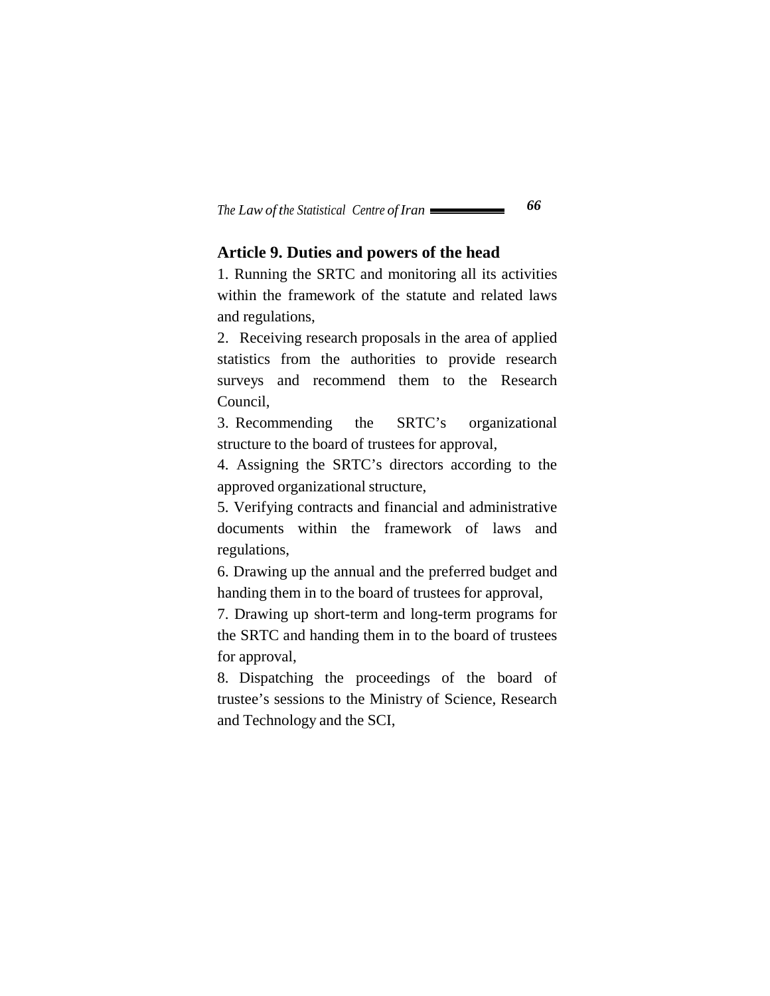### **Article 9. Duties and powers of the head**

1. Running the SRTC and monitoring all its activities within the framework of the statute and related laws and regulations,

2. Receiving research proposals in the area of applied statistics from the authorities to provide research surveys and recommend them to the Research Council,

3. Recommending the SRTC's organizational structure to the board of trustees for approval,

4. Assigning the SRTC's directors according to the approved organizational structure,

5. Verifying contracts and financial and administrative documents within the framework of laws and regulations,

6. Drawing up the annual and the preferred budget and handing them in to the board of trustees for approval,

7. Drawing up short-term and long-term programs for the SRTC and handing them in to the board of trustees for approval,

8. Dispatching the proceedings of the board of trustee's sessions to the Ministry of Science, Research and Technology and the SCI,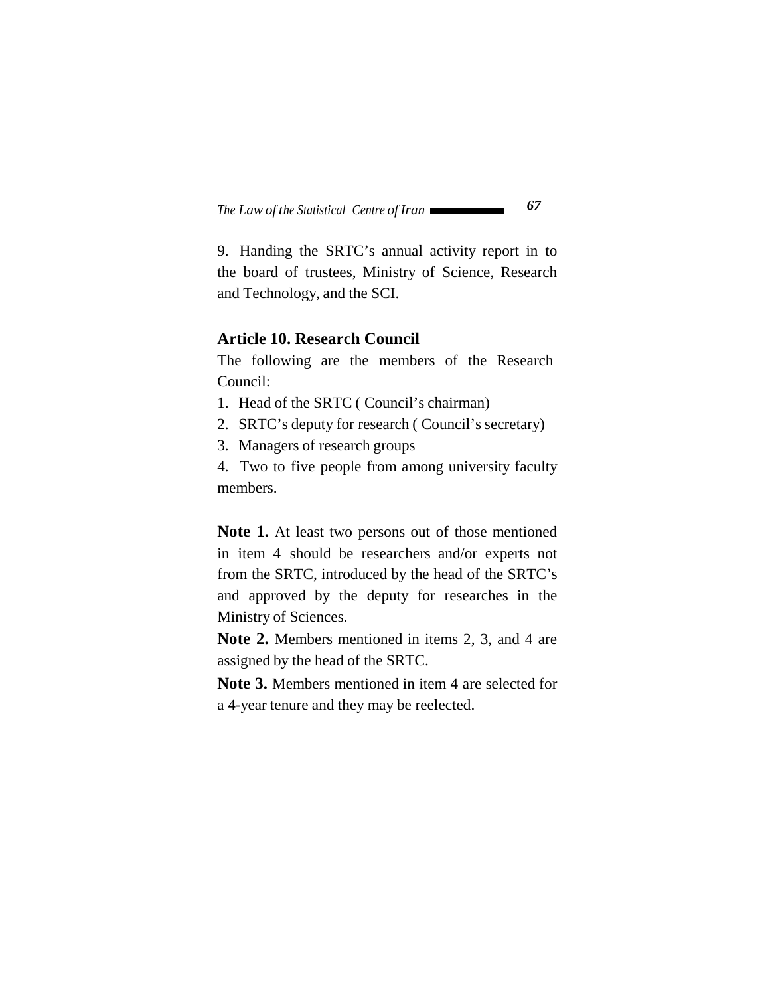9. Handing the SRTC's annual activity report in to the board of trustees, Ministry of Science, Research and Technology, and the SCI.

#### **Article 10. Research Council**

The following are the members of the Research Council:

- 1. Head of the SRTC ( Council's chairman)
- 2. SRTC's deputy for research ( Council's secretary)
- 3. Managers of research groups

4. Two to five people from among university faculty members.

**Note 1.** At least two persons out of those mentioned in item 4 should be researchers and/or experts not from the SRTC, introduced by the head of the SRTC's and approved by the deputy for researches in the Ministry of Sciences.

**Note 2.** Members mentioned in items 2, 3, and 4 are assigned by the head of the SRTC.

**Note 3.** Members mentioned in item 4 are selected for a 4-year tenure and they may be reelected.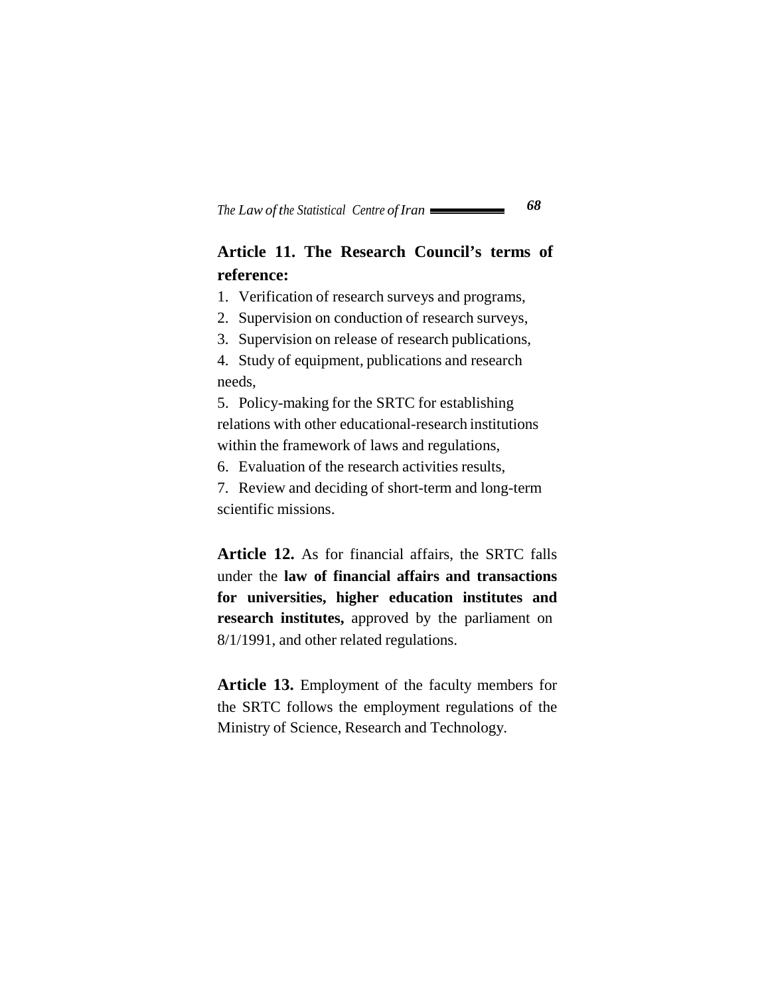# **Article 11. The Research Council's terms of reference:**

1. Verification of research surveys and programs,

2. Supervision on conduction of research surveys,

3. Supervision on release of research publications,

4. Study of equipment, publications and research needs,

5. Policy-making for the SRTC for establishing relations with other educational-research institutions within the framework of laws and regulations,

6. Evaluation of the research activities results,

7. Review and deciding of short-term and long-term scientific missions.

**Article 12.** As for financial affairs, the SRTC falls under the **law of financial affairs and transactions for universities, higher education institutes and research institutes,** approved by the parliament on 8/1/1991, and other related regulations.

**Article 13.** Employment of the faculty members for the SRTC follows the employment regulations of the Ministry of Science, Research and Technology.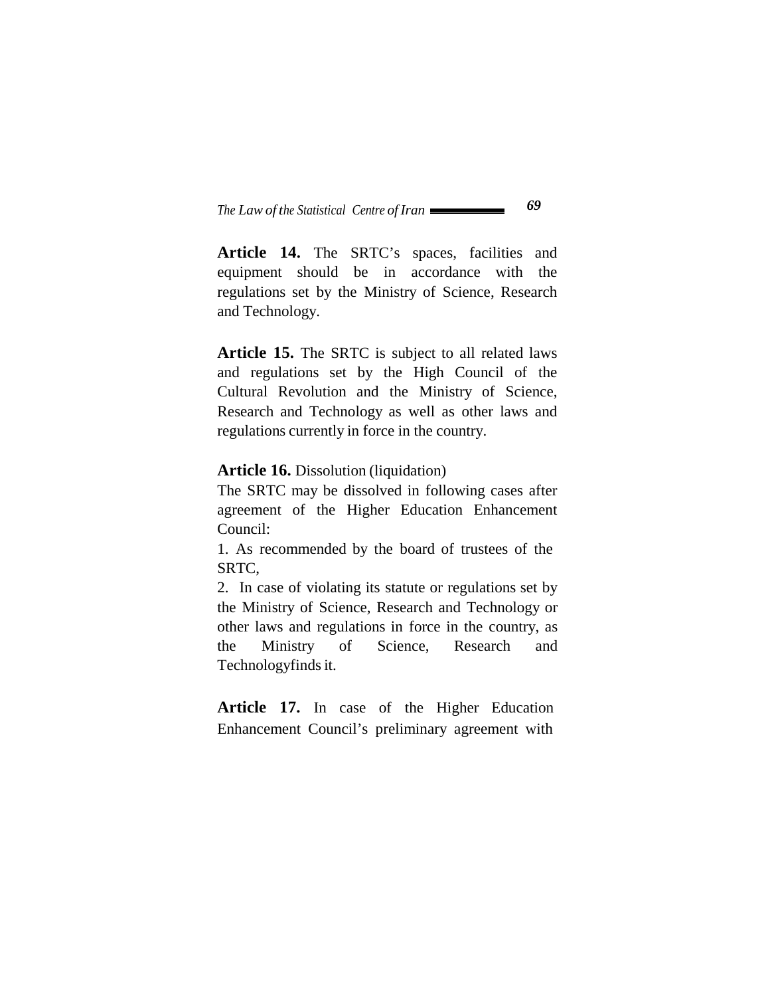Article 14. The SRTC's spaces, facilities and equipment should be in accordance with the regulations set by the Ministry of Science, Research and Technology.

**Article 15.** The SRTC is subject to all related laws and regulations set by the High Council of the Cultural Revolution and the Ministry of Science, Research and Technology as well as other laws and regulations currently in force in the country.

#### **Article 16.** Dissolution (liquidation)

The SRTC may be dissolved in following cases after agreement of the Higher Education Enhancement Council:

1. As recommended by the board of trustees of the SRTC,

2. In case of violating its statute or regulations set by the Ministry of Science, Research and Technology or other laws and regulations in force in the country, as the Ministry of Science, Research and Technologyfinds it.

**Article 17.** In case of the Higher Education Enhancement Council's preliminary agreement with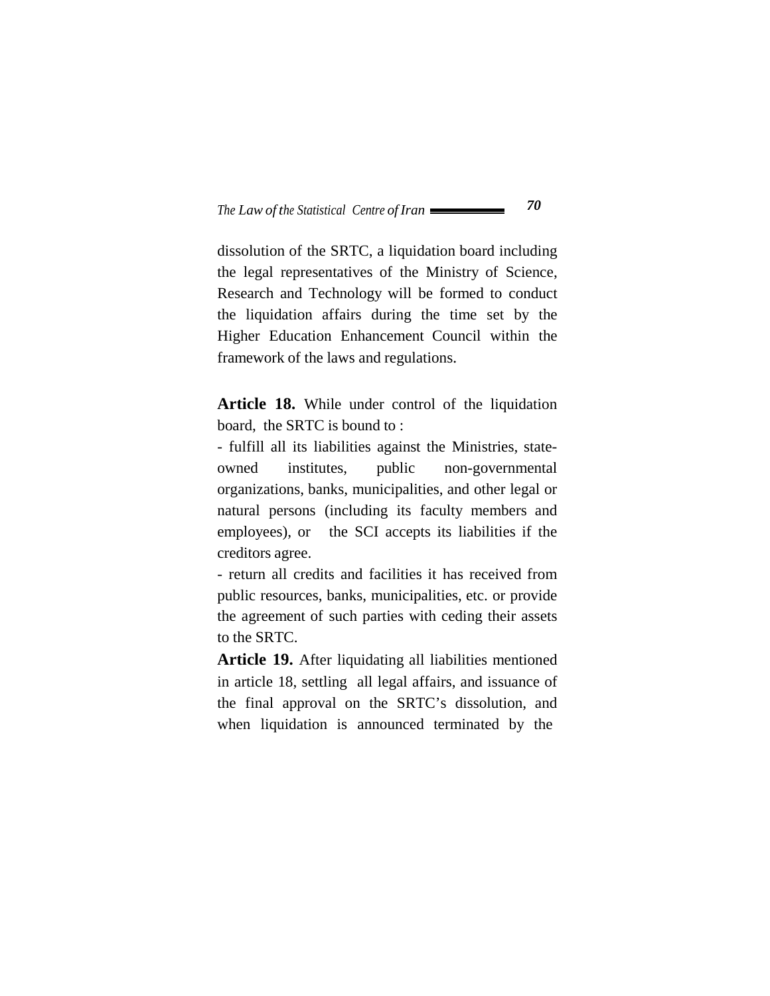dissolution of the SRTC, a liquidation board including the legal representatives of the Ministry of Science, Research and Technology will be formed to conduct the liquidation affairs during the time set by the Higher Education Enhancement Council within the framework of the laws and regulations.

**Article 18.** While under control of the liquidation board, the SRTC is bound to :

- fulfill all its liabilities against the Ministries, stateowned institutes, public non-governmental organizations, banks, municipalities, and other legal or natural persons (including its faculty members and employees), or the SCI accepts its liabilities if the creditors agree.

- return all credits and facilities it has received from public resources, banks, municipalities, etc. or provide the agreement of such parties with ceding their assets to the SRTC.

**Article 19.** After liquidating all liabilities mentioned in article 18, settling all legal affairs, and issuance of the final approval on the SRTC's dissolution, and when liquidation is announced terminated by the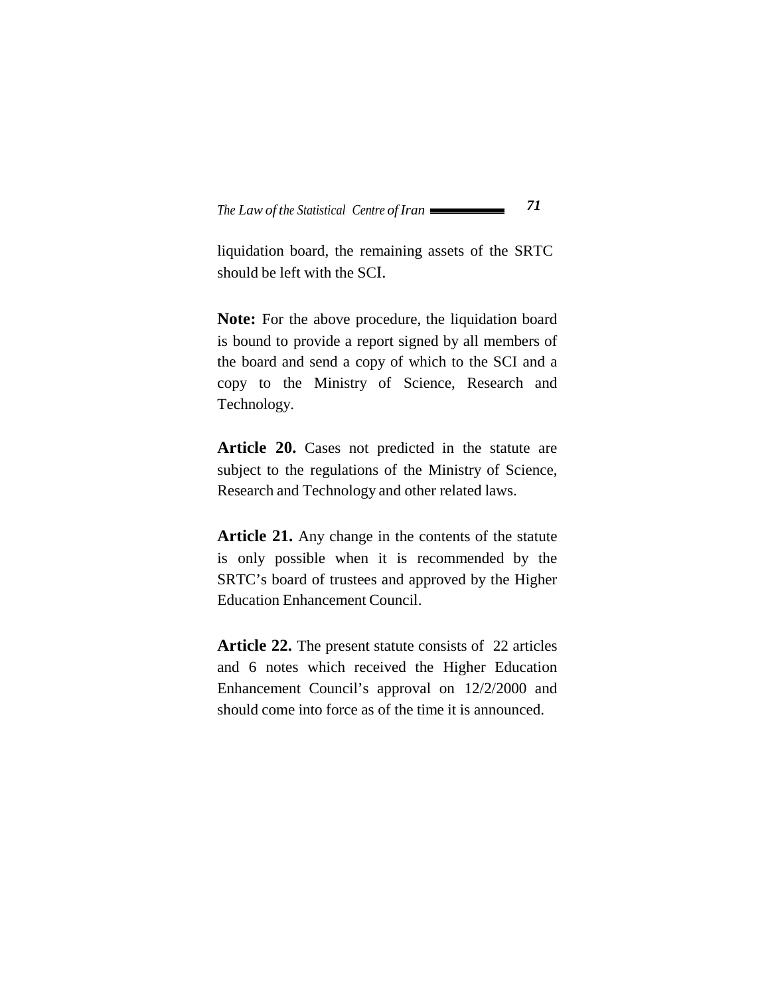liquidation board, the remaining assets of the SRTC should be left with the SCI.

Note: For the above procedure, the liquidation board is bound to provide a report signed by all members of the board and send a copy of which to the SCI and a copy to the Ministry of Science, Research and Technology.

Article 20. Cases not predicted in the statute are subject to the regulations of the Ministry of Science, Research and Technology and other related laws.

**Article 21.** Any change in the contents of the statute is only possible when it is recommended by the SRTC's board of trustees and approved by the Higher Education Enhancement Council.

**Article 22.** The present statute consists of 22 articles and 6 notes which received the Higher Education Enhancement Council's approval on 12/2/2000 and should come into force as of the time it is announced.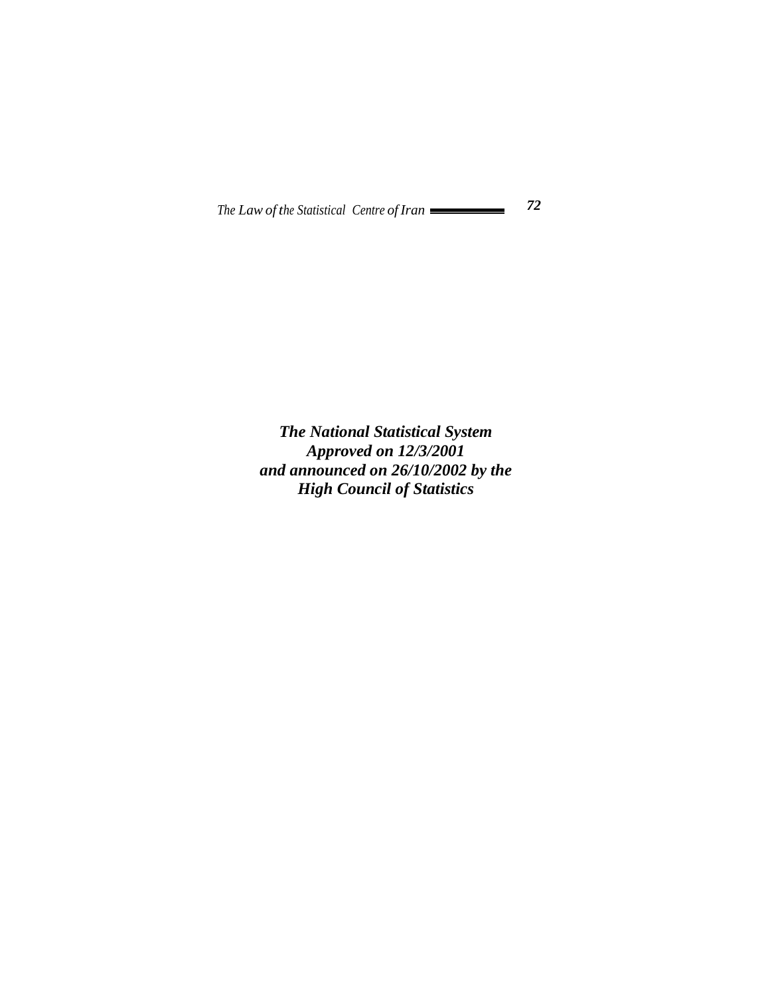*The National Statistical System Approved on 12/3/2001 and announced on 26/10/2002 by the High Council of Statistics*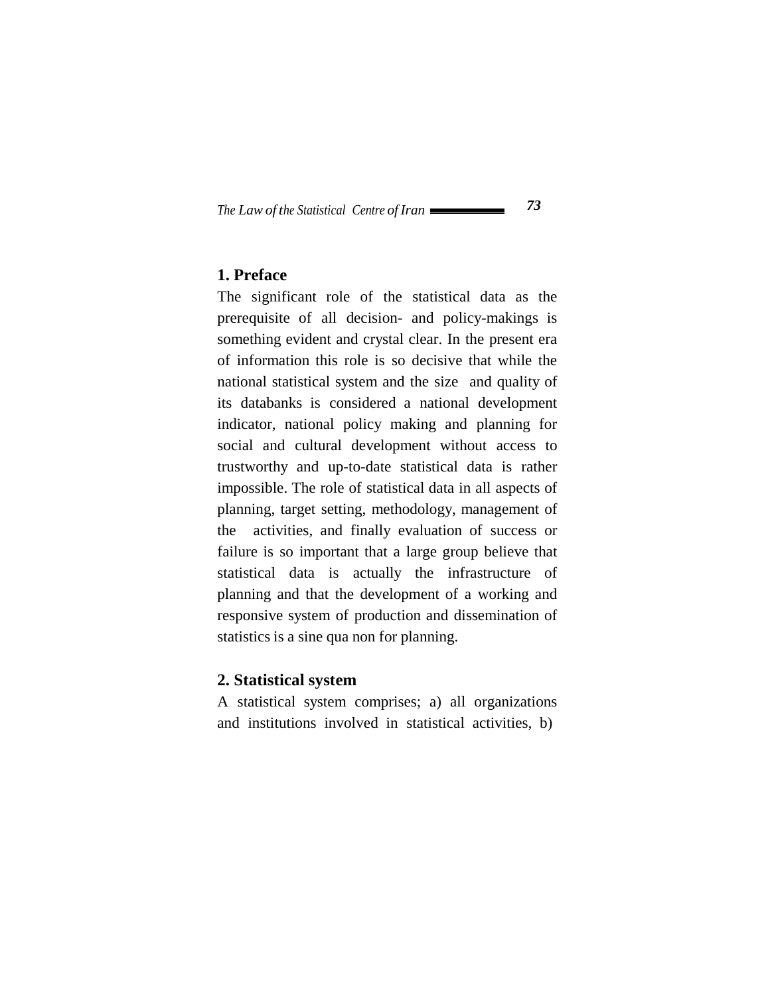#### **1. Preface**

The significant role of the statistical data as the prerequisite of all decision- and policy-makings is something evident and crystal clear. In the present era of information this role is so decisive that while the national statistical system and the size and quality of its databanks is considered a national development indicator, national policy making and planning for social and cultural development without access to trustworthy and up-to-date statistical data is rather impossible. The role of statistical data in all aspects of planning, target setting, methodology, management of the activities, and finally evaluation of success or failure is so important that a large group believe that statistical data is actually the infrastructure of planning and that the development of a working and responsive system of production and dissemination of statistics is a sine qua non for planning.

#### **2. Statistical system**

A statistical system comprises; a) all organizations and institutions involved in statistical activities, b)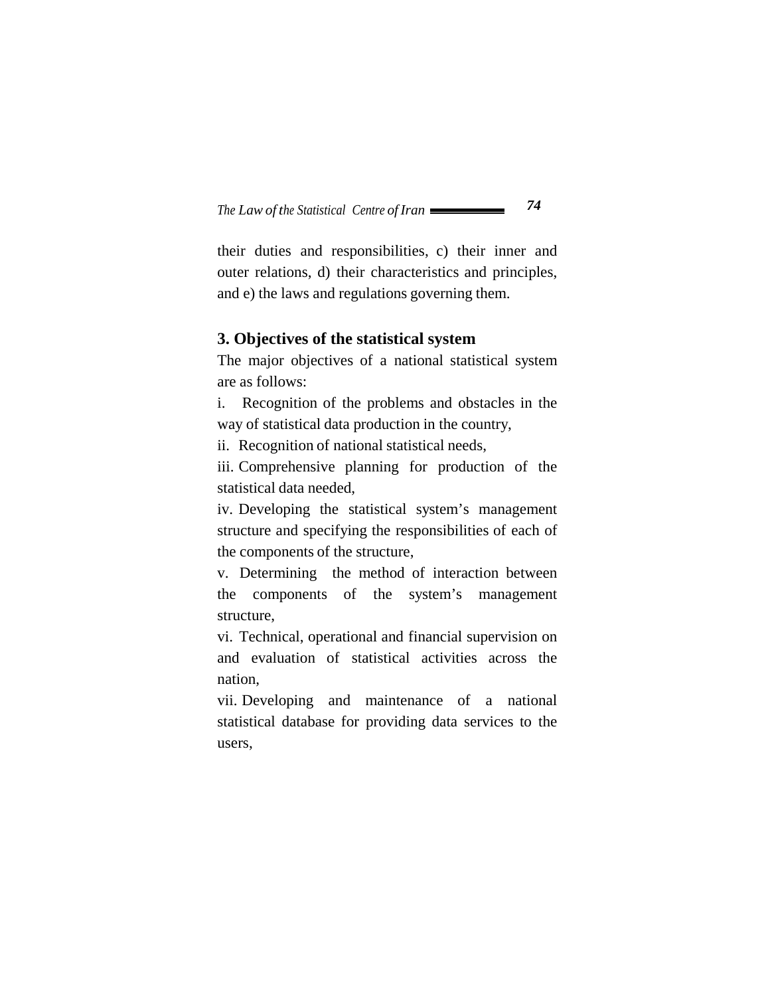their duties and responsibilities, c) their inner and outer relations, d) their characteristics and principles, and e) the laws and regulations governing them.

#### **3. Objectives of the statistical system**

The major objectives of a national statistical system are as follows:

i. Recognition of the problems and obstacles in the way of statistical data production in the country,

ii. Recognition of national statistical needs,

iii. Comprehensive planning for production of the statistical data needed,

iv. Developing the statistical system's management structure and specifying the responsibilities of each of the components of the structure,

v. Determining the method of interaction between the components of the system's management structure,

vi. Technical, operational and financial supervision on and evaluation of statistical activities across the nation,

vii. Developing and maintenance of a national statistical database for providing data services to the users,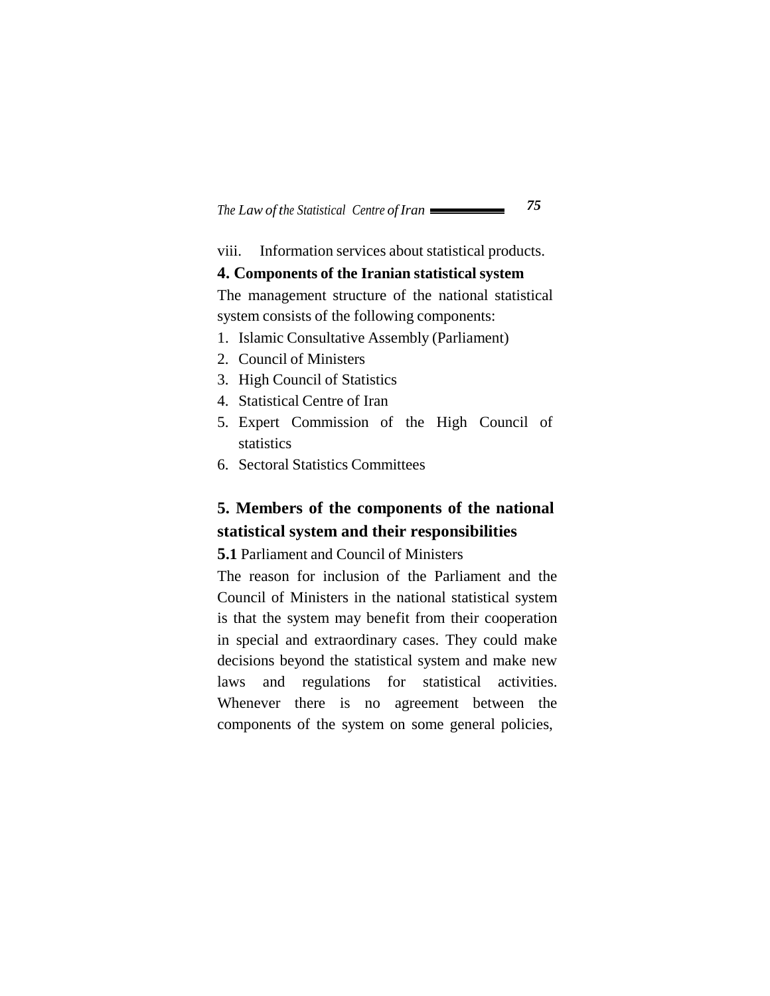viii. Information services about statistical products.

#### **4. Components of the Iranian statistical system**

The management structure of the national statistical system consists of the following components:

- 1. Islamic Consultative Assembly (Parliament)
- 2. Council of Ministers
- 3. High Council of Statistics
- 4. Statistical Centre of Iran
- 5. Expert Commission of the High Council of statistics
- 6. Sectoral Statistics Committees

# **5. Members of the components of the national statistical system and their responsibilities**

**5.1** Parliament and Council of Ministers

The reason for inclusion of the Parliament and the Council of Ministers in the national statistical system is that the system may benefit from their cooperation in special and extraordinary cases. They could make decisions beyond the statistical system and make new laws and regulations for statistical activities. Whenever there is no agreement between the components of the system on some general policies,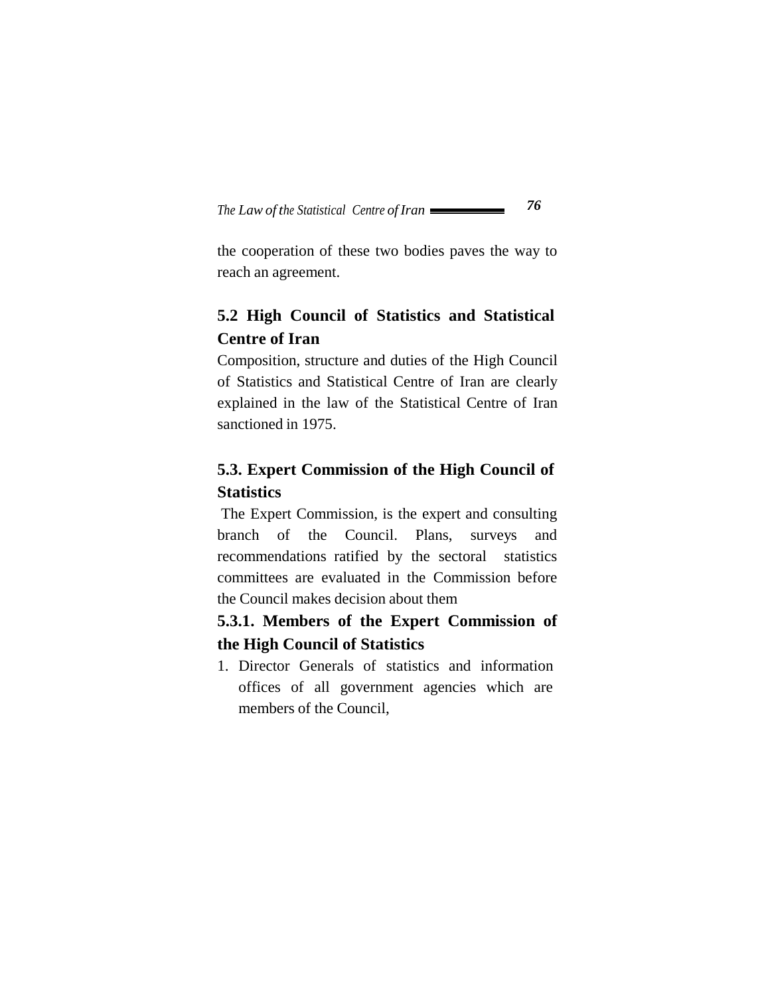the cooperation of these two bodies paves the way to reach an agreement.

# **5.2 High Council of Statistics and Statistical Centre of Iran**

Composition, structure and duties of the High Council of Statistics and Statistical Centre of Iran are clearly explained in the law of the Statistical Centre of Iran sanctioned in 1975.

# **5.3. Expert Commission of the High Council of Statistics**

The Expert Commission, is the expert and consulting branch of the Council. Plans, surveys and recommendations ratified by the sectoral statistics committees are evaluated in the Commission before the Council makes decision about them

# **5.3.1. Members of the Expert Commission of the High Council of Statistics**

1. Director Generals of statistics and information offices of all government agencies which are members of the Council,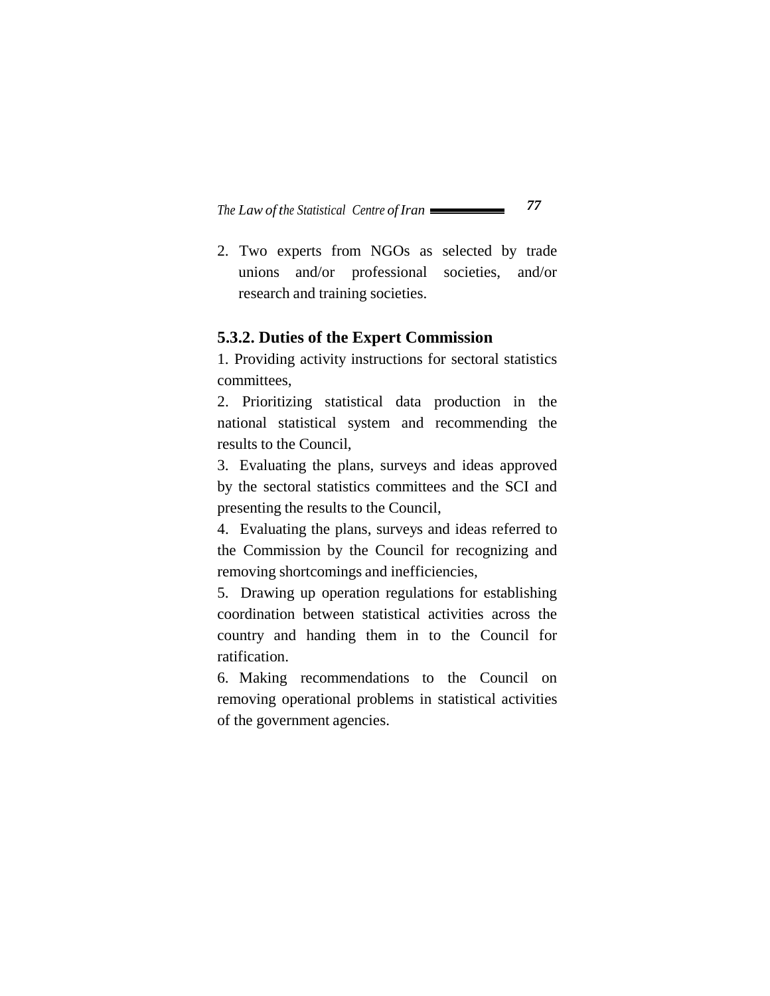2. Two experts from NGOs as selected by trade unions and/or professional societies, and/or research and training societies.

#### **5.3.2. Duties of the Expert Commission**

1. Providing activity instructions for sectoral statistics committees,

2. Prioritizing statistical data production in the national statistical system and recommending the results to the Council,

3. Evaluating the plans, surveys and ideas approved by the sectoral statistics committees and the SCI and presenting the results to the Council,

4. Evaluating the plans, surveys and ideas referred to the Commission by the Council for recognizing and removing shortcomings and inefficiencies,

5. Drawing up operation regulations for establishing coordination between statistical activities across the country and handing them in to the Council for ratification.

6. Making recommendations to the Council on removing operational problems in statistical activities of the government agencies.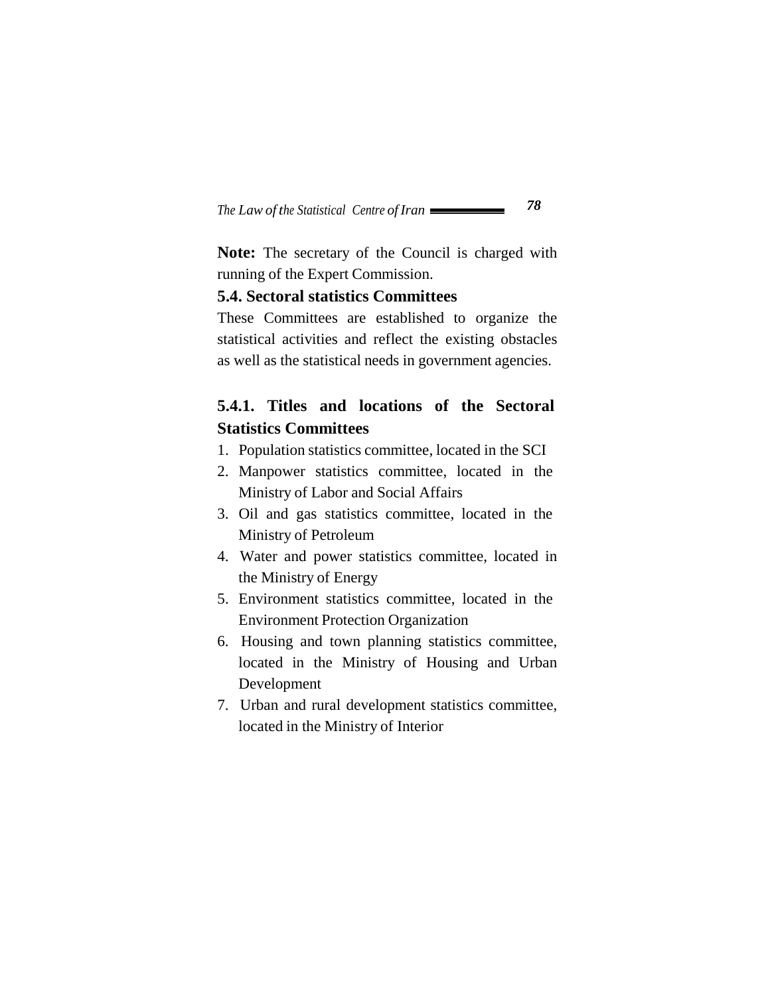**Note:** The secretary of the Council is charged with running of the Expert Commission.

#### **5.4. Sectoral statistics Committees**

These Committees are established to organize the statistical activities and reflect the existing obstacles as well as the statistical needs in government agencies.

### **5.4.1. Titles and locations of the Sectoral Statistics Committees**

- 1. Population statistics committee, located in the SCI
- 2. Manpower statistics committee, located in the Ministry of Labor and Social Affairs
- 3. Oil and gas statistics committee, located in the Ministry of Petroleum
- 4. Water and power statistics committee, located in the Ministry of Energy
- 5. Environment statistics committee, located in the Environment Protection Organization
- 6. Housing and town planning statistics committee, located in the Ministry of Housing and Urban Development
- 7. Urban and rural development statistics committee, located in the Ministry of Interior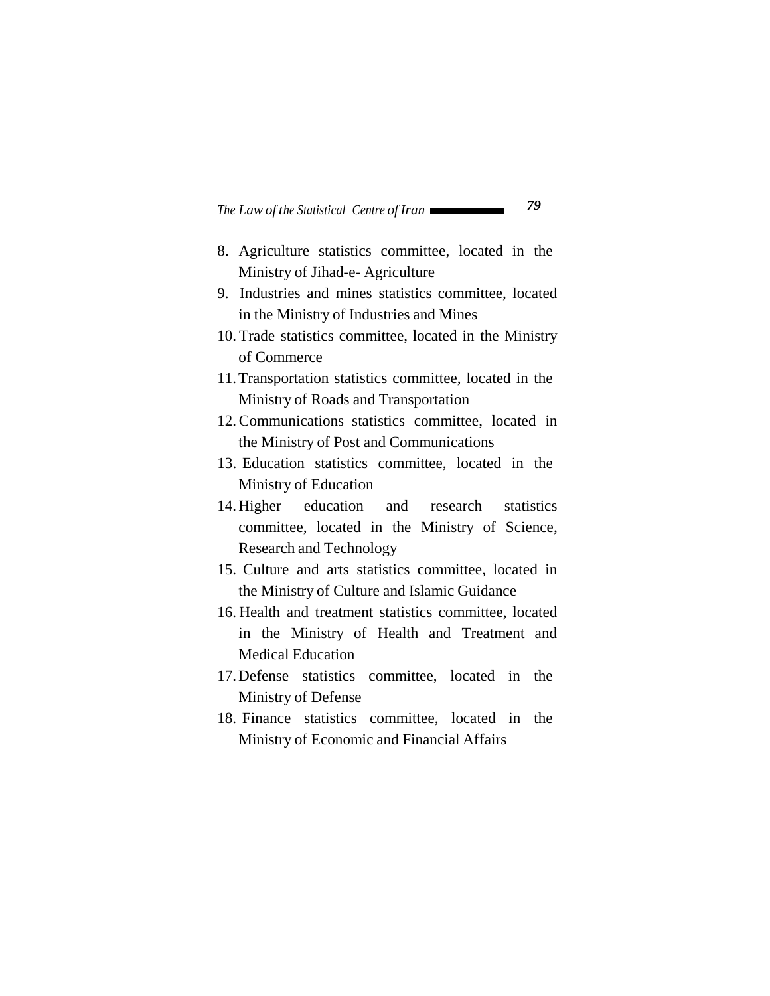- 8. Agriculture statistics committee, located in the Ministry of Jihad-e- Agriculture
- 9. Industries and mines statistics committee, located in the Ministry of Industries and Mines
- 10. Trade statistics committee, located in the Ministry of Commerce
- 11. Transportation statistics committee, located in the Ministry of Roads and Transportation
- 12. Communications statistics committee, located in the Ministry of Post and Communications
- 13. Education statistics committee, located in the Ministry of Education
- 14. Higher education and research statistics committee, located in the Ministry of Science, Research and Technology
- 15. Culture and arts statistics committee, located in the Ministry of Culture and Islamic Guidance
- 16. Health and treatment statistics committee, located in the Ministry of Health and Treatment and Medical Education
- 17. Defense statistics committee, located in the Ministry of Defense
- 18. Finance statistics committee, located in the Ministry of Economic and Financial Affairs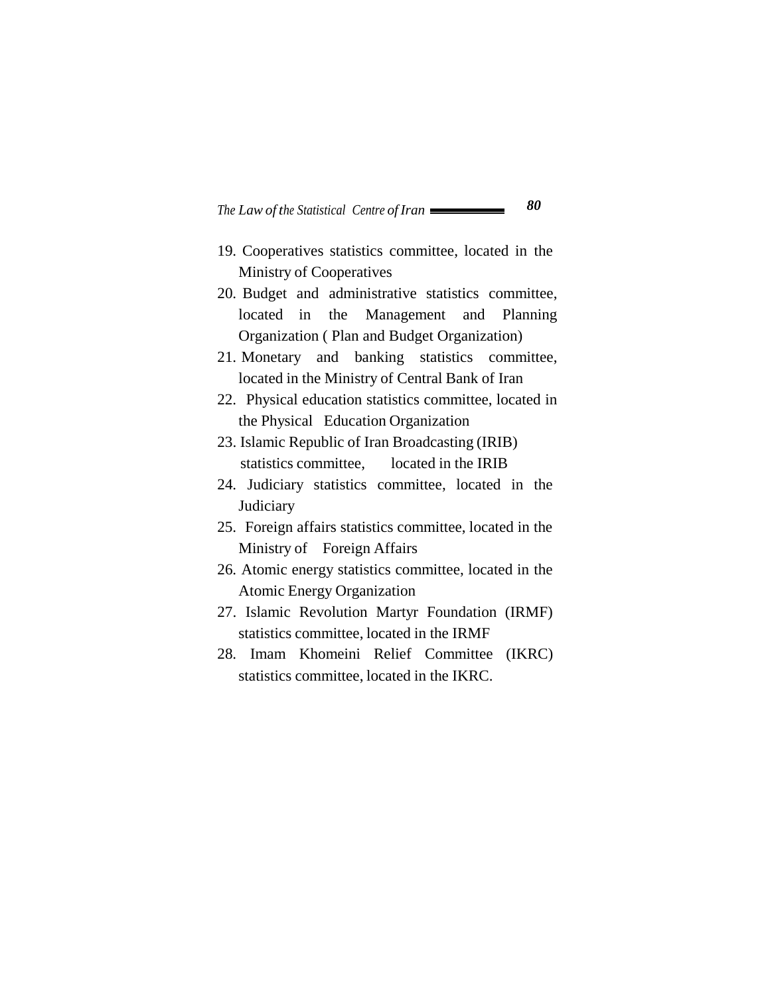- 19. Cooperatives statistics committee, located in the Ministry of Cooperatives
- 20. Budget and administrative statistics committee, located in the Management and Planning Organization ( Plan and Budget Organization)
- 21. Monetary and banking statistics committee, located in the Ministry of Central Bank of Iran
- 22. Physical education statistics committee, located in the Physical Education Organization
- 23. Islamic Republic of Iran Broadcasting (IRIB) statistics committee, located in the IRIB
- 24. Judiciary statistics committee, located in the **Judiciary**
- 25. Foreign affairs statistics committee, located in the Ministry of Foreign Affairs
- 26. Atomic energy statistics committee, located in the Atomic Energy Organization
- 27. Islamic Revolution Martyr Foundation (IRMF) statistics committee, located in the IRMF
- 28. Imam Khomeini Relief Committee (IKRC) statistics committee, located in the IKRC.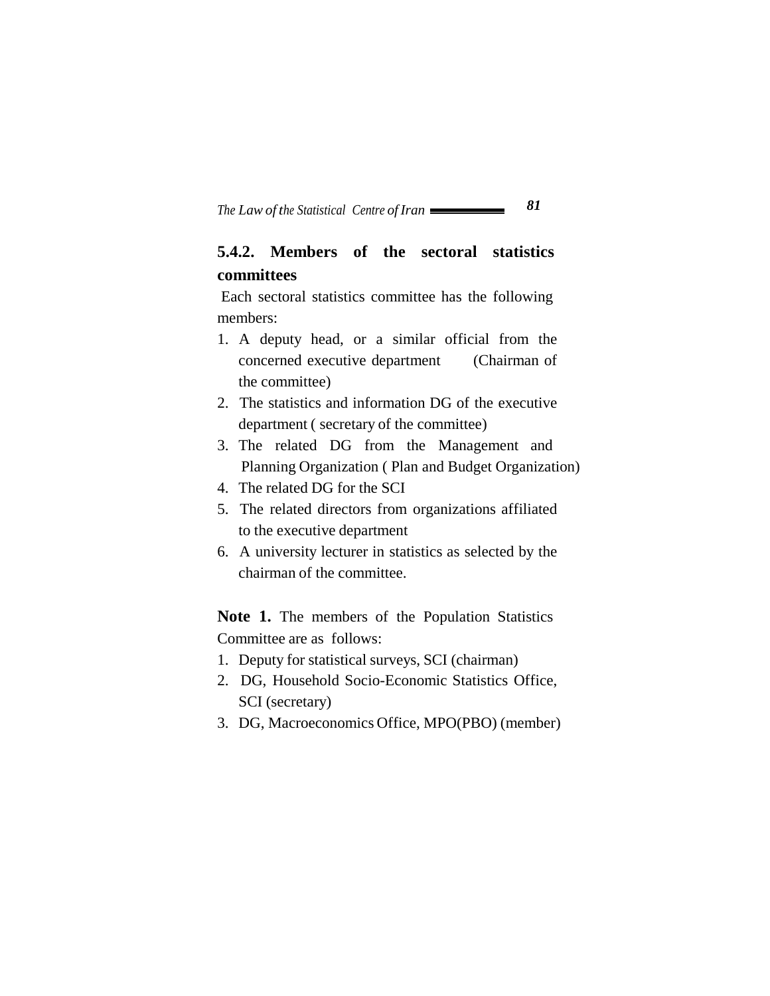# **5.4.2. Members of the sectoral statistics committees**

Each sectoral statistics committee has the following members:

- 1. A deputy head, or a similar official from the concerned executive department (Chairman of the committee)
- 2. The statistics and information DG of the executive department ( secretary of the committee)
- 3. The related DG from the Management and Planning Organization ( Plan and Budget Organization)
- 4. The related DG for the SCI
- 5. The related directors from organizations affiliated to the executive department
- 6. A university lecturer in statistics as selected by the chairman of the committee.

**Note 1.** The members of the Population Statistics Committee are as follows:

- 1. Deputy for statistical surveys, SCI (chairman)
- 2. DG, Household Socio-Economic Statistics Office, SCI (secretary)
- 3. DG, Macroeconomics Office, MPO(PBO) (member)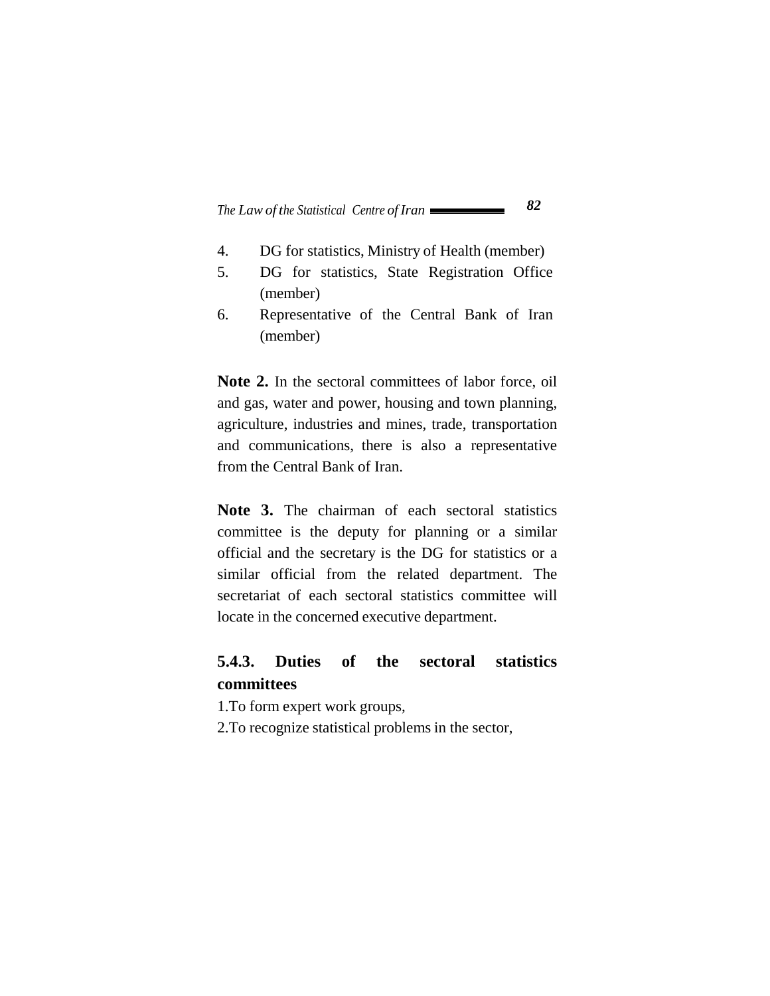- 4. DG for statistics, Ministry of Health (member)
- 5. DG for statistics, State Registration Office (member)
- 6. Representative of the Central Bank of Iran (member)

Note 2. In the sectoral committees of labor force, oil and gas, water and power, housing and town planning, agriculture, industries and mines, trade, transportation and communications, there is also a representative from the Central Bank of Iran.

Note 3. The chairman of each sectoral statistics committee is the deputy for planning or a similar official and the secretary is the DG for statistics or a similar official from the related department. The secretariat of each sectoral statistics committee will locate in the concerned executive department.

### **5.4.3. Duties of the sectoral statistics committees**

1.To form expert work groups,

2.To recognize statistical problems in the sector,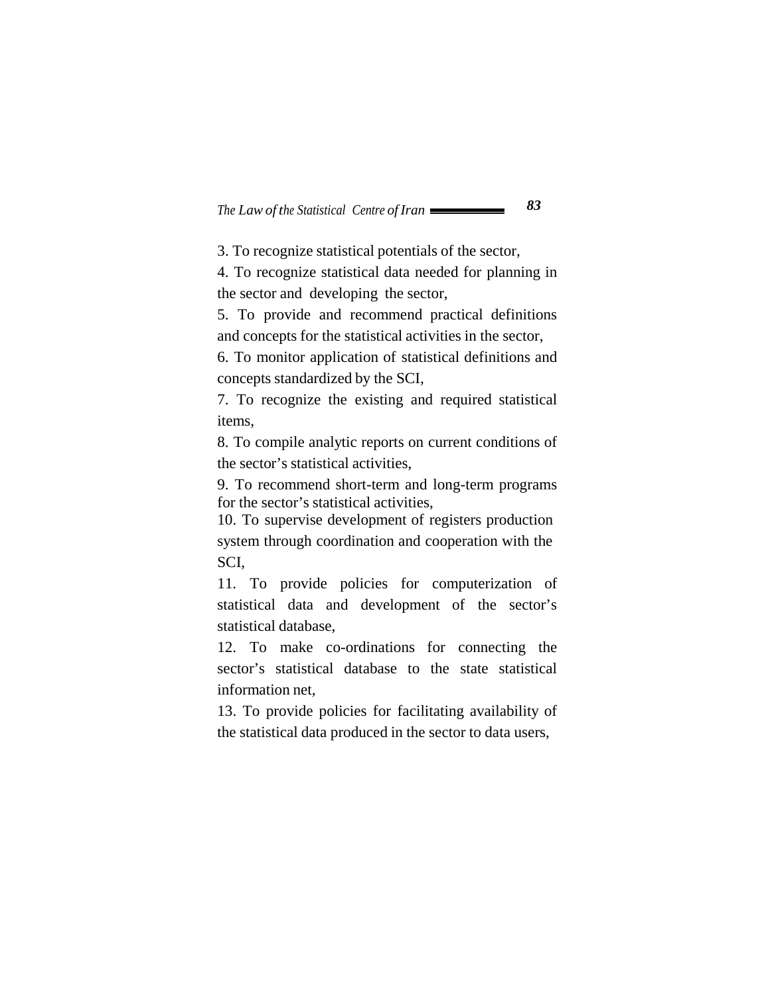3. To recognize statistical potentials of the sector,

4. To recognize statistical data needed for planning in the sector and developing the sector,

5. To provide and recommend practical definitions and concepts for the statistical activities in the sector,

6. To monitor application of statistical definitions and concepts standardized by the SCI,

7. To recognize the existing and required statistical items,

8. To compile analytic reports on current conditions of the sector's statistical activities,

9. To recommend short-term and long-term programs for the sector's statistical activities,

10. To supervise development of registers production system through coordination and cooperation with the SCI,

11. To provide policies for computerization of statistical data and development of the sector's statistical database,

12. To make co-ordinations for connecting the sector's statistical database to the state statistical information net,

13. To provide policies for facilitating availability of the statistical data produced in the sector to data users,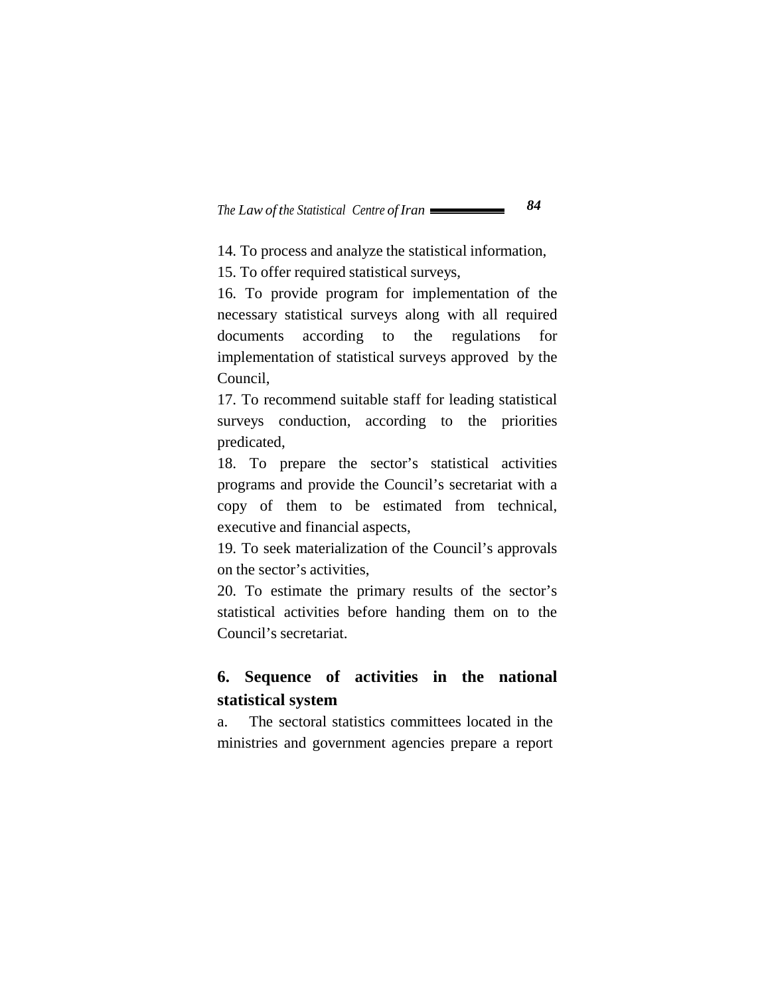14. To process and analyze the statistical information,

15. To offer required statistical surveys,

16. To provide program for implementation of the necessary statistical surveys along with all required documents according to the regulations for implementation of statistical surveys approved by the Council,

17. To recommend suitable staff for leading statistical surveys conduction, according to the priorities predicated,

18. To prepare the sector's statistical activities programs and provide the Council's secretariat with a copy of them to be estimated from technical, executive and financial aspects,

19. To seek materialization of the Council's approvals on the sector's activities,

20. To estimate the primary results of the sector's statistical activities before handing them on to the Council's secretariat.

# **6. Sequence of activities in the national statistical system**

a. The sectoral statistics committees located in the ministries and government agencies prepare a report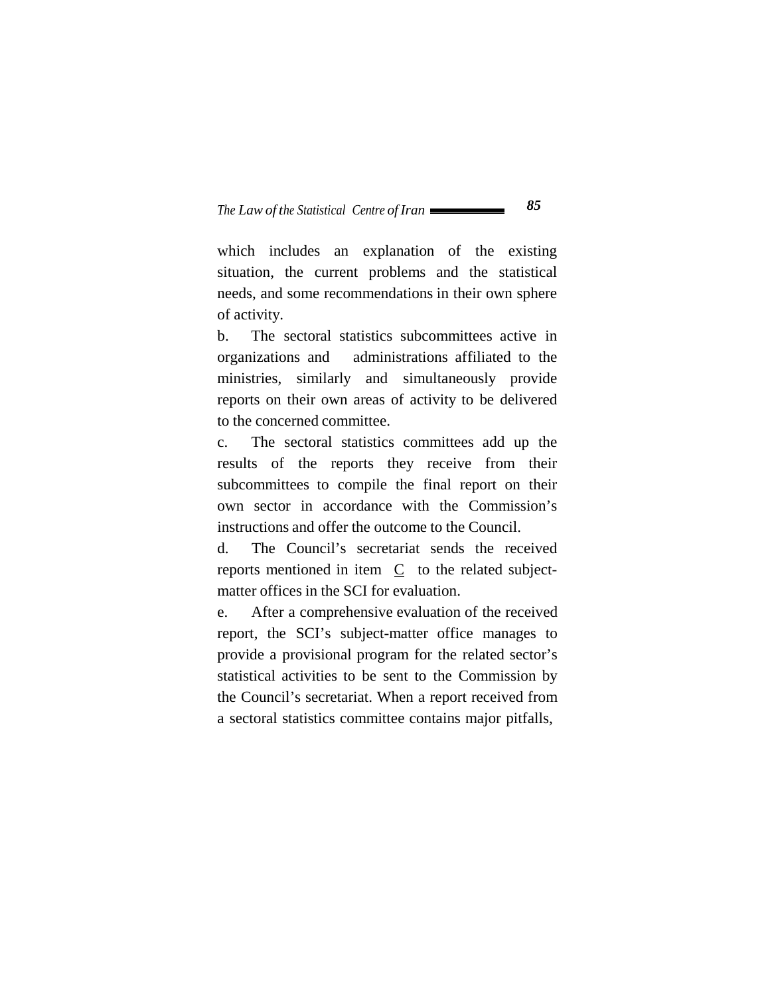which includes an explanation of the existing situation, the current problems and the statistical needs, and some recommendations in their own sphere of activity.

b. The sectoral statistics subcommittees active in organizations and administrations affiliated to the ministries, similarly and simultaneously provide reports on their own areas of activity to be delivered to the concerned committee.

c. The sectoral statistics committees add up the results of the reports they receive from their subcommittees to compile the final report on their own sector in accordance with the Commission's instructions and offer the outcome to the Council.

d. The Council's secretariat sends the received reports mentioned in item C to the related subjectmatter offices in the SCI for evaluation.

e. After a comprehensive evaluation of the received report, the SCI's subject-matter office manages to provide a provisional program for the related sector's statistical activities to be sent to the Commission by the Council's secretariat. When a report received from a sectoral statistics committee contains major pitfalls,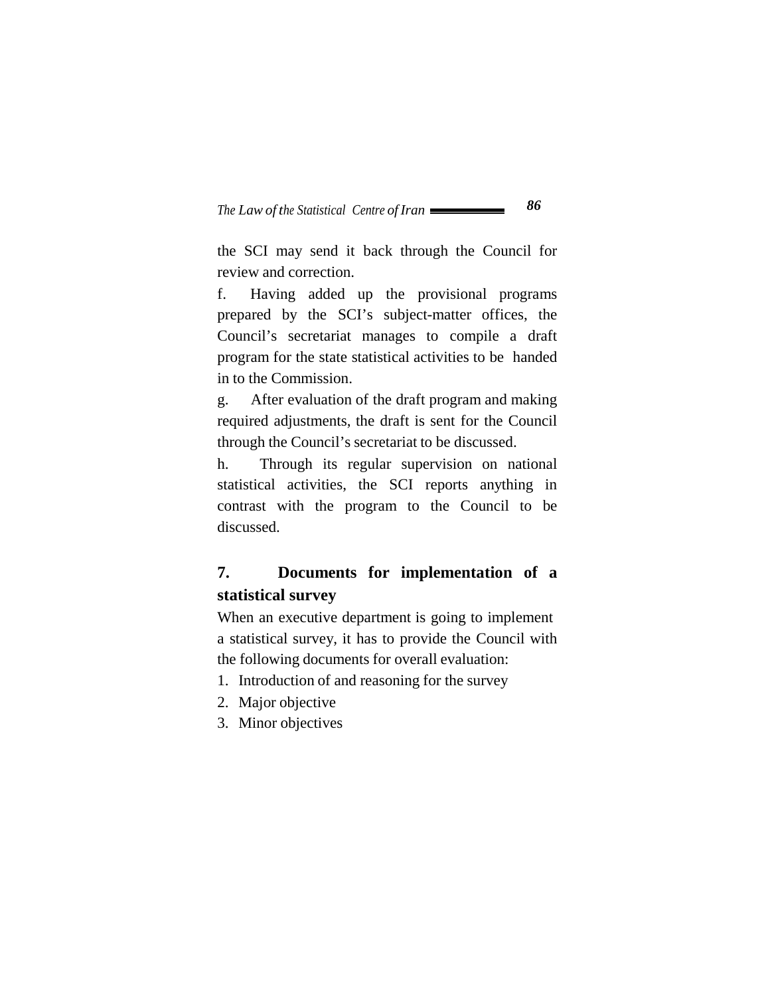the SCI may send it back through the Council for review and correction.

f. Having added up the provisional programs prepared by the SCI's subject-matter offices, the Council's secretariat manages to compile a draft program for the state statistical activities to be handed in to the Commission.

g. After evaluation of the draft program and making required adjustments, the draft is sent for the Council through the Council's secretariat to be discussed.

h. Through its regular supervision on national statistical activities, the SCI reports anything in contrast with the program to the Council to be discussed.

# **7. Documents for implementation of a statistical survey**

When an executive department is going to implement a statistical survey, it has to provide the Council with the following documents for overall evaluation:

- 1. Introduction of and reasoning for the survey
- 2. Major objective
- 3. Minor objectives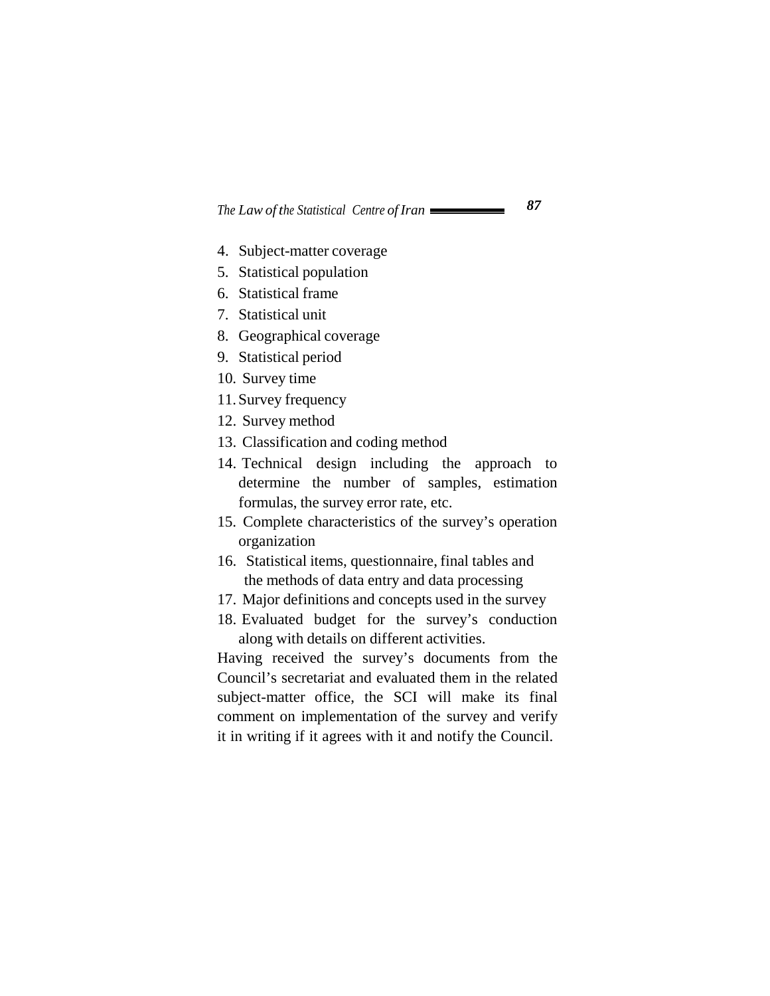- 4. Subject-matter coverage
- 5. Statistical population
- 6. Statistical frame
- 7. Statistical unit
- 8. Geographical coverage
- 9. Statistical period
- 10. Survey time
- 11. Survey frequency
- 12. Survey method
- 13. Classification and coding method
- 14. Technical design including the approach to determine the number of samples, estimation formulas, the survey error rate, etc.
- 15. Complete characteristics of the survey's operation organization
- 16. Statistical items, questionnaire, final tables and the methods of data entry and data processing
- 17. Major definitions and concepts used in the survey
- 18. Evaluated budget for the survey's conduction along with details on different activities.

Having received the survey's documents from the Council's secretariat and evaluated them in the related subject-matter office, the SCI will make its final comment on implementation of the survey and verify it in writing if it agrees with it and notify the Council.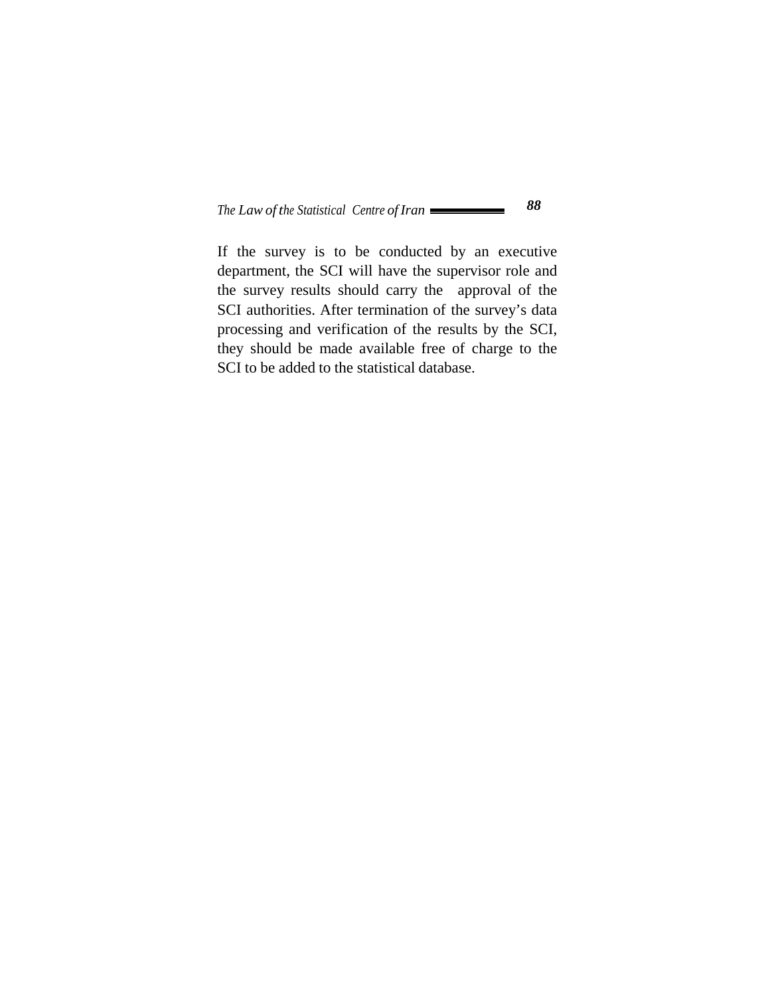If the survey is to be conducted by an executive department, the SCI will have the supervisor role and the survey results should carry the approval of the SCI authorities. After termination of the survey's data processing and verification of the results by the SCI, they should be made available free of charge to the SCI to be added to the statistical database.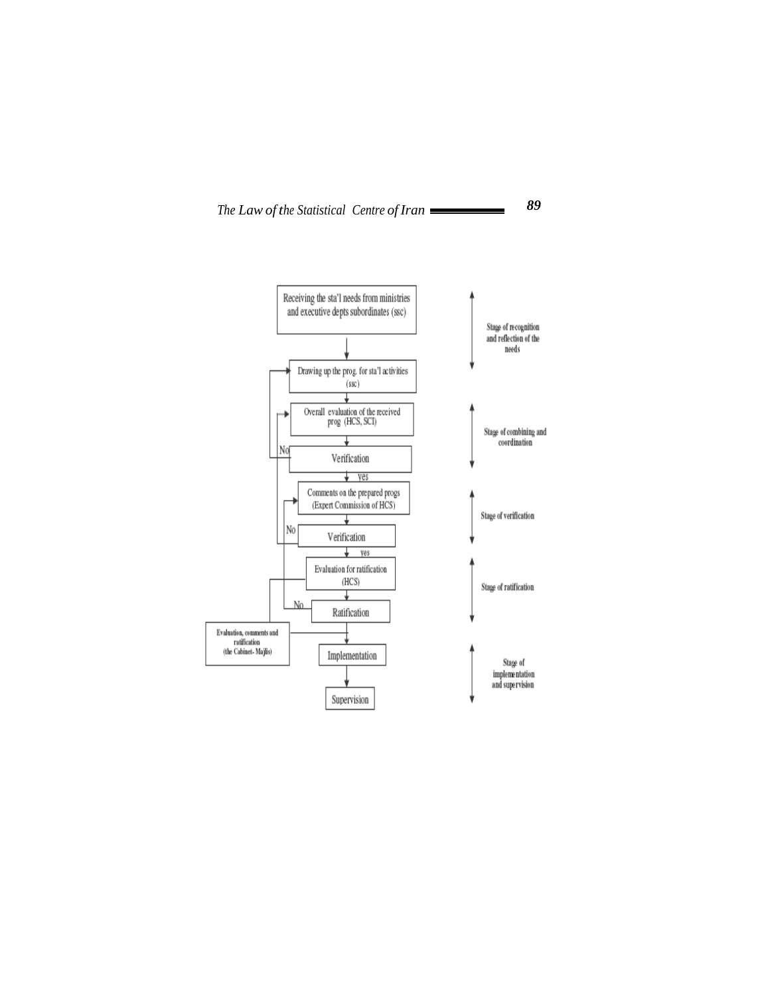

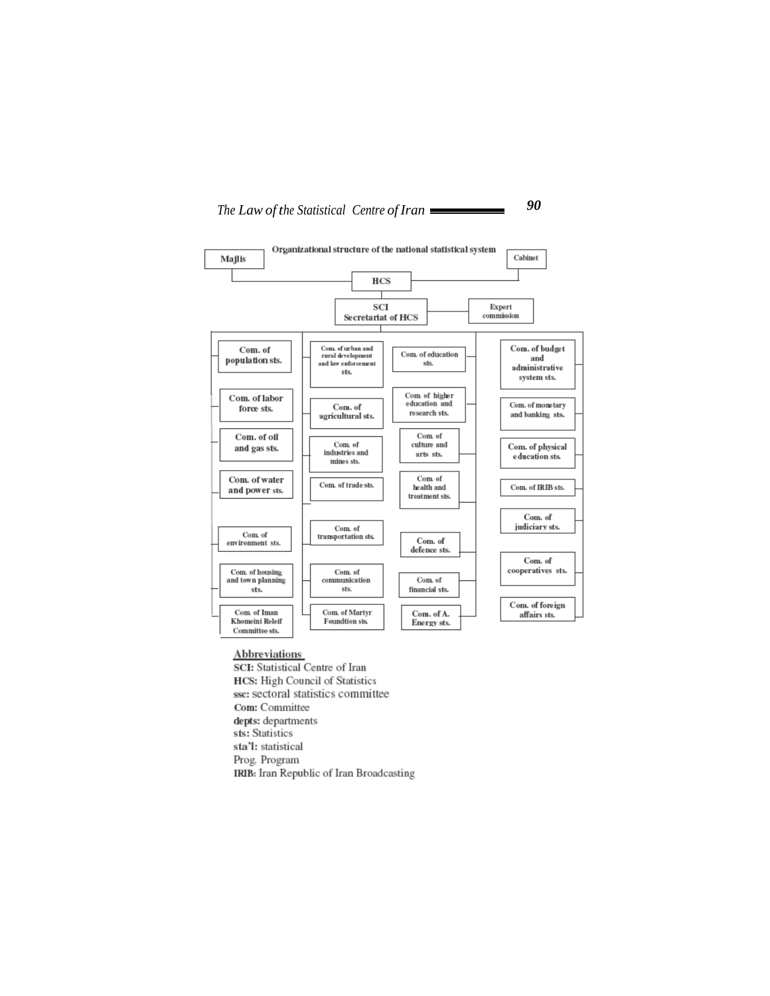



#### **Abbreviations**

SCI: Statistical Centre of Iran **HCS:** High Council of Statistics ssc: sectoral statistics committee Com: Committee depts: departments sts: Statistics sta'l: statistical Prog. Program IRIB: Iran Republic of Iran Broadcasting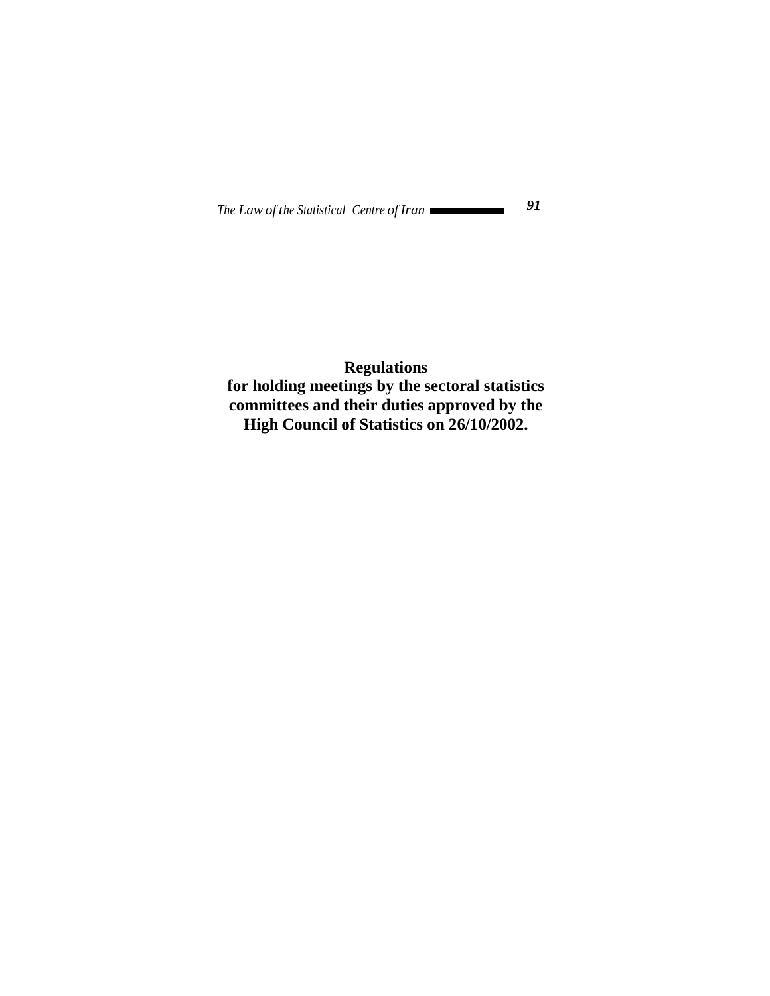## **Regulations for holding meetings by the sectoral statistics committees and their duties approved by the High Council of Statistics on 26/10/2002.**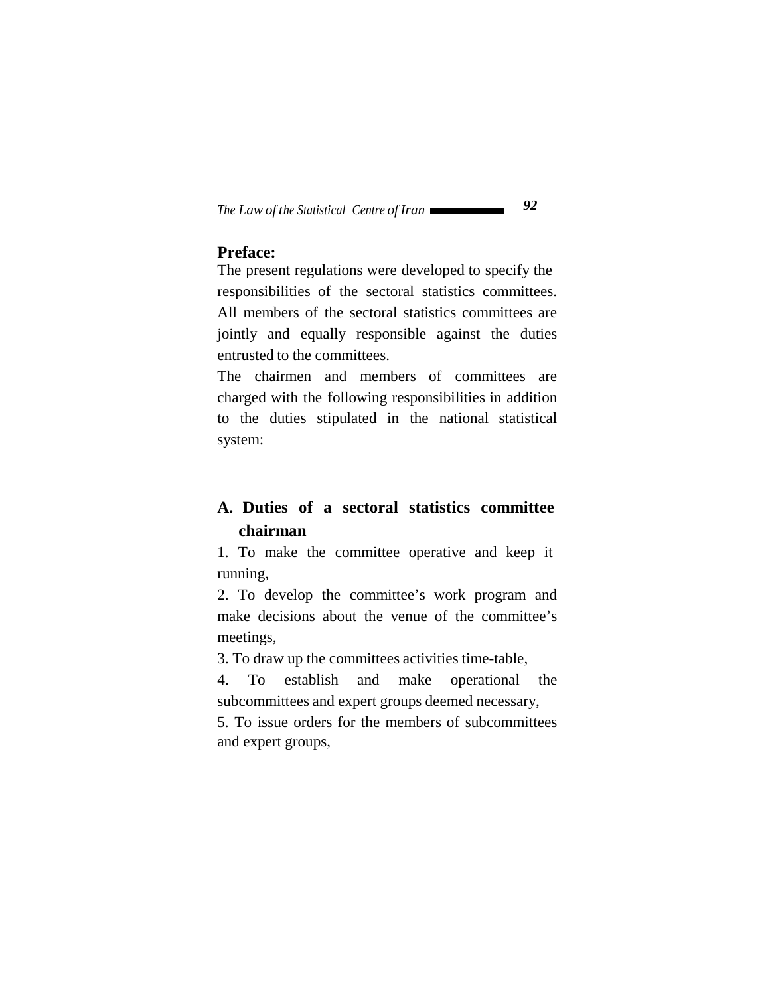### **Preface:**

The present regulations were developed to specify the responsibilities of the sectoral statistics committees. All members of the sectoral statistics committees are jointly and equally responsible against the duties entrusted to the committees.

The chairmen and members of committees are charged with the following responsibilities in addition to the duties stipulated in the national statistical system:

# **A. Duties of a sectoral statistics committee chairman**

1. To make the committee operative and keep it running,

2. To develop the committee's work program and make decisions about the venue of the committee's meetings,

3. To draw up the committees activities time-table,

4. To establish and make operational the subcommittees and expert groups deemed necessary,

5. To issue orders for the members of subcommittees and expert groups,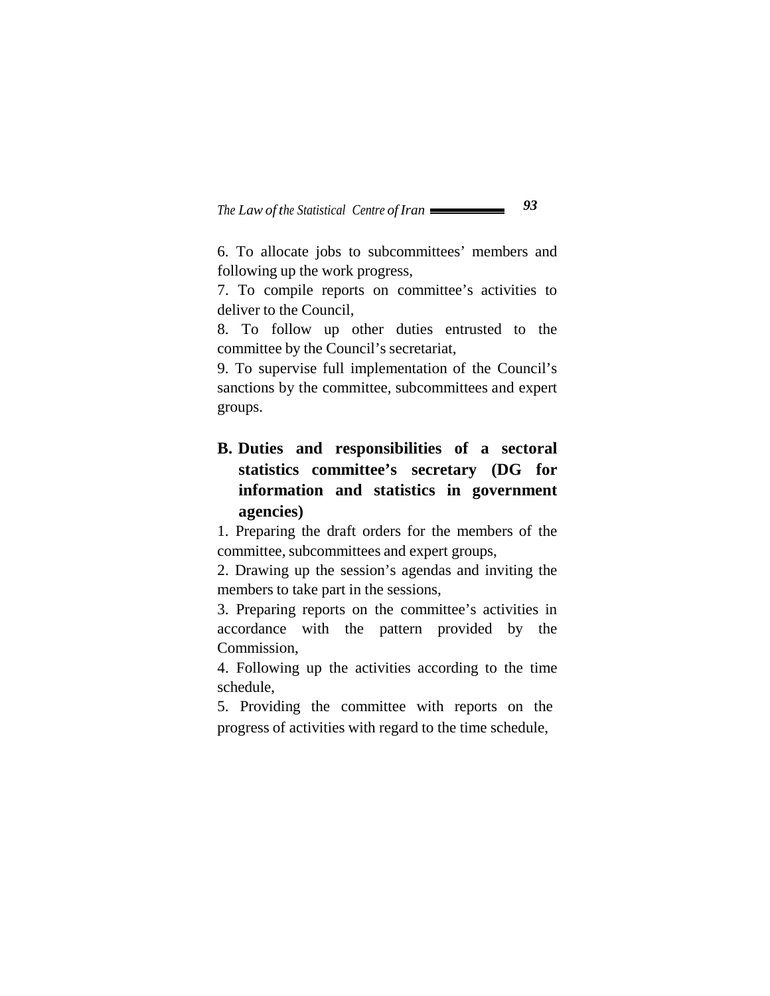6. To allocate jobs to subcommittees' members and following up the work progress,

7. To compile reports on committee's activities to deliver to the Council,

8. To follow up other duties entrusted to the committee by the Council's secretariat,

9. To supervise full implementation of the Council's sanctions by the committee, subcommittees and expert groups.

# **B. Duties and responsibilities of a sectoral statistics committee's secretary (DG for information and statistics in government agencies)**

1. Preparing the draft orders for the members of the committee, subcommittees and expert groups,

2. Drawing up the session's agendas and inviting the members to take part in the sessions,

3. Preparing reports on the committee's activities in accordance with the pattern provided by the Commission,

4. Following up the activities according to the time schedule,

5. Providing the committee with reports on the progress of activities with regard to the time schedule,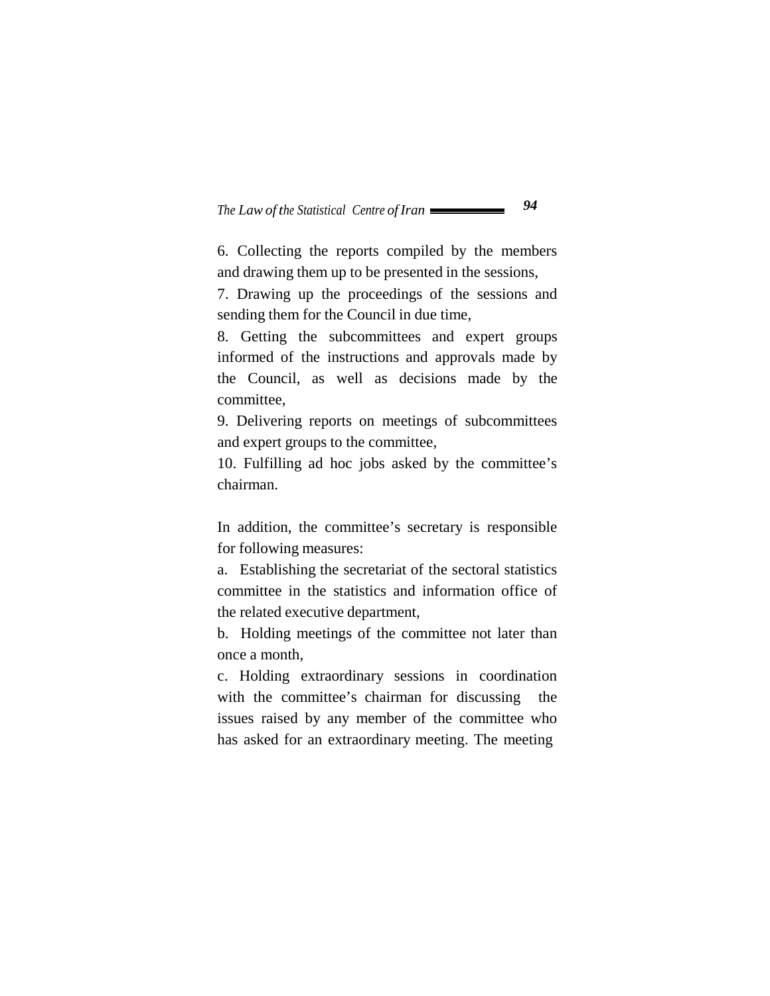6. Collecting the reports compiled by the members and drawing them up to be presented in the sessions,

7. Drawing up the proceedings of the sessions and sending them for the Council in due time,

8. Getting the subcommittees and expert groups informed of the instructions and approvals made by the Council, as well as decisions made by the committee,

9. Delivering reports on meetings of subcommittees and expert groups to the committee,

10. Fulfilling ad hoc jobs asked by the committee's chairman.

In addition, the committee's secretary is responsible for following measures:

a. Establishing the secretariat of the sectoral statistics committee in the statistics and information office of the related executive department,

b. Holding meetings of the committee not later than once a month,

c. Holding extraordinary sessions in coordination with the committee's chairman for discussing the issues raised by any member of the committee who has asked for an extraordinary meeting. The meeting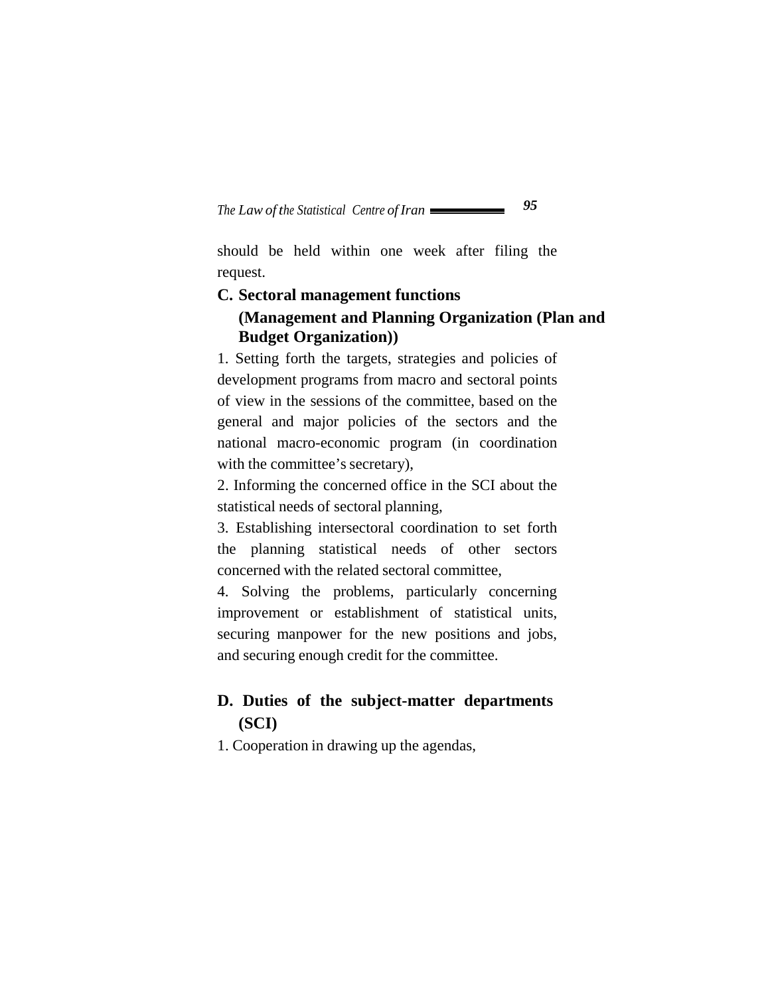should be held within one week after filing the request.

#### **C. Sectoral management functions**

### **(Management and Planning Organization (Plan and Budget Organization))**

1. Setting forth the targets, strategies and policies of development programs from macro and sectoral points of view in the sessions of the committee, based on the general and major policies of the sectors and the national macro-economic program (in coordination with the committee's secretary),

2. Informing the concerned office in the SCI about the statistical needs of sectoral planning,

3. Establishing intersectoral coordination to set forth the planning statistical needs of other sectors concerned with the related sectoral committee,

4. Solving the problems, particularly concerning improvement or establishment of statistical units, securing manpower for the new positions and jobs, and securing enough credit for the committee.

### **D. Duties of the subject-matter departments (SCI)**

1. Cooperation in drawing up the agendas,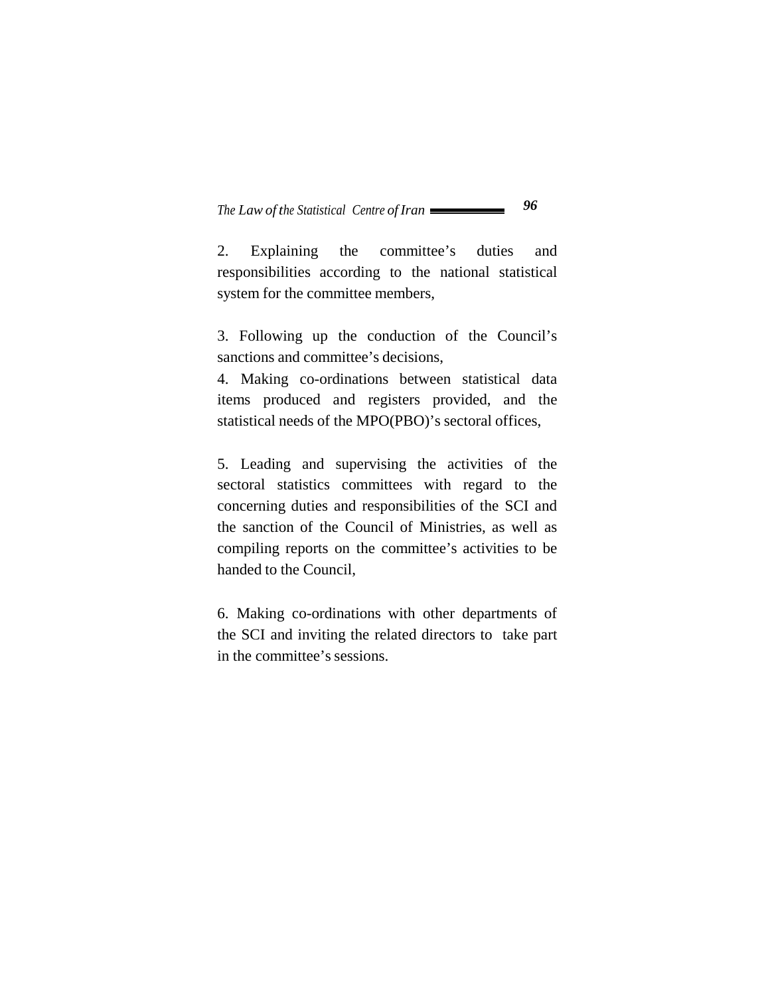2. Explaining the committee's duties and responsibilities according to the national statistical system for the committee members,

3. Following up the conduction of the Council's sanctions and committee's decisions,

4. Making co-ordinations between statistical data items produced and registers provided, and the statistical needs of the MPO(PBO)'s sectoral offices,

5. Leading and supervising the activities of the sectoral statistics committees with regard to the concerning duties and responsibilities of the SCI and the sanction of the Council of Ministries, as well as compiling reports on the committee's activities to be handed to the Council,

6. Making co-ordinations with other departments of the SCI and inviting the related directors to take part in the committee's sessions.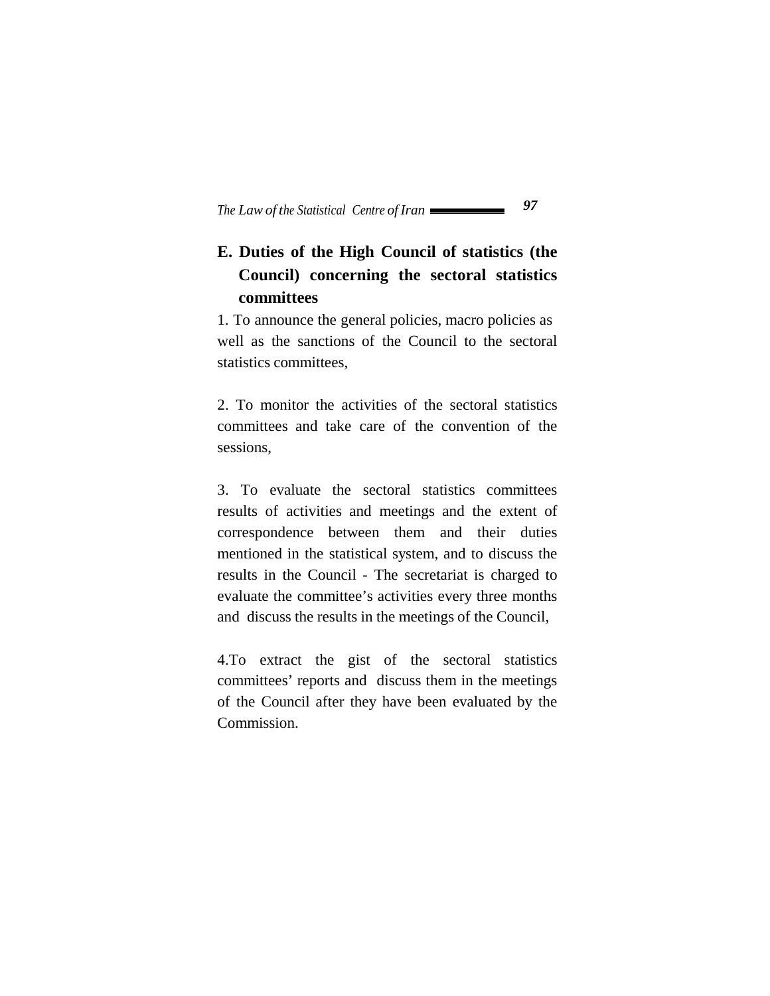# **E. Duties of the High Council of statistics (the Council) concerning the sectoral statistics committees**

1. To announce the general policies, macro policies as well as the sanctions of the Council to the sectoral statistics committees,

2. To monitor the activities of the sectoral statistics committees and take care of the convention of the sessions,

3. To evaluate the sectoral statistics committees results of activities and meetings and the extent of correspondence between them and their duties mentioned in the statistical system, and to discuss the results in the Council - The secretariat is charged to evaluate the committee's activities every three months and discuss the results in the meetings of the Council,

4.To extract the gist of the sectoral statistics committees' reports and discuss them in the meetings of the Council after they have been evaluated by the Commission.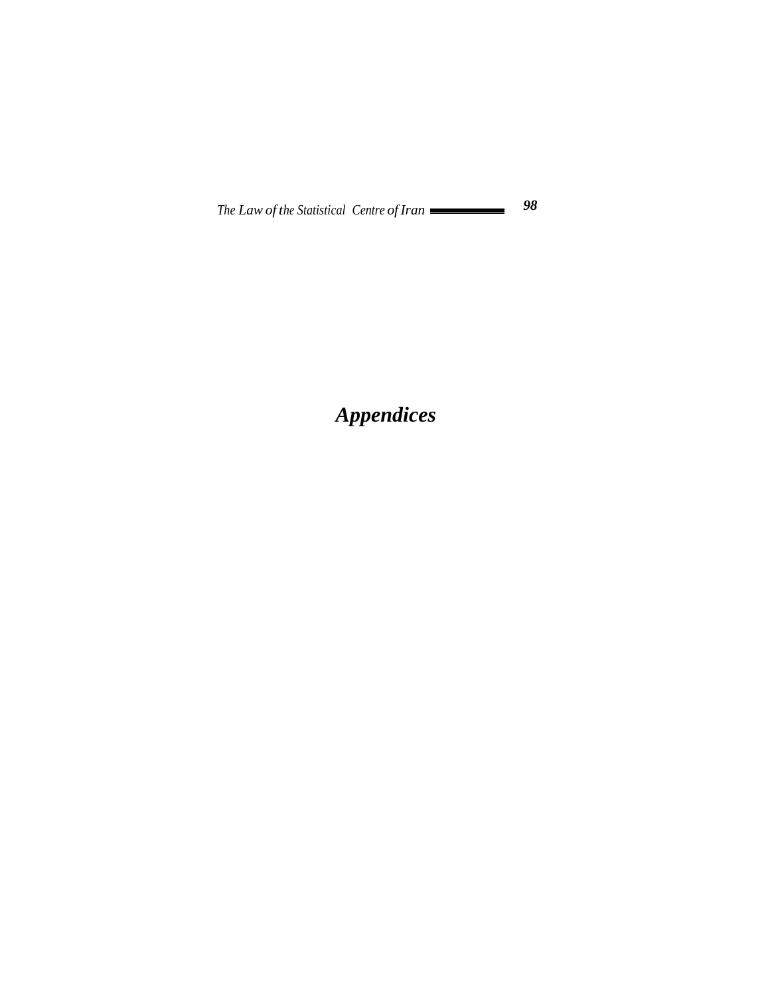*Appendices*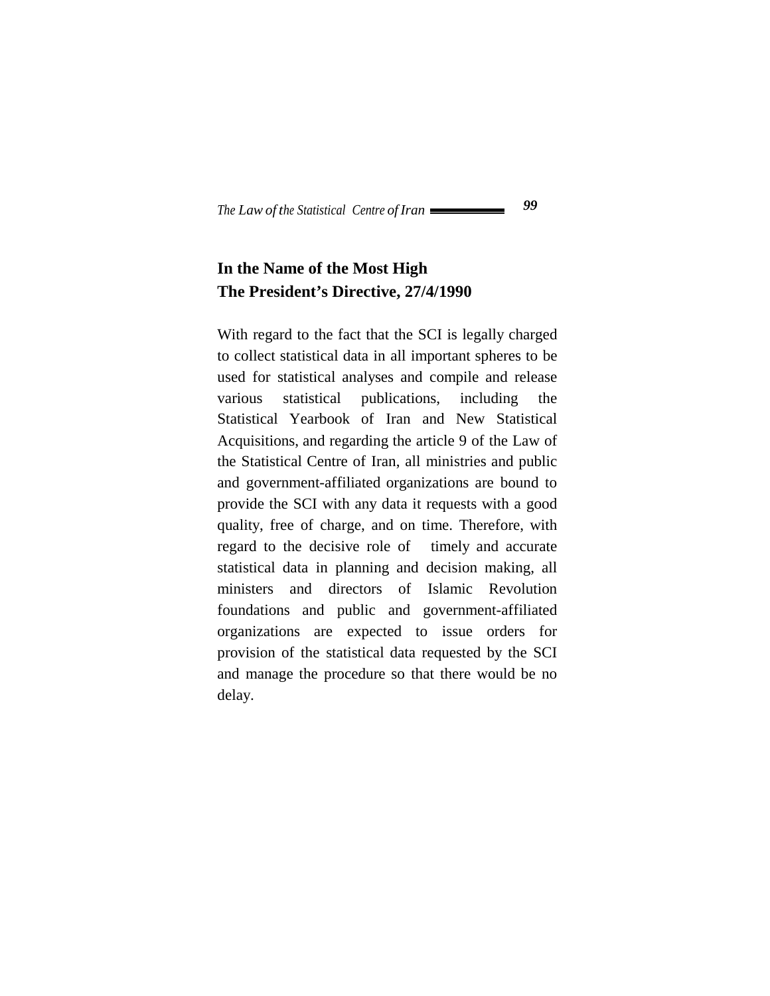# **In the Name of the Most High The President's Directive, 27/4/1990**

With regard to the fact that the SCI is legally charged to collect statistical data in all important spheres to be used for statistical analyses and compile and release various statistical publications, including the Statistical Yearbook of Iran and New Statistical Acquisitions, and regarding the article 9 of the Law of the Statistical Centre of Iran, all ministries and public and government-affiliated organizations are bound to provide the SCI with any data it requests with a good quality, free of charge, and on time. Therefore, with regard to the decisive role of timely and accurate statistical data in planning and decision making, all ministers and directors of Islamic Revolution foundations and public and government-affiliated organizations are expected to issue orders for provision of the statistical data requested by the SCI and manage the procedure so that there would be no delay.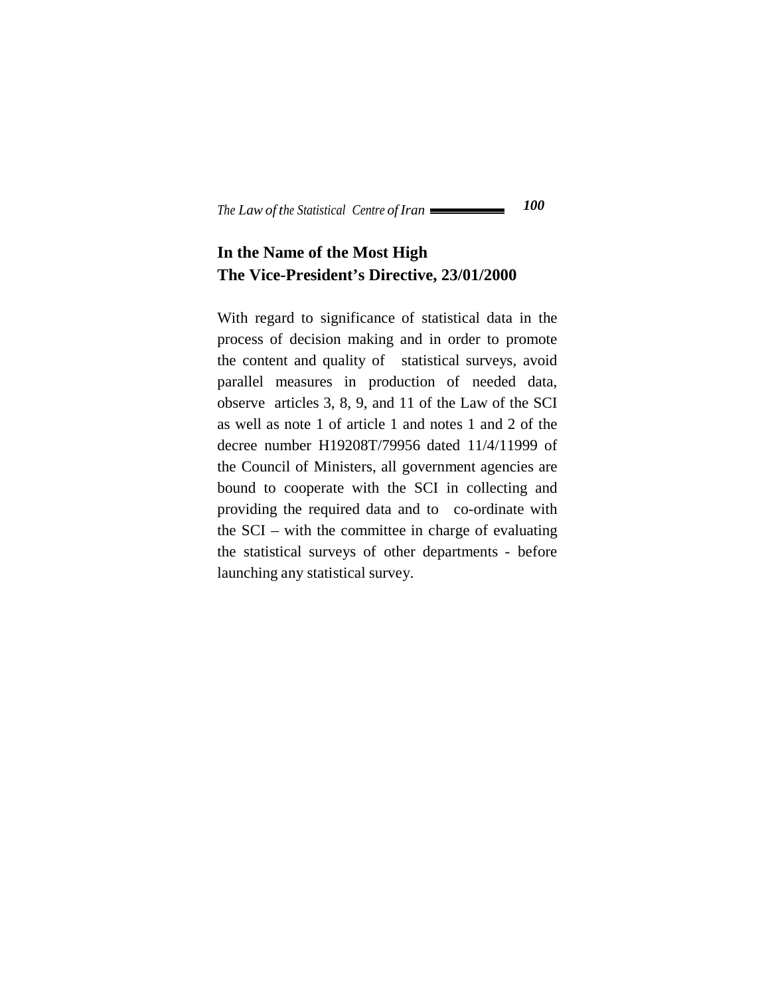# **In the Name of the Most High The Vice-President's Directive, 23/01/2000**

With regard to significance of statistical data in the process of decision making and in order to promote the content and quality of statistical surveys, avoid parallel measures in production of needed data, observe articles 3, 8, 9, and 11 of the Law of the SCI as well as note 1 of article 1 and notes 1 and 2 of the decree number H19208T/79956 dated 11/4/11999 of the Council of Ministers, all government agencies are bound to cooperate with the SCI in collecting and providing the required data and to co-ordinate with the SCI – with the committee in charge of evaluating the statistical surveys of other departments - before launching any statistical survey.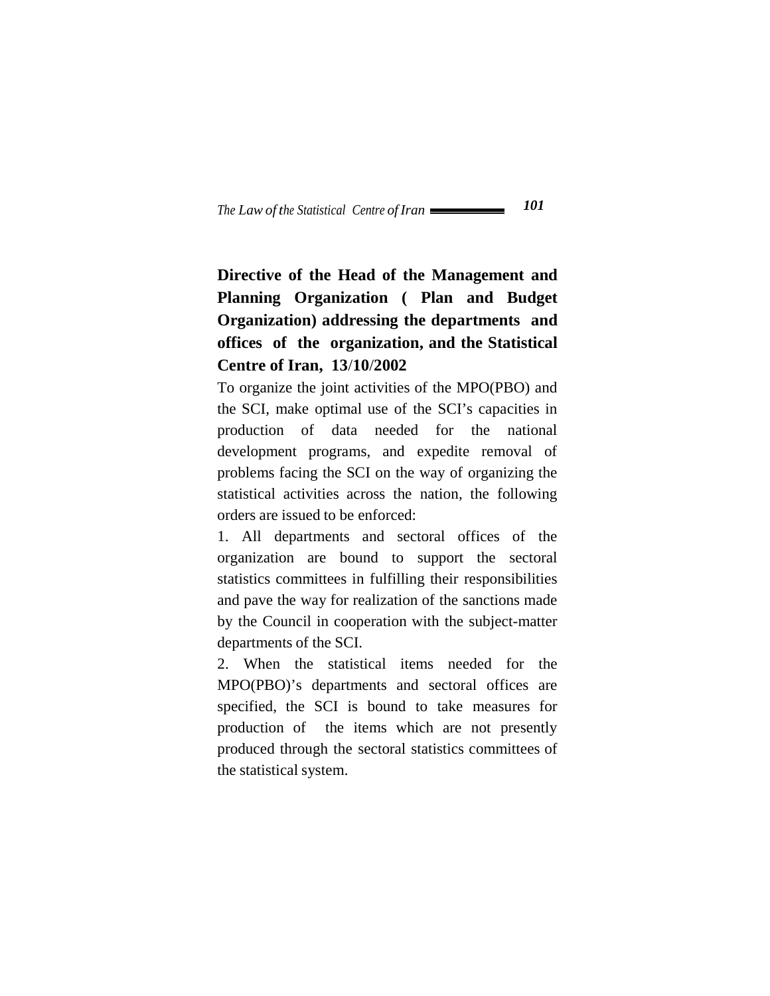# **Directive of the Head of the Management and Planning Organization ( Plan and Budget Organization) addressing the departments and offices of the organization, and the Statistical Centre of Iran, 13**/**10**/**2002**

To organize the joint activities of the MPO(PBO) and the SCI, make optimal use of the SCI's capacities in production of data needed for the national development programs, and expedite removal of problems facing the SCI on the way of organizing the statistical activities across the nation, the following orders are issued to be enforced:

1. All departments and sectoral offices of the organization are bound to support the sectoral statistics committees in fulfilling their responsibilities and pave the way for realization of the sanctions made by the Council in cooperation with the subject-matter departments of the SCI.

2. When the statistical items needed for the MPO(PBO)'s departments and sectoral offices are specified, the SCI is bound to take measures for production of the items which are not presently produced through the sectoral statistics committees of the statistical system.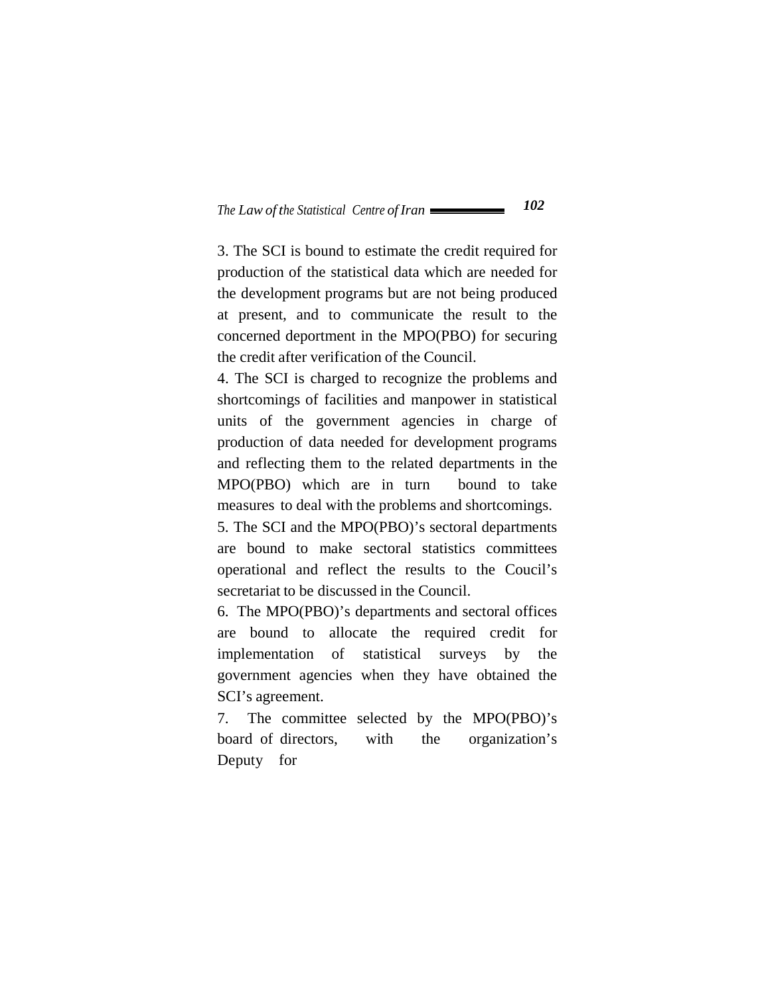3. The SCI is bound to estimate the credit required for production of the statistical data which are needed for the development programs but are not being produced at present, and to communicate the result to the concerned deportment in the MPO(PBO) for securing the credit after verification of the Council.

4. The SCI is charged to recognize the problems and shortcomings of facilities and manpower in statistical units of the government agencies in charge of production of data needed for development programs and reflecting them to the related departments in the MPO(PBO) which are in turn bound to take measures to deal with the problems and shortcomings.

5. The SCI and the MPO(PBO)'s sectoral departments are bound to make sectoral statistics committees operational and reflect the results to the Coucil's secretariat to be discussed in the Council.

6. The MPO(PBO)'s departments and sectoral offices are bound to allocate the required credit for implementation of statistical surveys by the government agencies when they have obtained the SCI's agreement.

7. The committee selected by the MPO(PBO)'s board of directors, with the organization's Deputy for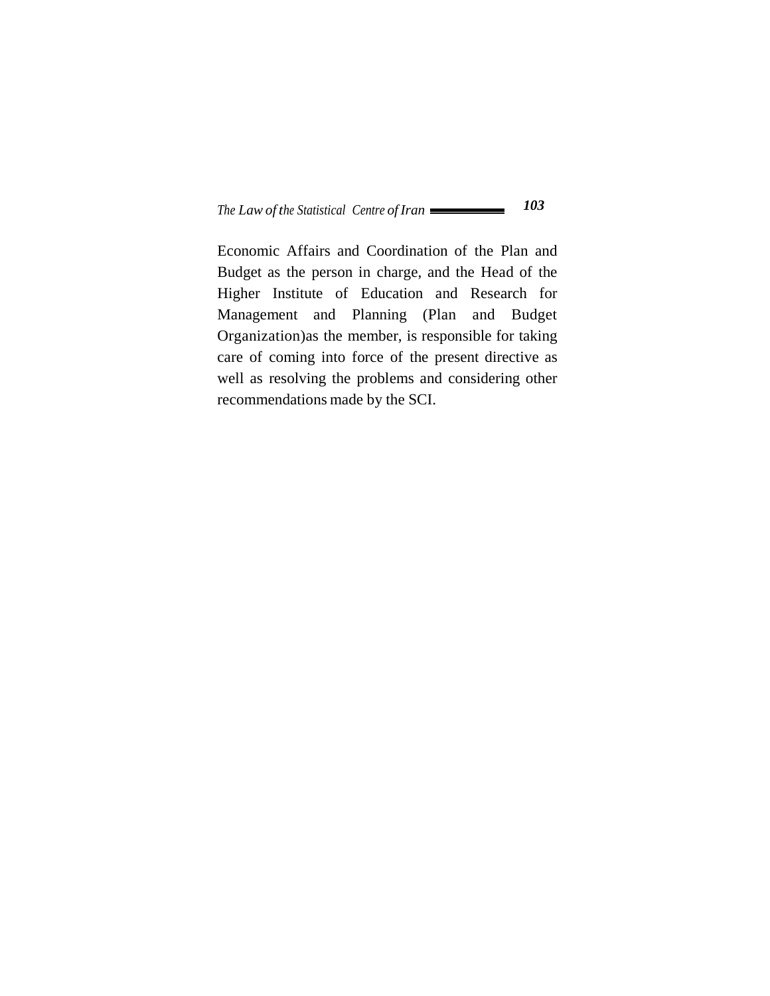Economic Affairs and Coordination of the Plan and Budget as the person in charge, and the Head of the Higher Institute of Education and Research for Management and Planning (Plan and Budget Organization)as the member, is responsible for taking care of coming into force of the present directive as well as resolving the problems and considering other recommendations made by the SCI.